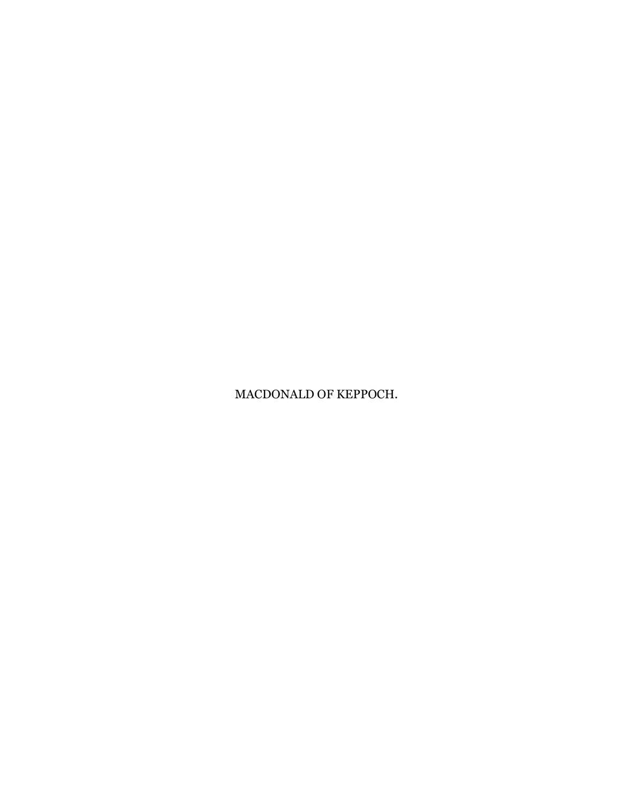MACDONALD OF KEPPOCH.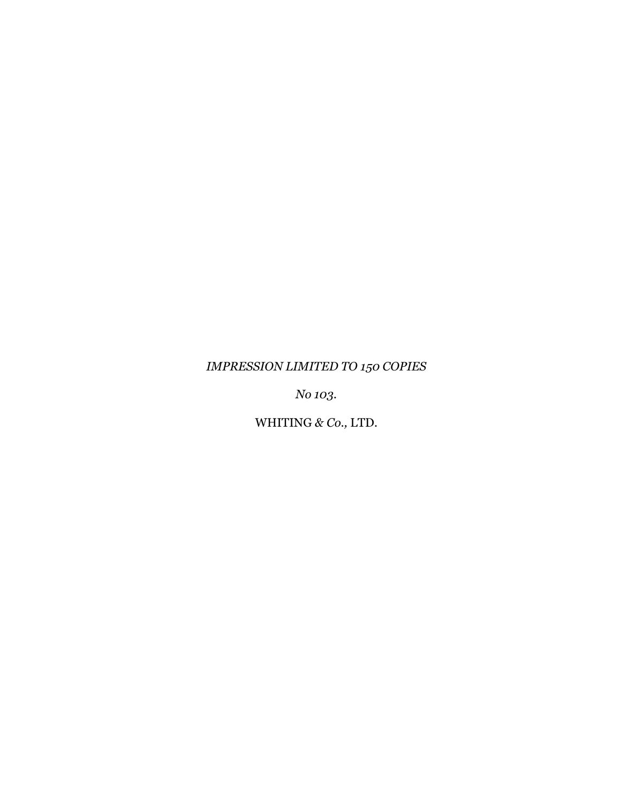*IMPRESSION LIMITED TO 150 COPIES*

*No 103.*

WHITING *& Co.,* LTD.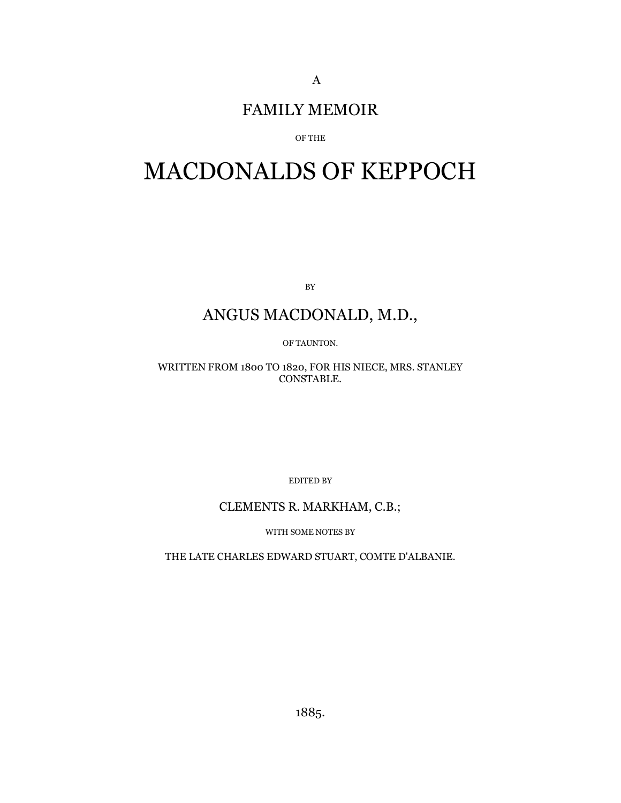# A

# FAMILY MEMOIR

#### OF THE

# MACDONALDS OF KEPPOCH

BY

# ANGUS MACDONALD, M.D.,

#### OF TAUNTON.

WRITTEN FROM 1800 TO 1820, FOR HIS NIECE, MRS. STANLEY CONSTABLE.

EDITED BY

### CLEMENTS R. MARKHAM, C.B.;

WITH SOME NOTES BY

THE LATE CHARLES EDWARD STUART, COMTE D'ALBANIE.

1885.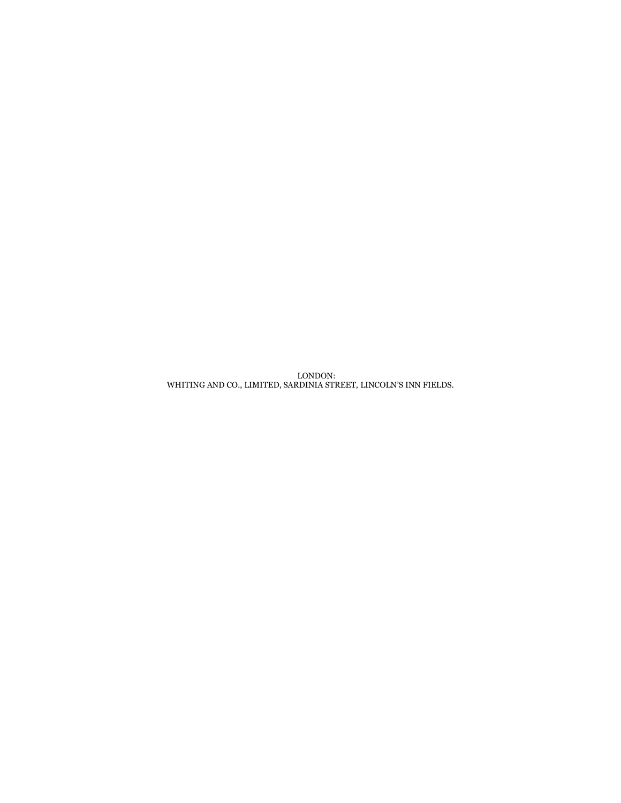LONDON: WHITING AND CO., LIMITED, SARDINIA STREET, LINCOLN'S INN FIELDS.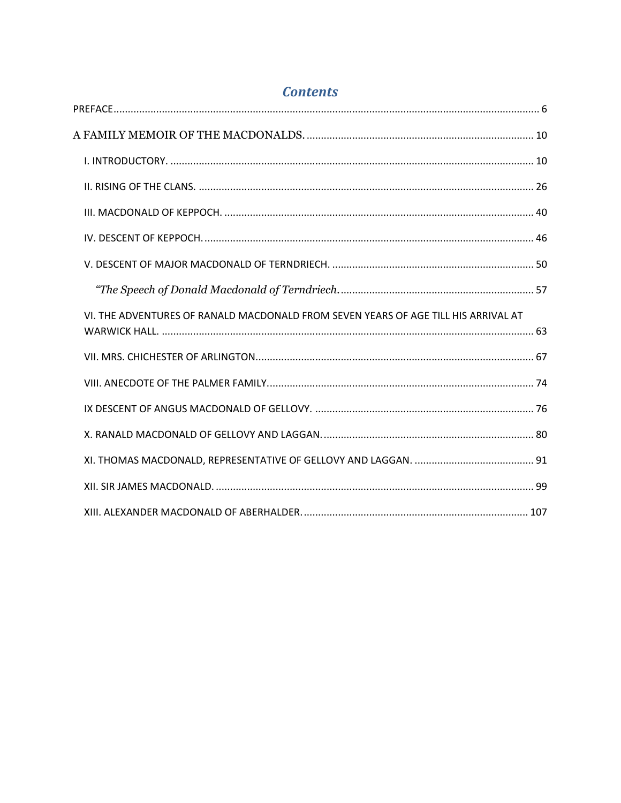| <b>Contents</b>                                                                    |  |
|------------------------------------------------------------------------------------|--|
|                                                                                    |  |
|                                                                                    |  |
|                                                                                    |  |
|                                                                                    |  |
|                                                                                    |  |
|                                                                                    |  |
|                                                                                    |  |
|                                                                                    |  |
| VI. THE ADVENTURES OF RANALD MACDONALD FROM SEVEN YEARS OF AGE TILL HIS ARRIVAL AT |  |
|                                                                                    |  |
|                                                                                    |  |
|                                                                                    |  |
|                                                                                    |  |
|                                                                                    |  |
|                                                                                    |  |
|                                                                                    |  |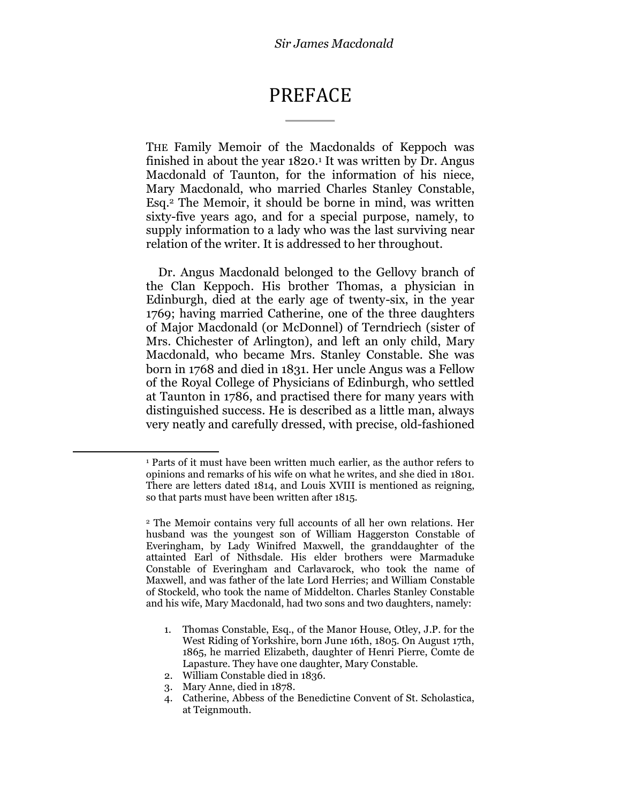# PREFACE

<span id="page-5-0"></span>THE Family Memoir of the Macdonalds of Keppoch was finished in about the year 1820.<sup>1</sup> It was written by Dr. Angus Macdonald of Taunton, for the information of his niece, Mary Macdonald, who married Charles Stanley Constable, Esq.<sup>2</sup> The Memoir, it should be borne in mind, was written sixty-five years ago, and for a special purpose, namely, to supply information to a lady who was the last surviving near relation of the writer. It is addressed to her throughout.

Dr. Angus Macdonald belonged to the Gellovy branch of the Clan Keppoch. His brother Thomas, a physician in Edinburgh, died at the early age of twenty-six, in the year 1769; having married Catherine, one of the three daughters of Major Macdonald (or McDonnel) of Terndriech (sister of Mrs. Chichester of Arlington), and left an only child, Mary Macdonald, who became Mrs. Stanley Constable. She was born in 1768 and died in 1831. Her uncle Angus was a Fellow of the Royal College of Physicians of Edinburgh, who settled at Taunton in 1786, and practised there for many years with distinguished success. He is described as a little man, always very neatly and carefully dressed, with precise, old-fashioned

<sup>1</sup> Parts of it must have been written much earlier, as the author refers to opinions and remarks of his wife on what he writes, and she died in 1801. There are letters dated 1814, and Louis XVIII is mentioned as reigning, so that parts must have been written after 1815.

<sup>2</sup> The Memoir contains very full accounts of all her own relations. Her husband was the youngest son of William Haggerston Constable of Everingham, by Lady Winifred Maxwell, the granddaughter of the attainted Earl of Nithsdale. His elder brothers were Marmaduke Constable of Everingham and Carlavarock, who took the name of Maxwell, and was father of the late Lord Herries; and William Constable of Stockeld, who took the name of Middelton. Charles Stanley Constable and his wife, Mary Macdonald, had two sons and two daughters, namely:

<sup>1.</sup> Thomas Constable, Esq., of the Manor House, Otley, J.P. for the West Riding of Yorkshire, born June 16th, 1805. On August 17th, 1865, he married Elizabeth, daughter of Henri Pierre, Comte de Lapasture. They have one daughter, Mary Constable.

<sup>2.</sup> William Constable died in 1836.

<sup>3.</sup> Mary Anne, died in 1878.

<sup>4.</sup> Catherine, Abbess of the Benedictine Convent of St. Scholastica, at Teignmouth.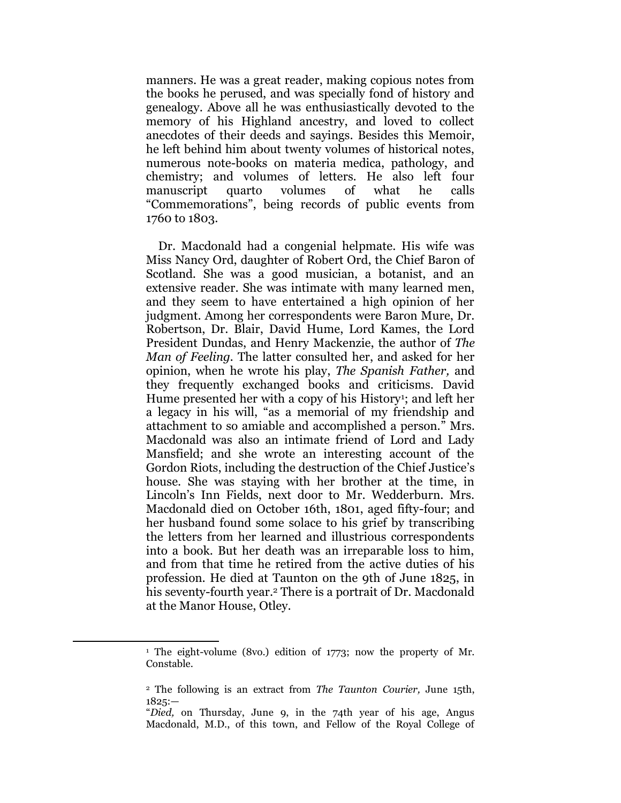manners. He was a great reader, making copious notes from the books he perused, and was specially fond of history and genealogy. Above all he was enthusiastically devoted to the memory of his Highland ancestry, and loved to collect anecdotes of their deeds and sayings. Besides this Memoir, he left behind him about twenty volumes of historical notes, numerous note-books on materia medica, pathology, and chemistry; and volumes of letters. He also left four manuscript quarto volumes of what he calls ―Commemorations‖, being records of public events from 1760 to 1803.

Dr. Macdonald had a congenial helpmate. His wife was Miss Nancy Ord, daughter of Robert Ord, the Chief Baron of Scotland. She was a good musician, a botanist, and an extensive reader. She was intimate with many learned men, and they seem to have entertained a high opinion of her judgment. Among her correspondents were Baron Mure, Dr. Robertson, Dr. Blair, David Hume, Lord Kames, the Lord President Dundas, and Henry Mackenzie, the author of *The Man of Feeling.* The latter consulted her, and asked for her opinion, when he wrote his play, *The Spanish Father,* and they frequently exchanged books and criticisms. David Hume presented her with a copy of his History<sup>1</sup>; and left her a legacy in his will, "as a memorial of my friendship and attachment to so amiable and accomplished a person." Mrs. Macdonald was also an intimate friend of Lord and Lady Mansfield; and she wrote an interesting account of the Gordon Riots, including the destruction of the Chief Justice's house. She was staying with her brother at the time, in Lincoln's Inn Fields, next door to Mr. Wedderburn. Mrs. Macdonald died on October 16th, 1801, aged fifty-four; and her husband found some solace to his grief by transcribing the letters from her learned and illustrious correspondents into a book. But her death was an irreparable loss to him, and from that time he retired from the active duties of his profession. He died at Taunton on the 9th of June 1825, in his seventy-fourth year.<sup>2</sup> There is a portrait of Dr. Macdonald at the Manor House, Otley.

<sup>1</sup> The eight-volume (8vo.) edition of 1773; now the property of Mr. Constable.

<sup>2</sup> The following is an extract from *The Taunton Courier,* June 15th,  $1825:-$ 

<sup>―</sup>*Died,* on Thursday, June 9, in the 74th year of his age, Angus Macdonald, M.D., of this town, and Fellow of the Royal College of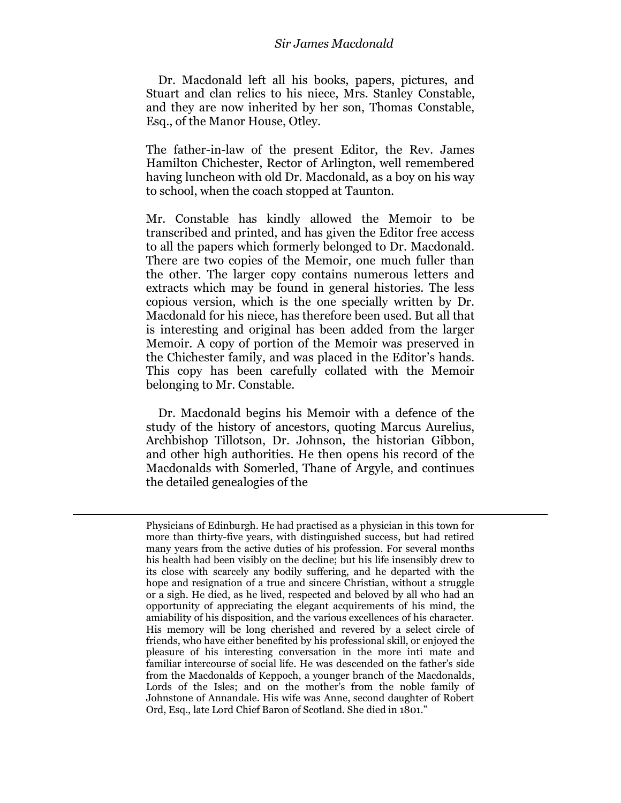Dr. Macdonald left all his books, papers, pictures, and Stuart and clan relics to his niece, Mrs. Stanley Constable, and they are now inherited by her son, Thomas Constable, Esq., of the Manor House, Otley.

The father-in-law of the present Editor, the Rev. James Hamilton Chichester, Rector of Arlington, well remembered having luncheon with old Dr. Macdonald, as a boy on his way to school, when the coach stopped at Taunton.

Mr. Constable has kindly allowed the Memoir to be transcribed and printed, and has given the Editor free access to all the papers which formerly belonged to Dr. Macdonald. There are two copies of the Memoir, one much fuller than the other. The larger copy contains numerous letters and extracts which may be found in general histories. The less copious version, which is the one specially written by Dr. Macdonald for his niece, has therefore been used. But all that is interesting and original has been added from the larger Memoir. A copy of portion of the Memoir was preserved in the Chichester family, and was placed in the Editor's hands. This copy has been carefully collated with the Memoir belonging to Mr. Constable.

Dr. Macdonald begins his Memoir with a defence of the study of the history of ancestors, quoting Marcus Aurelius, Archbishop Tillotson, Dr. Johnson, the historian Gibbon, and other high authorities. He then opens his record of the Macdonalds with Somerled, Thane of Argyle, and continues the detailed genealogies of the

l

Physicians of Edinburgh. He had practised as a physician in this town for more than thirty-five years, with distinguished success, but had retired many years from the active duties of his profession. For several months his health had been visibly on the decline; but his life insensibly drew to its close with scarcely any bodily suffering, and he departed with the hope and resignation of a true and sincere Christian, without a struggle or a sigh. He died, as he lived, respected and beloved by all who had an opportunity of appreciating the elegant acquirements of his mind, the amiability of his disposition, and the various excellences of his character. His memory will be long cherished and revered by a select circle of friends, who have either benefited by his professional skill, or enjoyed the pleasure of his interesting conversation in the more inti mate and familiar intercourse of social life. He was descended on the father's side from the Macdonalds of Keppoch, a younger branch of the Macdonalds, Lords of the Isles; and on the mother's from the noble family of Johnstone of Annandale. His wife was Anne, second daughter of Robert Ord, Esq., late Lord Chief Baron of Scotland. She died in 1801."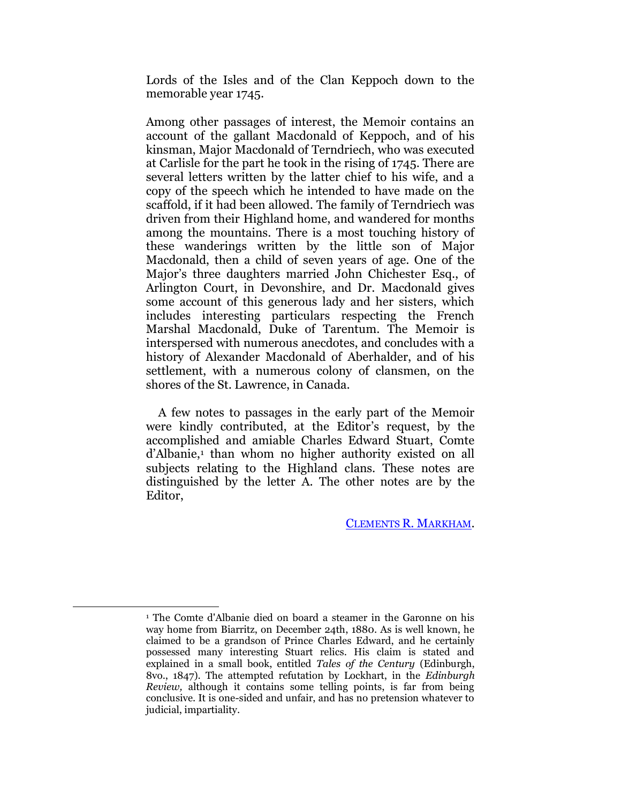Lords of the Isles and of the Clan Keppoch down to the memorable year 1745.

Among other passages of interest, the Memoir contains an account of the gallant Macdonald of Keppoch, and of his kinsman, Major Macdonald of Terndriech, who was executed at Carlisle for the part he took in the rising of 1745. There are several letters written by the latter chief to his wife, and a copy of the speech which he intended to have made on the scaffold, if it had been allowed. The family of Terndriech was driven from their Highland home, and wandered for months among the mountains. There is a most touching history of these wanderings written by the little son of Major Macdonald, then a child of seven years of age. One of the Major's three daughters married John Chichester Esq., of Arlington Court, in Devonshire, and Dr. Macdonald gives some account of this generous lady and her sisters, which includes interesting particulars respecting the French Marshal Macdonald, Duke of Tarentum. The Memoir is interspersed with numerous anecdotes, and concludes with a history of Alexander Macdonald of Aberhalder, and of his settlement, with a numerous colony of clansmen, on the shores of the St. Lawrence, in Canada.

A few notes to passages in the early part of the Memoir were kindly contributed, at the Editor's request, by the accomplished and amiable Charles Edward Stuart, Comte d'Albanie,<sup>1</sup> than whom no higher authority existed on all subjects relating to the Highland clans. These notes are distinguished by the letter A. The other notes are by the Editor,

C[LEMENTS](http://books.google.com/books?id=cR8IAAAAQAAJ&lpg=PR7&ots=m8QyIKBlE4&dq=Constable%20Mary%20Macdonald%20Keppoch&pg=PR7#v=onepage&q=Constable%20Mary%20Macdonald%20Keppoch&f=false) R. MARKHAM.

<sup>1</sup> The Comte d'Albanie died on board a steamer in the Garonne on his way home from Biarritz, on December 24th, 1880. As is well known, he claimed to be a grandson of Prince Charles Edward, and he certainly possessed many interesting Stuart relics. His claim is stated and explained in a small book, entitled *Tales of the Century* (Edinburgh, 8vo., 1847). The attempted refutation by Lockhart, in the *Edinburgh Review,* although it contains some telling points, is far from being conclusive. It is one-sided and unfair, and has no pretension whatever to judicial, impartiality.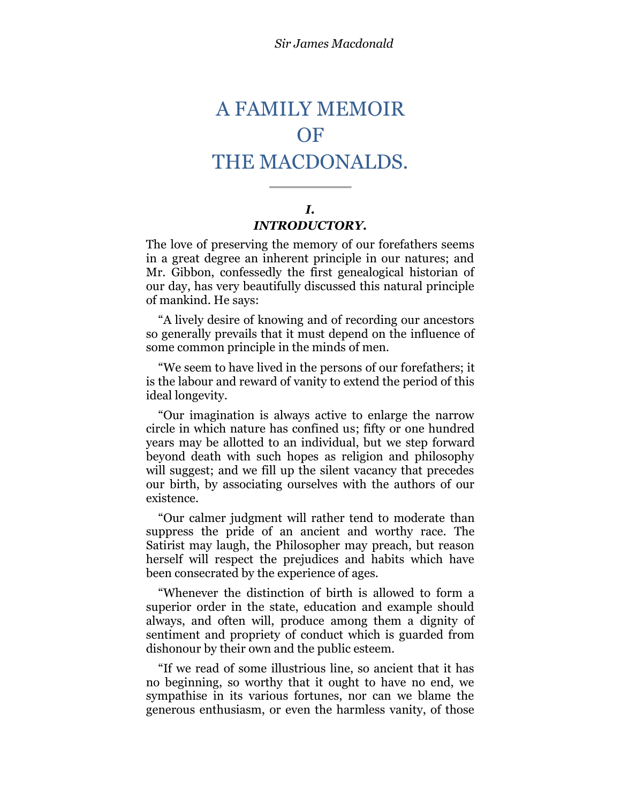# <span id="page-9-0"></span>A FAMILY MEMOIR **OF** THE MACDONALDS.

# *I. INTRODUCTORY.*

<span id="page-9-1"></span>The love of preserving the memory of our forefathers seems in a great degree an inherent principle in our natures; and Mr. Gibbon, confessedly the first genealogical historian of our day, has very beautifully discussed this natural principle of mankind. He says:

―A lively desire of knowing and of recording our ancestors so generally prevails that it must depend on the influence of some common principle in the minds of men.

―We seem to have lived in the persons of our forefathers; it is the labour and reward of vanity to extend the period of this ideal longevity.

―Our imagination is always active to enlarge the narrow circle in which nature has confined us; fifty or one hundred years may be allotted to an individual, but we step forward beyond death with such hopes as religion and philosophy will suggest; and we fill up the silent vacancy that precedes our birth, by associating ourselves with the authors of our existence.

―Our calmer judgment will rather tend to moderate than suppress the pride of an ancient and worthy race. The Satirist may laugh, the Philosopher may preach, but reason herself will respect the prejudices and habits which have been consecrated by the experience of ages.

―Whenever the distinction of birth is allowed to form a superior order in the state, education and example should always, and often will, produce among them a dignity of sentiment and propriety of conduct which is guarded from dishonour by their own and the public esteem.

―If we read of some illustrious line, so ancient that it has no beginning, so worthy that it ought to have no end, we sympathise in its various fortunes, nor can we blame the generous enthusiasm, or even the harmless vanity, of those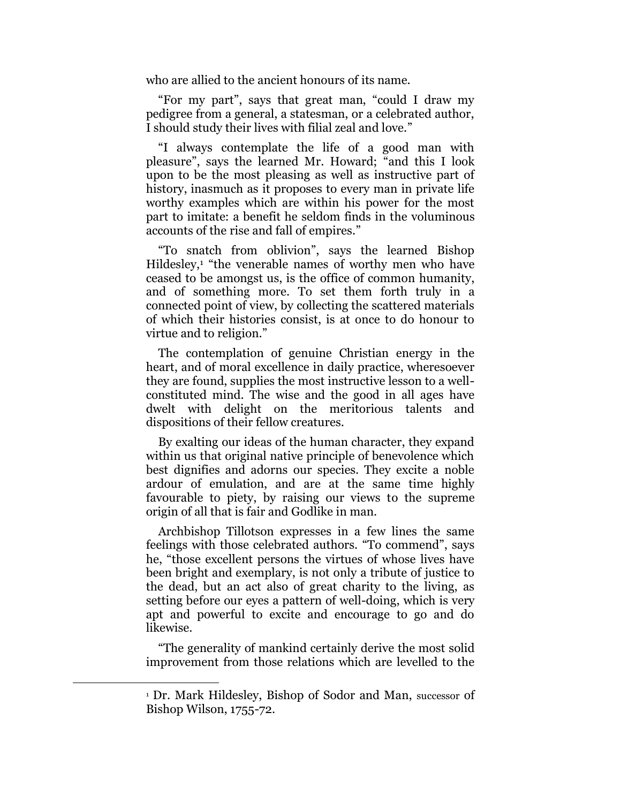who are allied to the ancient honours of its name.

"For my part", says that great man, "could I draw my pedigree from a general, a statesman, or a celebrated author, I should study their lives with filial zeal and love."

―I always contemplate the life of a good man with pleasure", says the learned Mr. Howard; "and this I look upon to be the most pleasing as well as instructive part of history, inasmuch as it proposes to every man in private life worthy examples which are within his power for the most part to imitate: a benefit he seldom finds in the voluminous accounts of the rise and fall of empires."

―To snatch from oblivion‖, says the learned Bishop Hildesley,<sup>1</sup> "the venerable names of worthy men who have ceased to be amongst us, is the office of common humanity, and of something more. To set them forth truly in a connected point of view, by collecting the scattered materials of which their histories consist, is at once to do honour to virtue and to religion."

The contemplation of genuine Christian energy in the heart, and of moral excellence in daily practice, wheresoever they are found, supplies the most instructive lesson to a wellconstituted mind. The wise and the good in all ages have dwelt with delight on the meritorious talents and dispositions of their fellow creatures.

By exalting our ideas of the human character, they expand within us that original native principle of benevolence which best dignifies and adorns our species. They excite a noble ardour of emulation, and are at the same time highly favourable to piety, by raising our views to the supreme origin of all that is fair and Godlike in man.

Archbishop Tillotson expresses in a few lines the same feelings with those celebrated authors. "To commend", says he, "those excellent persons the virtues of whose lives have been bright and exemplary, is not only a tribute of justice to the dead, but an act also of great charity to the living, as setting before our eyes a pattern of well-doing, which is very apt and powerful to excite and encourage to go and do likewise.

―The generality of mankind certainly derive the most solid improvement from those relations which are levelled to the

<sup>1</sup> Dr. Mark Hildesley, Bishop of Sodor and Man, successor of Bishop Wilson, 1755-72.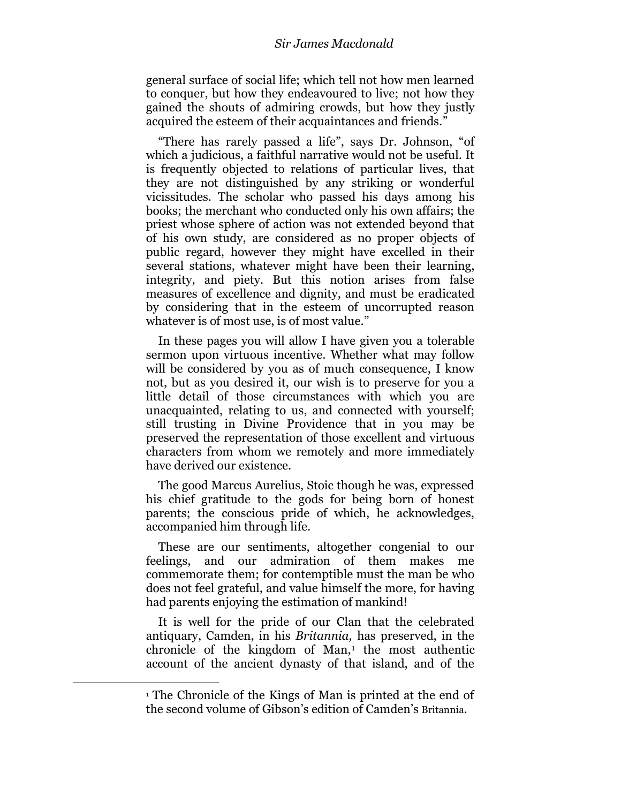general surface of social life; which tell not how men learned to conquer, but how they endeavoured to live; not how they gained the shouts of admiring crowds, but how they justly acquired the esteem of their acquaintances and friends."

"There has rarely passed a life", says Dr. Johnson, "of which a judicious, a faithful narrative would not be useful. It is frequently objected to relations of particular lives, that they are not distinguished by any striking or wonderful vicissitudes. The scholar who passed his days among his books; the merchant who conducted only his own affairs; the priest whose sphere of action was not extended beyond that of his own study, are considered as no proper objects of public regard, however they might have excelled in their several stations, whatever might have been their learning, integrity, and piety. But this notion arises from false measures of excellence and dignity, and must be eradicated by considering that in the esteem of uncorrupted reason whatever is of most use, is of most value."

In these pages you will allow I have given you a tolerable sermon upon virtuous incentive. Whether what may follow will be considered by you as of much consequence, I know not, but as you desired it, our wish is to preserve for you a little detail of those circumstances with which you are unacquainted, relating to us, and connected with yourself; still trusting in Divine Providence that in you may be preserved the representation of those excellent and virtuous characters from whom we remotely and more immediately have derived our existence.

The good Marcus Aurelius, Stoic though he was, expressed his chief gratitude to the gods for being born of honest parents; the conscious pride of which, he acknowledges, accompanied him through life.

These are our sentiments, altogether congenial to our feelings, and our admiration of them makes me commemorate them; for contemptible must the man be who does not feel grateful, and value himself the more, for having had parents enjoying the estimation of mankind!

It is well for the pride of our Clan that the celebrated antiquary, Camden, in his *Britannia,* has preserved, in the chronicle of the kingdom of  $Man<sub>1</sub>$  the most authentic account of the ancient dynasty of that island, and of the

<sup>1</sup> The Chronicle of the Kings of Man is printed at the end of the second volume of Gibson's edition of Camden's Britannia*.*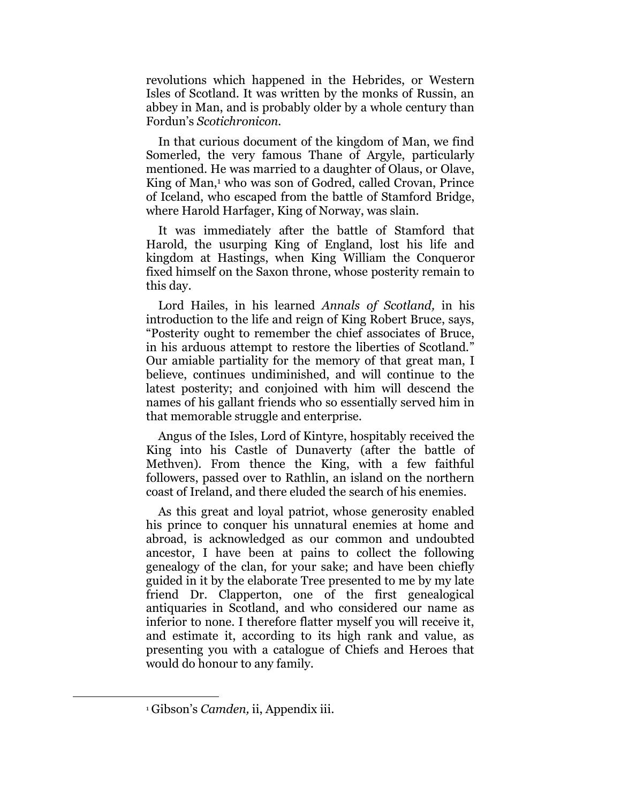revolutions which happened in the Hebrides, or Western Isles of Scotland. It was written by the monks of Russin, an abbey in Man, and is probably older by a whole century than Fordun's *Scotichronicon.*

In that curious document of the kingdom of Man, we find Somerled, the very famous Thane of Argyle, particularly mentioned. He was married to a daughter of Olaus, or Olave, King of Man,<sup>1</sup> who was son of Godred, called Crovan, Prince of Iceland, who escaped from the battle of Stamford Bridge, where Harold Harfager, King of Norway, was slain.

It was immediately after the battle of Stamford that Harold, the usurping King of England, lost his life and kingdom at Hastings, when King William the Conqueror fixed himself on the Saxon throne, whose posterity remain to this day.

Lord Hailes, in his learned *Annals of Scotland,* in his introduction to the life and reign of King Robert Bruce, says, ―Posterity ought to remember the chief associates of Bruce, in his arduous attempt to restore the liberties of Scotland." Our amiable partiality for the memory of that great man, I believe, continues undiminished, and will continue to the latest posterity; and conjoined with him will descend the names of his gallant friends who so essentially served him in that memorable struggle and enterprise.

Angus of the Isles, Lord of Kintyre, hospitably received the King into his Castle of Dunaverty (after the battle of Methven). From thence the King, with a few faithful followers, passed over to Rathlin, an island on the northern coast of Ireland, and there eluded the search of his enemies.

As this great and loyal patriot, whose generosity enabled his prince to conquer his unnatural enemies at home and abroad, is acknowledged as our common and undoubted ancestor, I have been at pains to collect the following genealogy of the clan, for your sake; and have been chiefly guided in it by the elaborate Tree presented to me by my late friend Dr. Clapperton, one of the first genealogical antiquaries in Scotland, and who considered our name as inferior to none. I therefore flatter myself you will receive it, and estimate it, according to its high rank and value, as presenting you with a catalogue of Chiefs and Heroes that would do honour to any family.

l

<sup>1</sup> Gibson's *Camden,* ii, Appendix iii.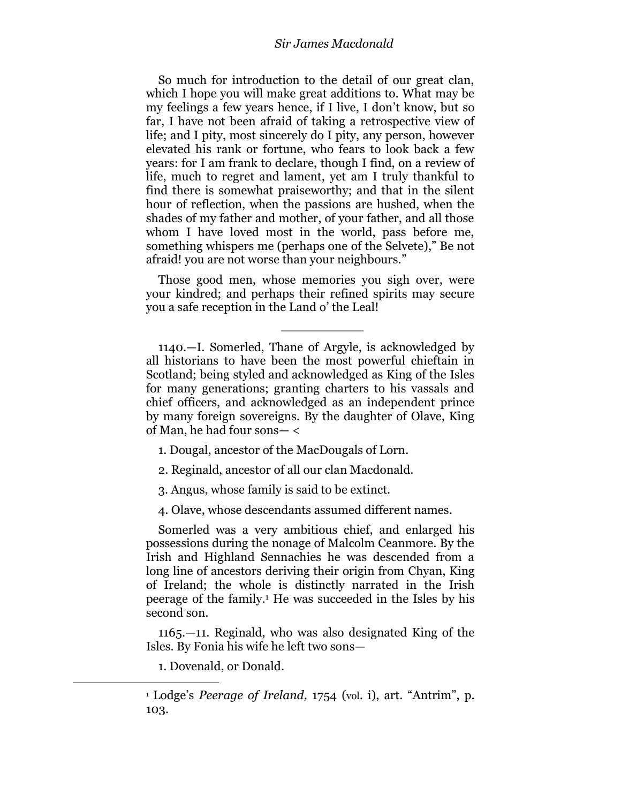So much for introduction to the detail of our great clan, which I hope you will make great additions to. What may be my feelings a few years hence, if I live, I don't know, but so far, I have not been afraid of taking a retrospective view of life; and I pity, most sincerely do I pity, any person, however elevated his rank or fortune, who fears to look back a few years: for I am frank to declare, though I find, on a review of life, much to regret and lament, yet am I truly thankful to find there is somewhat praiseworthy; and that in the silent hour of reflection, when the passions are hushed, when the shades of my father and mother, of your father, and all those whom I have loved most in the world, pass before me, something whispers me (perhaps one of the Selvete)," Be not afraid! you are not worse than your neighbours."

Those good men, whose memories you sigh over, were your kindred; and perhaps their refined spirits may secure you a safe reception in the Land o' the Leal!

1140.—I. Somerled, Thane of Argyle, is acknowledged by all historians to have been the most powerful chieftain in Scotland; being styled and acknowledged as King of the Isles for many generations; granting charters to his vassals and chief officers, and acknowledged as an independent prince by many foreign sovereigns. By the daughter of Olave, King of Man, he had four sons— <

1. Dougal, ancestor of the MacDougals of Lorn.

2. Reginald, ancestor of all our clan Macdonald.

3. Angus, whose family is said to be extinct.

4. Olave, whose descendants assumed different names.

Somerled was a very ambitious chief, and enlarged his possessions during the nonage of Malcolm Ceanmore. By the Irish and Highland Sennachies he was descended from a long line of ancestors deriving their origin from Chyan, King of Ireland; the whole is distinctly narrated in the Irish peerage of the family.<sup>1</sup> He was succeeded in the Isles by his second son.

1165.—11. Reginald, who was also designated King of the Isles. By Fonia his wife he left two sons—

1. Dovenald, or Donald.

<sup>&</sup>lt;sup>1</sup> Lodge's *Peerage of Ireland*, 1754 (vol. i), art. "Antrim", p. 103.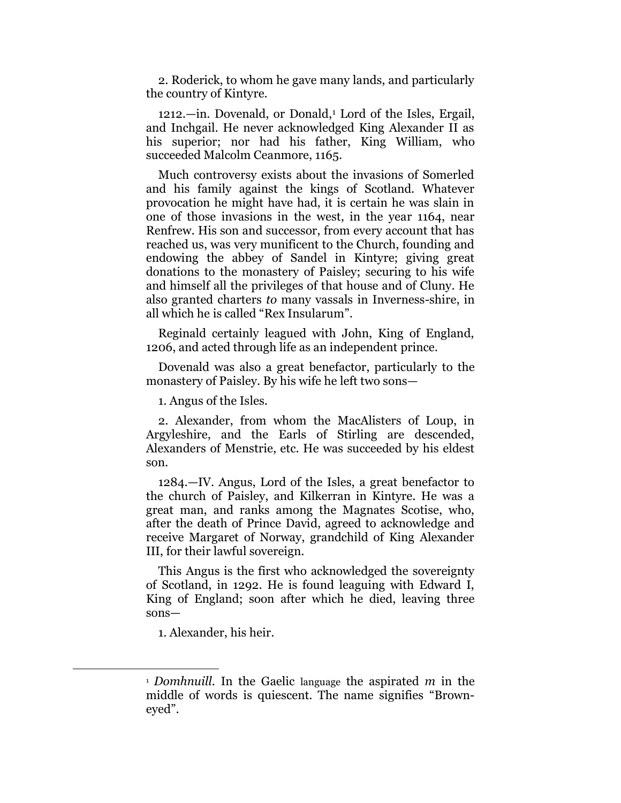2. Roderick, to whom he gave many lands, and particularly the country of Kintyre.

1212.—in. Dovenald, or Donald,<sup>1</sup> Lord of the Isles, Ergail, and Inchgail. He never acknowledged King Alexander II as his superior; nor had his father, King William, who succeeded Malcolm Ceanmore, 1165.

Much controversy exists about the invasions of Somerled and his family against the kings of Scotland. Whatever provocation he might have had, it is certain he was slain in one of those invasions in the west, in the year 1164, near Renfrew. His son and successor, from every account that has reached us, was very munificent to the Church, founding and endowing the abbey of Sandel in Kintyre; giving great donations to the monastery of Paisley; securing to his wife and himself all the privileges of that house and of Cluny. He also granted charters *to* many vassals in Inverness-shire, in all which he is called "Rex Insularum".

Reginald certainly leagued with John, King of England, 1206, and acted through life as an independent prince.

Dovenald was also a great benefactor, particularly to the monastery of Paisley. By his wife he left two sons—

1. Angus of the Isles.

2. Alexander, from whom the MacAlisters of Loup, in Argyleshire, and the Earls of Stirling are descended, Alexanders of Menstrie, etc. He was succeeded by his eldest son.

1284.—IV. Angus, Lord of the Isles, a great benefactor to the church of Paisley, and Kilkerran in Kintyre. He was a great man, and ranks among the Magnates Scotise, who, after the death of Prince David, agreed to acknowledge and receive Margaret of Norway, grandchild of King Alexander III, for their lawful sovereign.

This Angus is the first who acknowledged the sovereignty of Scotland, in 1292. He is found leaguing with Edward I, King of England; soon after which he died, leaving three sons—

1. Alexander, his heir.

l

<sup>1</sup> *Domhnuill.* In the Gaelic language the aspirated *m* in the middle of words is quiescent. The name signifies "Browneyed".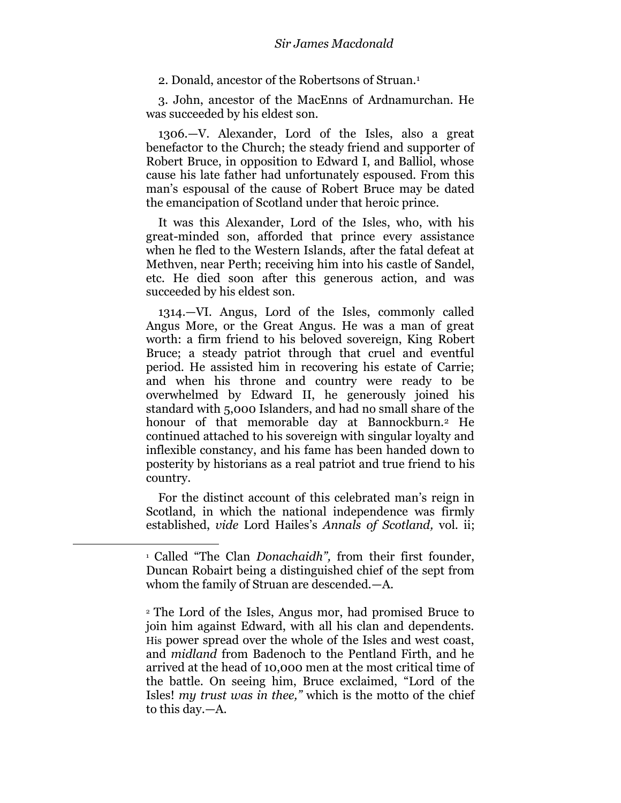2. Donald, ancestor of the Robertsons of Struan.<sup>1</sup>

3. John, ancestor of the MacEnns of Ardnamurchan. He was succeeded by his eldest son.

1306.—V. Alexander, Lord of the Isles, also a great benefactor to the Church; the steady friend and supporter of Robert Bruce, in opposition to Edward I, and Balliol, whose cause his late father had unfortunately espoused. From this man's espousal of the cause of Robert Bruce may be dated the emancipation of Scotland under that heroic prince.

It was this Alexander, Lord of the Isles, who, with his great-minded son, afforded that prince every assistance when he fled to the Western Islands, after the fatal defeat at Methven, near Perth; receiving him into his castle of Sandel, etc. He died soon after this generous action, and was succeeded by his eldest son.

1314.—VI. Angus, Lord of the Isles, commonly called Angus More, or the Great Angus. He was a man of great worth: a firm friend to his beloved sovereign, King Robert Bruce; a steady patriot through that cruel and eventful period. He assisted him in recovering his estate of Carrie; and when his throne and country were ready to be overwhelmed by Edward II, he generously joined his standard with 5,000 Islanders, and had no small share of the honour of that memorable day at Bannockburn.<sup>2</sup> He continued attached to his sovereign with singular loyalty and inflexible constancy, and his fame has been handed down to posterity by historians as a real patriot and true friend to his country.

For the distinct account of this celebrated man's reign in Scotland, in which the national independence was firmly established, *vide* Lord Hailes's *Annals of Scotland,* vol. ii;

<sup>&</sup>lt;sup>1</sup> Called "The Clan *Donachaidh"*, from their first founder, Duncan Robairt being a distinguished chief of the sept from whom the family of Struan are descended.—A.

<sup>2</sup> The Lord of the Isles, Angus mor, had promised Bruce to join him against Edward, with all his clan and dependents. His power spread over the whole of the Isles and west coast, and *midland* from Badenoch to the Pentland Firth, and he arrived at the head of 10,000 men at the most critical time of the battle. On seeing him, Bruce exclaimed, "Lord of the Isles! *my trust was in thee,"* which is the motto of the chief to this day.—A.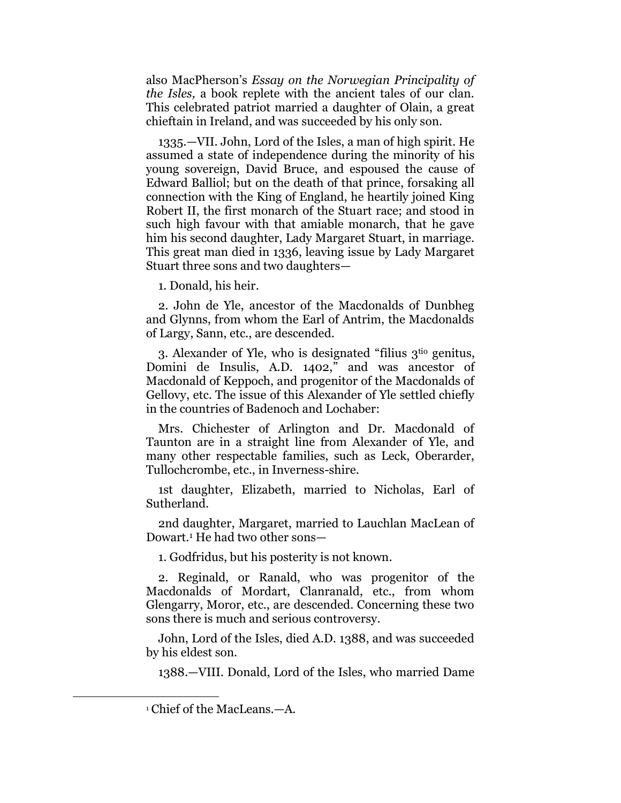also MacPherson's *Essay on the Norwegian Principality of the Isles,* a book replete with the ancient tales of our clan. This celebrated patriot married a daughter of Olain, a great chieftain in Ireland, and was succeeded by his only son.

1335.—VII. John, Lord of the Isles, a man of high spirit. He assumed a state of independence during the minority of his young sovereign, David Bruce, and espoused the cause of Edward Balliol; but on the death of that prince, forsaking all connection with the King of England, he heartily joined King Robert II, the first monarch of the Stuart race; and stood in such high favour with that amiable monarch, that he gave him his second daughter, Lady Margaret Stuart, in marriage. This great man died in 1336, leaving issue by Lady Margaret Stuart three sons and two daughters—

1. Donald, his heir.

2. John de Yle, ancestor of the Macdonalds of Dunbheg and Glynns, from whom the Earl of Antrim, the Macdonalds of Largy, Sann, etc., are descended.

3. Alexander of Yle, who is designated "filius 3<sup>tio</sup> genitus, Domini de Insulis, A.D. 1402," and was ancestor of Macdonald of Keppoch, and progenitor of the Macdonalds of Gellovy, etc. The issue of this Alexander of Yle settled chiefly in the countries of Badenoch and Lochaber:

Mrs. Chichester of Arlington and Dr. Macdonald of Taunton are in a straight line from Alexander of Yle, and many other respectable families, such as Leck, Oberarder, Tullochcrombe, etc., in Inverness-shire.

1st daughter, Elizabeth, married to Nicholas, Earl of Sutherland.

2nd daughter, Margaret, married to Lauchlan MacLean of Dowart.<sup>1</sup> He had two other sons—

1. Godfridus, but his posterity is not known.

2. Reginald, or Ranald, who was progenitor of the Macdonalds of Mordart, Clanranald, etc., from whom Glengarry, Moror, etc., are descended. Concerning these two sons there is much and serious controversy.

John, Lord of the Isles, died A.D. 1388, and was succeeded by his eldest son.

1388.—VIII. Donald, Lord of the Isles, who married Dame

l

<sup>1</sup> Chief of the MacLeans.—A.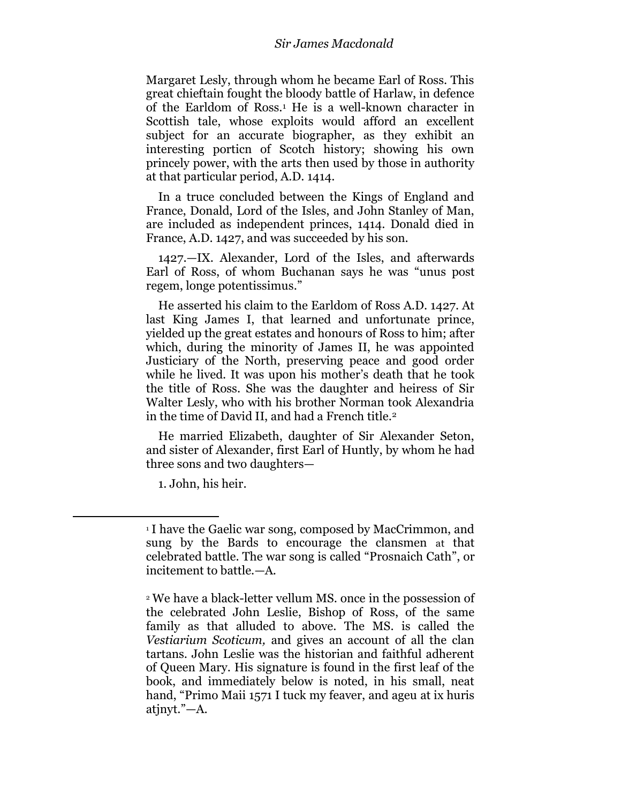Margaret Lesly, through whom he became Earl of Ross. This great chieftain fought the bloody battle of Harlaw, in defence of the Earldom of Ross.<sup>1</sup> He is a well-known character in Scottish tale, whose exploits would afford an excellent subject for an accurate biographer, as they exhibit an interesting porticn of Scotch history; showing his own princely power, with the arts then used by those in authority at that particular period, A.D. 1414.

In a truce concluded between the Kings of England and France, Donald, Lord of the Isles, and John Stanley of Man, are included as independent princes, 1414. Donald died in France, A.D. 1427, and was succeeded by his son.

1427.—IX. Alexander, Lord of the Isles, and afterwards Earl of Ross, of whom Buchanan says he was "unus post" regem, longe potentissimus."

He asserted his claim to the Earldom of Ross A.D. 1427. At last King James I, that learned and unfortunate prince, yielded up the great estates and honours of Ross to him; after which, during the minority of James II, he was appointed Justiciary of the North, preserving peace and good order while he lived. It was upon his mother's death that he took the title of Ross. She was the daughter and heiress of Sir Walter Lesly, who with his brother Norman took Alexandria in the time of David II, and had a French title.<sup>2</sup>

He married Elizabeth, daughter of Sir Alexander Seton, and sister of Alexander, first Earl of Huntly, by whom he had three sons and two daughters—

1. John, his heir.

<sup>1</sup> I have the Gaelic war song, composed by MacCrimmon, and sung by the Bards to encourage the clansmen at that celebrated battle. The war song is called "Prosnaich Cath", or incitement to battle.—A.

<sup>2</sup> We have a black-letter vellum MS. once in the possession of the celebrated John Leslie, Bishop of Ross, of the same family as that alluded to above. The MS. is called the *Vestiarium Scoticum,* and gives an account of all the clan tartans. John Leslie was the historian and faithful adherent of Queen Mary. His signature is found in the first leaf of the book, and immediately below is noted, in his small, neat hand, "Primo Maii 1571 I tuck my feaver, and ageu at ix huris atjnyt."—A.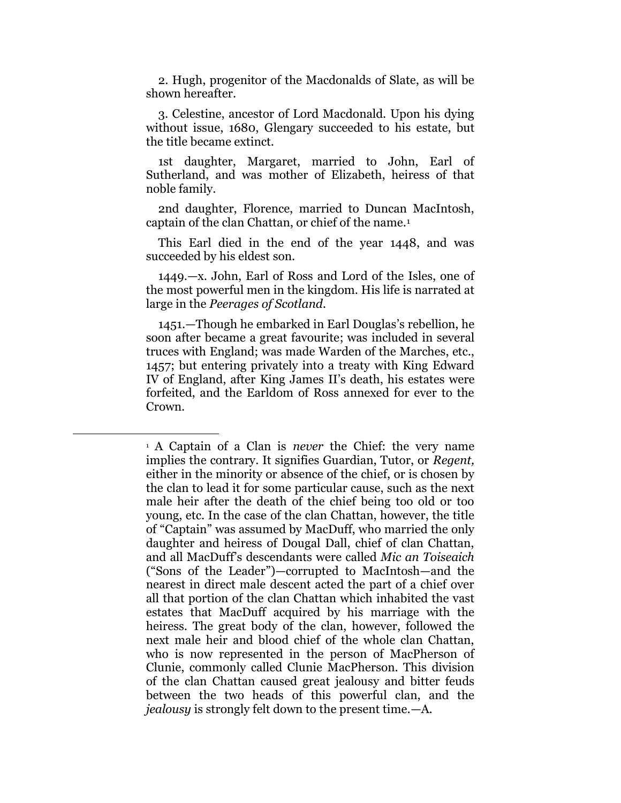2. Hugh, progenitor of the Macdonalds of Slate, as will be shown hereafter.

3. Celestine, ancestor of Lord Macdonald. Upon his dying without issue, 1680, Glengary succeeded to his estate, but the title became extinct.

1st daughter, Margaret, married to John, Earl of Sutherland, and was mother of Elizabeth, heiress of that noble family.

2nd daughter, Florence, married to Duncan MacIntosh, captain of the clan Chattan, or chief of the name.<sup>1</sup>

This Earl died in the end of the year 1448, and was succeeded by his eldest son.

1449.—x. John, Earl of Ross and Lord of the Isles, one of the most powerful men in the kingdom. His life is narrated at large in the *Peerages of Scotland.*

1451.—Though he embarked in Earl Douglas's rebellion, he soon after became a great favourite; was included in several truces with England; was made Warden of the Marches, etc., 1457; but entering privately into a treaty with King Edward IV of England, after King James II's death, his estates were forfeited, and the Earldom of Ross annexed for ever to the Crown.

<sup>1</sup> A Captain of a Clan is *never* the Chief: the very name implies the contrary. It signifies Guardian, Tutor, or *Regent,*  either in the minority or absence of the chief, or is chosen by the clan to lead it for some particular cause, such as the next male heir after the death of the chief being too old or too young, etc. In the case of the clan Chattan, however, the title of "Captain" was assumed by MacDuff, who married the only daughter and heiress of Dougal Dall, chief of clan Chattan, and all MacDuff's descendants were called *Mic an Toiseaich*  (―Sons of the Leader‖)—corrupted to MacIntosh—and the nearest in direct male descent acted the part of a chief over all that portion of the clan Chattan which inhabited the vast estates that MacDuff acquired by his marriage with the heiress. The great body of the clan, however, followed the next male heir and blood chief of the whole clan Chattan, who is now represented in the person of MacPherson of Clunie, commonly called Clunie MacPherson. This division of the clan Chattan caused great jealousy and bitter feuds between the two heads of this powerful clan, and the *jealousy* is strongly felt down to the present time.—A.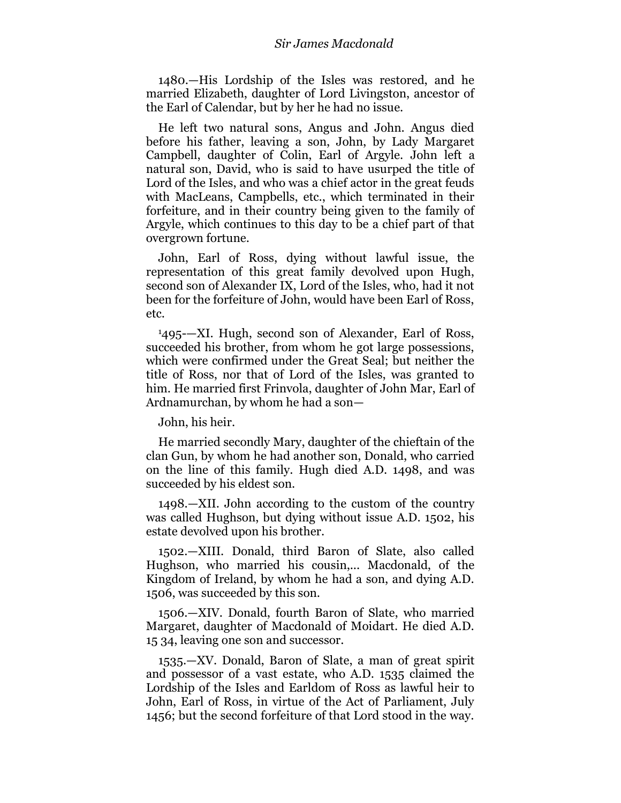1480.—His Lordship of the Isles was restored, and he married Elizabeth, daughter of Lord Livingston, ancestor of the Earl of Calendar, but by her he had no issue.

He left two natural sons, Angus and John. Angus died before his father, leaving a son, John, by Lady Margaret Campbell, daughter of Colin, Earl of Argyle. John left a natural son, David, who is said to have usurped the title of Lord of the Isles, and who was a chief actor in the great feuds with MacLeans, Campbells, etc., which terminated in their forfeiture, and in their country being given to the family of Argyle, which continues to this day to be a chief part of that overgrown fortune.

John, Earl of Ross, dying without lawful issue, the representation of this great family devolved upon Hugh, second son of Alexander IX, Lord of the Isles, who, had it not been for the forfeiture of John, would have been Earl of Ross, etc.

<sup>1</sup>495-—XI. Hugh, second son of Alexander, Earl of Ross, succeeded his brother, from whom he got large possessions, which were confirmed under the Great Seal; but neither the title of Ross, nor that of Lord of the Isles, was granted to him. He married first Frinvola, daughter of John Mar, Earl of Ardnamurchan, by whom he had a son—

John, his heir.

He married secondly Mary, daughter of the chieftain of the clan Gun, by whom he had another son, Donald, who carried on the line of this family. Hugh died A.D. 1498, and was succeeded by his eldest son.

1498.—XII. John according to the custom of the country was called Hughson, but dying without issue A.D. 1502, his estate devolved upon his brother.

1502.—XIII. Donald, third Baron of Slate, also called Hughson, who married his cousin,... Macdonald, of the Kingdom of Ireland, by whom he had a son, and dying A.D. 1506, was succeeded by this son.

1506.—XIV. Donald, fourth Baron of Slate, who married Margaret, daughter of Macdonald of Moidart. He died A.D. 15 34, leaving one son and successor.

1535.—XV. Donald, Baron of Slate, a man of great spirit and possessor of a vast estate, who A.D. 1535 claimed the Lordship of the Isles and Earldom of Ross as lawful heir to John, Earl of Ross, in virtue of the Act of Parliament, July 1456; but the second forfeiture of that Lord stood in the way.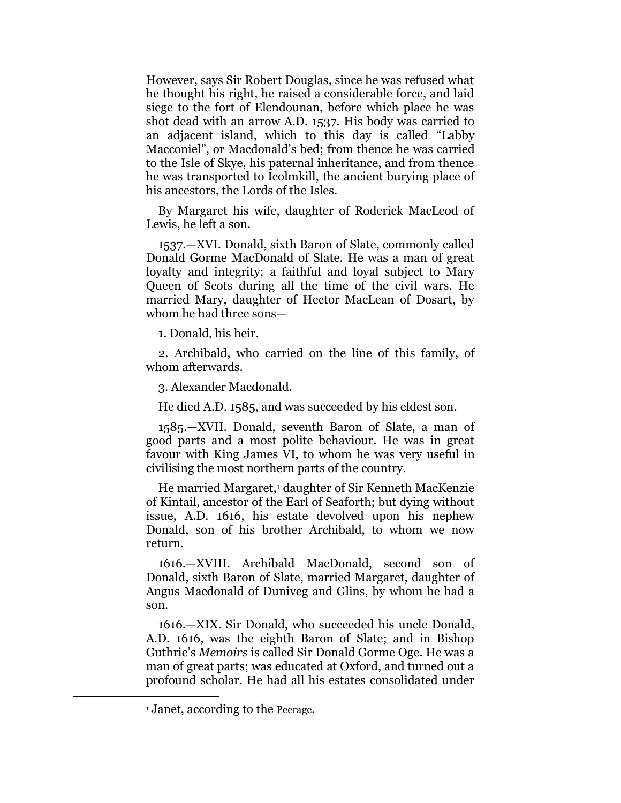However, says Sir Robert Douglas, since he was refused what he thought his right, he raised a considerable force, and laid siege to the fort of Elendounan, before which place he was shot dead with an arrow A.D. 1537. His body was carried to an adjacent island, which to this day is called "Labby" Macconiel", or Macdonald's bed; from thence he was carried to the Isle of Skye, his paternal inheritance, and from thence he was transported to Icolmkill, the ancient burying place of his ancestors, the Lords of the Isles.

By Margaret his wife, daughter of Roderick MacLeod of Lewis, he left a son.

1537.—XVI. Donald, sixth Baron of Slate, commonly called Donald Gorme MacDonald of Slate. He was a man of great loyalty and integrity; a faithful and loyal subject to Mary Queen of Scots during all the time of the civil wars. He married Mary, daughter of Hector MacLean of Dosart, by whom he had three sons—

1. Donald, his heir.

2. Archibald, who carried on the line of this family, of whom afterwards.

3. Alexander Macdonald.

He died A.D. 1585, and was succeeded by his eldest son.

1585.—XVII. Donald, seventh Baron of Slate, a man of good parts and a most polite behaviour. He was in great favour with King James VI, to whom he was very useful in civilising the most northern parts of the country.

He married Margaret,<sup>1</sup> daughter of Sir Kenneth MacKenzie of Kintail, ancestor of the Earl of Seaforth; but dying without issue, A.D. 1616, his estate devolved upon his nephew Donald, son of his brother Archibald, to whom we now return.

1616.—XVIII. Archibald MacDonald, second son of Donald, sixth Baron of Slate, married Margaret, daughter of Angus Macdonald of Duniveg and Glins, by whom he had a son.

1616.—XIX. Sir Donald, who succeeded his uncle Donald, A.D. 1616, was the eighth Baron of Slate; and in Bishop Guthrie's *Memoirs* is called Sir Donald Gorme Oge. He was a man of great parts; was educated at Oxford, and turned out a profound scholar. He had all his estates consolidated under

l

<sup>1</sup> Janet, according to the Peerage*.*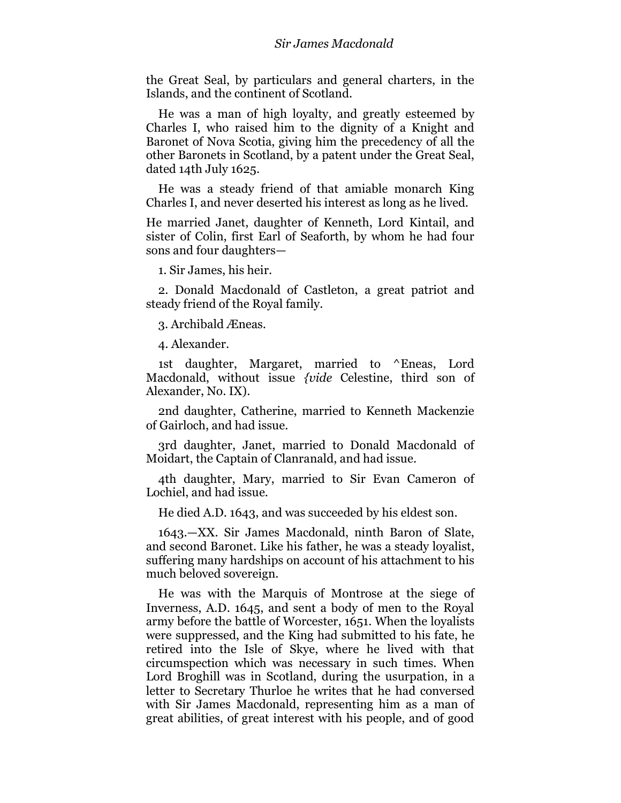the Great Seal, by particulars and general charters, in the Islands, and the continent of Scotland.

He was a man of high loyalty, and greatly esteemed by Charles I, who raised him to the dignity of a Knight and Baronet of Nova Scotia, giving him the precedency of all the other Baronets in Scotland, by a patent under the Great Seal, dated 14th July 1625.

He was a steady friend of that amiable monarch King Charles I, and never deserted his interest as long as he lived.

He married Janet, daughter of Kenneth, Lord Kintail, and sister of Colin, first Earl of Seaforth, by whom he had four sons and four daughters—

1. Sir James, his heir.

2. Donald Macdonald of Castleton, a great patriot and steady friend of the Royal family.

3. Archibald Æneas.

4. Alexander.

1st daughter, Margaret, married to ^Eneas, Lord Macdonald, without issue *{vide* Celestine, third son of Alexander, No. IX).

2nd daughter, Catherine, married to Kenneth Mackenzie of Gairloch, and had issue.

3rd daughter, Janet, married to Donald Macdonald of Moidart, the Captain of Clanranald, and had issue.

4th daughter, Mary, married to Sir Evan Cameron of Lochiel, and had issue.

He died A.D. 1643, and was succeeded by his eldest son.

1643.—XX. Sir James Macdonald, ninth Baron of Slate, and second Baronet. Like his father, he was a steady loyalist, suffering many hardships on account of his attachment to his much beloved sovereign.

He was with the Marquis of Montrose at the siege of Inverness, A.D. 1645, and sent a body of men to the Royal army before the battle of Worcester, 1651. When the loyalists were suppressed, and the King had submitted to his fate, he retired into the Isle of Skye, where he lived with that circumspection which was necessary in such times. When Lord Broghill was in Scotland, during the usurpation, in a letter to Secretary Thurloe he writes that he had conversed with Sir James Macdonald, representing him as a man of great abilities, of great interest with his people, and of good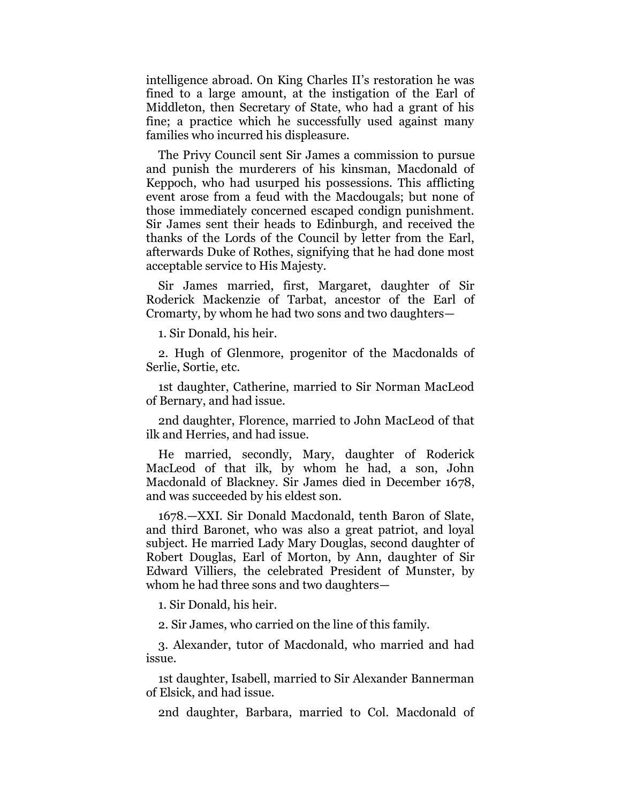intelligence abroad. On King Charles II's restoration he was fined to a large amount, at the instigation of the Earl of Middleton, then Secretary of State, who had a grant of his fine; a practice which he successfully used against many families who incurred his displeasure.

The Privy Council sent Sir James a commission to pursue and punish the murderers of his kinsman, Macdonald of Keppoch, who had usurped his possessions. This afflicting event arose from a feud with the Macdougals; but none of those immediately concerned escaped condign punishment. Sir James sent their heads to Edinburgh, and received the thanks of the Lords of the Council by letter from the Earl, afterwards Duke of Rothes, signifying that he had done most acceptable service to His Majesty.

Sir James married, first, Margaret, daughter of Sir Roderick Mackenzie of Tarbat, ancestor of the Earl of Cromarty, by whom he had two sons and two daughters—

1. Sir Donald, his heir.

2. Hugh of Glenmore, progenitor of the Macdonalds of Serlie, Sortie, etc.

1st daughter, Catherine, married to Sir Norman MacLeod of Bernary, and had issue.

2nd daughter, Florence, married to John MacLeod of that ilk and Herries, and had issue.

He married, secondly, Mary, daughter of Roderick MacLeod of that ilk, by whom he had, a son, John Macdonald of Blackney. Sir James died in December 1678, and was succeeded by his eldest son.

1678.—XXI. Sir Donald Macdonald, tenth Baron of Slate, and third Baronet, who was also a great patriot, and loyal subject. He married Lady Mary Douglas, second daughter of Robert Douglas, Earl of Morton, by Ann, daughter of Sir Edward Villiers, the celebrated President of Munster, by whom he had three sons and two daughters—

1. Sir Donald, his heir.

2. Sir James, who carried on the line of this family.

3. Alexander, tutor of Macdonald, who married and had issue.

1st daughter, Isabell, married to Sir Alexander Bannerman of Elsick, and had issue.

2nd daughter, Barbara, married to Col. Macdonald of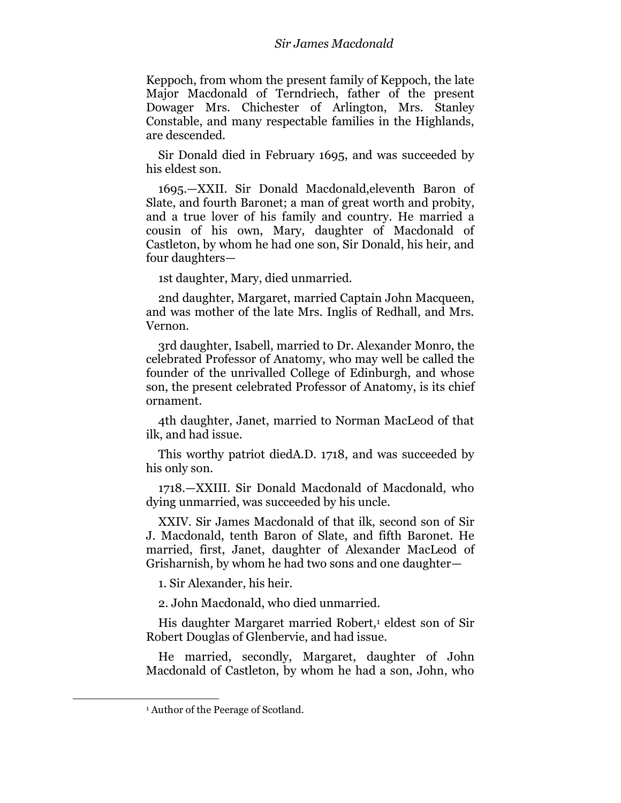Keppoch, from whom the present family of Keppoch, the late Major Macdonald of Terndriech, father of the present Dowager Mrs. Chichester of Arlington, Mrs. Stanley Constable, and many respectable families in the Highlands, are descended.

Sir Donald died in February 1695, and was succeeded by his eldest son.

1695.—XXII. Sir Donald Macdonald,eleventh Baron of Slate, and fourth Baronet; a man of great worth and probity, and a true lover of his family and country. He married a cousin of his own, Mary, daughter of Macdonald of Castleton, by whom he had one son, Sir Donald, his heir, and four daughters—

1st daughter, Mary, died unmarried.

2nd daughter, Margaret, married Captain John Macqueen, and was mother of the late Mrs. Inglis of Redhall, and Mrs. Vernon.

3rd daughter, Isabell, married to Dr. Alexander Monro, the celebrated Professor of Anatomy, who may well be called the founder of the unrivalled College of Edinburgh, and whose son, the present celebrated Professor of Anatomy, is its chief ornament.

4th daughter, Janet, married to Norman MacLeod of that ilk, and had issue.

This worthy patriot diedA.D. 1718, and was succeeded by his only son.

1718.—XXIII. Sir Donald Macdonald of Macdonald, who dying unmarried, was succeeded by his uncle.

XXIV. Sir James Macdonald of that ilk, second son of Sir J. Macdonald, tenth Baron of Slate, and fifth Baronet. He married, first, Janet, daughter of Alexander MacLeod of Grisharnish, by whom he had two sons and one daughter—

1. Sir Alexander, his heir.

2. John Macdonald, who died unmarried.

His daughter Margaret married Robert,<sup>1</sup> eldest son of Sir Robert Douglas of Glenbervie, and had issue.

He married, secondly, Margaret, daughter of John Macdonald of Castleton, by whom he had a son, John, who

l

<sup>1</sup> Author of the Peerage of Scotland.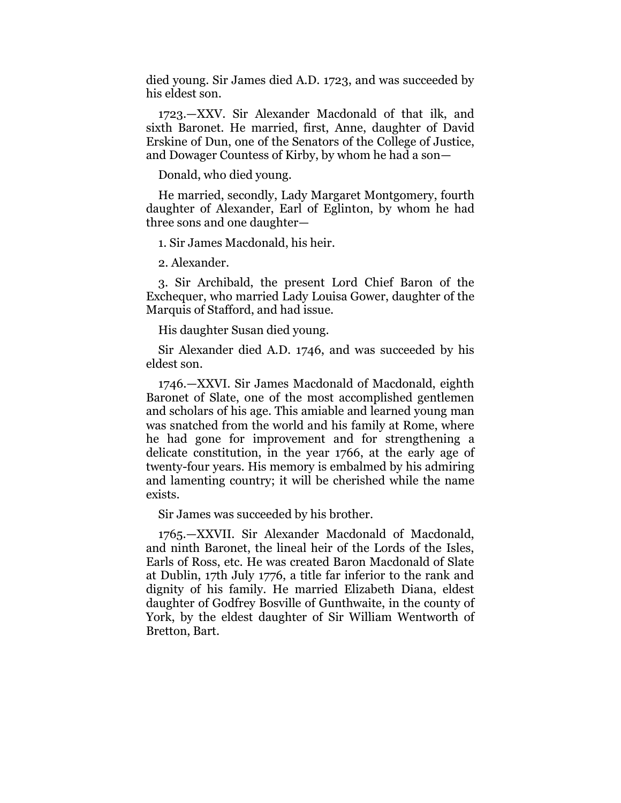died young. Sir James died A.D. 1723, and was succeeded by his eldest son.

1723.—XXV. Sir Alexander Macdonald of that ilk, and sixth Baronet. He married, first, Anne, daughter of David Erskine of Dun, one of the Senators of the College of Justice, and Dowager Countess of Kirby, by whom he had a son—

Donald, who died young.

He married, secondly, Lady Margaret Montgomery, fourth daughter of Alexander, Earl of Eglinton, by whom he had three sons and one daughter—

1. Sir James Macdonald, his heir.

2. Alexander.

3. Sir Archibald, the present Lord Chief Baron of the Exchequer, who married Lady Louisa Gower, daughter of the Marquis of Stafford, and had issue.

His daughter Susan died young.

Sir Alexander died A.D. 1746, and was succeeded by his eldest son.

1746.—XXVI. Sir James Macdonald of Macdonald, eighth Baronet of Slate, one of the most accomplished gentlemen and scholars of his age. This amiable and learned young man was snatched from the world and his family at Rome, where he had gone for improvement and for strengthening a delicate constitution, in the year 1766, at the early age of twenty-four years. His memory is embalmed by his admiring and lamenting country; it will be cherished while the name exists.

Sir James was succeeded by his brother.

1765.—XXVII. Sir Alexander Macdonald of Macdonald, and ninth Baronet, the lineal heir of the Lords of the Isles, Earls of Ross, etc. He was created Baron Macdonald of Slate at Dublin, 17th July 1776, a title far inferior to the rank and dignity of his family. He married Elizabeth Diana, eldest daughter of Godfrey Bosville of Gunthwaite, in the county of York, by the eldest daughter of Sir William Wentworth of Bretton, Bart.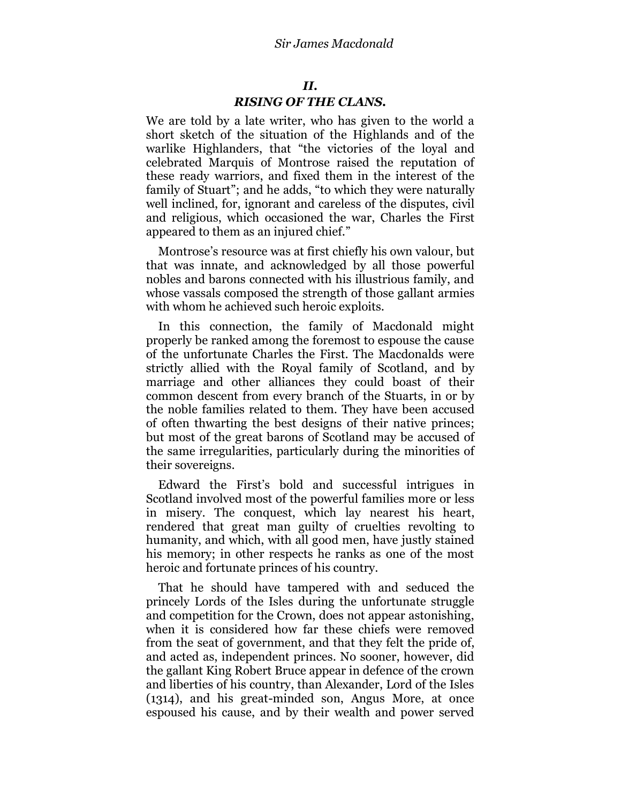# *II. RISING OF THE CLANS.*

<span id="page-25-0"></span>We are told by a late writer, who has given to the world a short sketch of the situation of the Highlands and of the warlike Highlanders, that "the victories of the loyal and celebrated Marquis of Montrose raised the reputation of these ready warriors, and fixed them in the interest of the family of Stuart"; and he adds, "to which they were naturally well inclined, for, ignorant and careless of the disputes, civil and religious, which occasioned the war, Charles the First appeared to them as an injured chief."

Montrose's resource was at first chiefly his own valour, but that was innate, and acknowledged by all those powerful nobles and barons connected with his illustrious family, and whose vassals composed the strength of those gallant armies with whom he achieved such heroic exploits.

In this connection, the family of Macdonald might properly be ranked among the foremost to espouse the cause of the unfortunate Charles the First. The Macdonalds were strictly allied with the Royal family of Scotland, and by marriage and other alliances they could boast of their common descent from every branch of the Stuarts, in or by the noble families related to them. They have been accused of often thwarting the best designs of their native princes; but most of the great barons of Scotland may be accused of the same irregularities, particularly during the minorities of their sovereigns.

Edward the First's bold and successful intrigues in Scotland involved most of the powerful families more or less in misery. The conquest, which lay nearest his heart, rendered that great man guilty of cruelties revolting to humanity, and which, with all good men, have justly stained his memory; in other respects he ranks as one of the most heroic and fortunate princes of his country.

That he should have tampered with and seduced the princely Lords of the Isles during the unfortunate struggle and competition for the Crown, does not appear astonishing, when it is considered how far these chiefs were removed from the seat of government, and that they felt the pride of, and acted as, independent princes. No sooner, however, did the gallant King Robert Bruce appear in defence of the crown and liberties of his country, than Alexander, Lord of the Isles (1314), and his great-minded son, Angus More, at once espoused his cause, and by their wealth and power served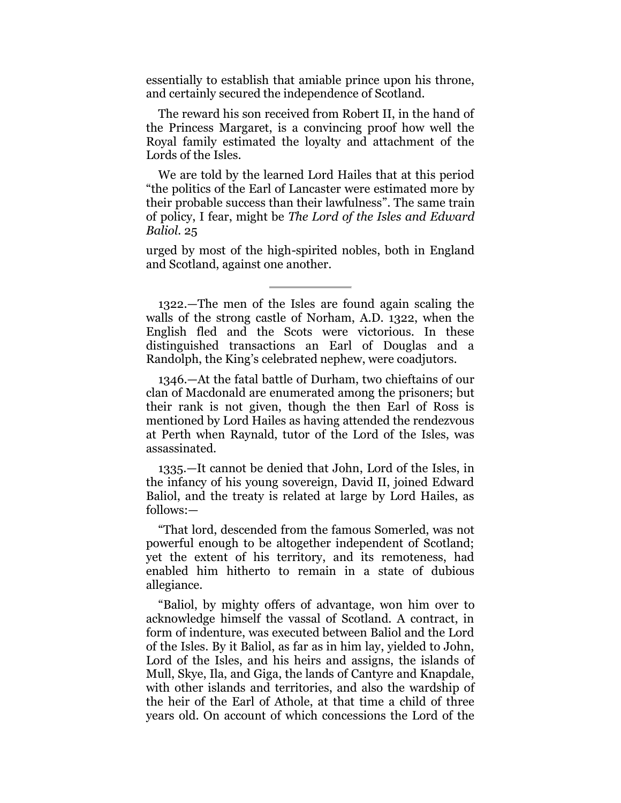essentially to establish that amiable prince upon his throne, and certainly secured the independence of Scotland.

The reward his son received from Robert II, in the hand of the Princess Margaret, is a convincing proof how well the Royal family estimated the loyalty and attachment of the Lords of the Isles.

We are told by the learned Lord Hailes that at this period ―the politics of the Earl of Lancaster were estimated more by their probable success than their lawfulness". The same train of policy, I fear, might be *The Lord of the Isles and Edward Baliol.* 25

urged by most of the high-spirited nobles, both in England and Scotland, against one another.

1322.—The men of the Isles are found again scaling the walls of the strong castle of Norham, A.D. 1322, when the English fled and the Scots were victorious. In these distinguished transactions an Earl of Douglas and a Randolph, the King's celebrated nephew, were coadjutors.

1346.—At the fatal battle of Durham, two chieftains of our clan of Macdonald are enumerated among the prisoners; but their rank is not given, though the then Earl of Ross is mentioned by Lord Hailes as having attended the rendezvous at Perth when Raynald, tutor of the Lord of the Isles, was assassinated.

1335.—It cannot be denied that John, Lord of the Isles, in the infancy of his young sovereign, David II, joined Edward Baliol, and the treaty is related at large by Lord Hailes, as follows:—

―That lord, descended from the famous Somerled, was not powerful enough to be altogether independent of Scotland; yet the extent of his territory, and its remoteness, had enabled him hitherto to remain in a state of dubious allegiance.

―Baliol, by mighty offers of advantage, won him over to acknowledge himself the vassal of Scotland. A contract, in form of indenture, was executed between Baliol and the Lord of the Isles. By it Baliol, as far as in him lay, yielded to John, Lord of the Isles, and his heirs and assigns, the islands of Mull, Skye, Ila, and Giga, the lands of Cantyre and Knapdale, with other islands and territories, and also the wardship of the heir of the Earl of Athole, at that time a child of three years old. On account of which concessions the Lord of the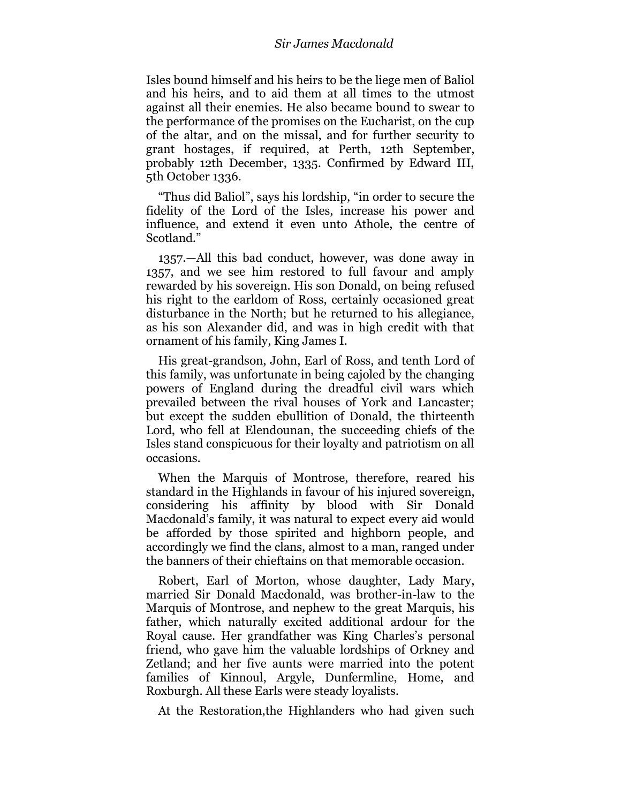Isles bound himself and his heirs to be the liege men of Baliol and his heirs, and to aid them at all times to the utmost against all their enemies. He also became bound to swear to the performance of the promises on the Eucharist, on the cup of the altar, and on the missal, and for further security to grant hostages, if required, at Perth, 12th September, probably 12th December, 1335. Confirmed by Edward III, 5th October 1336.

"Thus did Baliol", says his lordship, "in order to secure the fidelity of the Lord of the Isles, increase his power and influence, and extend it even unto Athole, the centre of Scotland."

1357.—All this bad conduct, however, was done away in 1357, and we see him restored to full favour and amply rewarded by his sovereign. His son Donald, on being refused his right to the earldom of Ross, certainly occasioned great disturbance in the North; but he returned to his allegiance, as his son Alexander did, and was in high credit with that ornament of his family, King James I.

His great-grandson, John, Earl of Ross, and tenth Lord of this family, was unfortunate in being cajoled by the changing powers of England during the dreadful civil wars which prevailed between the rival houses of York and Lancaster; but except the sudden ebullition of Donald, the thirteenth Lord, who fell at Elendounan, the succeeding chiefs of the Isles stand conspicuous for their loyalty and patriotism on all occasions.

When the Marquis of Montrose, therefore, reared his standard in the Highlands in favour of his injured sovereign, considering his affinity by blood with Sir Donald Macdonald's family, it was natural to expect every aid would be afforded by those spirited and highborn people, and accordingly we find the clans, almost to a man, ranged under the banners of their chieftains on that memorable occasion.

Robert, Earl of Morton, whose daughter, Lady Mary, married Sir Donald Macdonald, was brother-in-law to the Marquis of Montrose, and nephew to the great Marquis, his father, which naturally excited additional ardour for the Royal cause. Her grandfather was King Charles's personal friend, who gave him the valuable lordships of Orkney and Zetland; and her five aunts were married into the potent families of Kinnoul, Argyle, Dunfermline, Home, and Roxburgh. All these Earls were steady loyalists.

At the Restoration,the Highlanders who had given such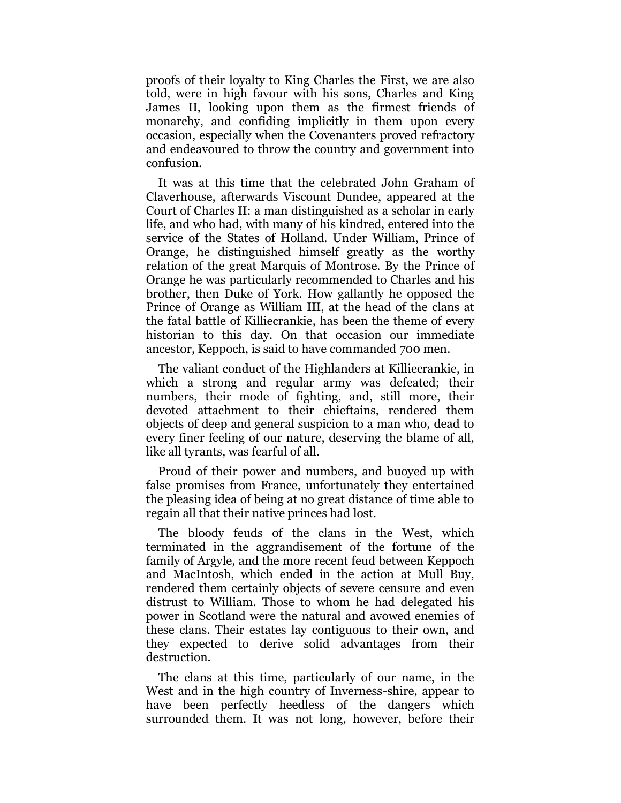proofs of their loyalty to King Charles the First, we are also told, were in high favour with his sons, Charles and King James II, looking upon them as the firmest friends of monarchy, and confiding implicitly in them upon every occasion, especially when the Covenanters proved refractory and endeavoured to throw the country and government into confusion.

It was at this time that the celebrated John Graham of Claverhouse, afterwards Viscount Dundee, appeared at the Court of Charles II: a man distinguished as a scholar in early life, and who had, with many of his kindred, entered into the service of the States of Holland. Under William, Prince of Orange, he distinguished himself greatly as the worthy relation of the great Marquis of Montrose. By the Prince of Orange he was particularly recommended to Charles and his brother, then Duke of York. How gallantly he opposed the Prince of Orange as William III, at the head of the clans at the fatal battle of Killiecrankie, has been the theme of every historian to this day. On that occasion our immediate ancestor, Keppoch, is said to have commanded 700 men.

The valiant conduct of the Highlanders at Killiecrankie, in which a strong and regular army was defeated; their numbers, their mode of fighting, and, still more, their devoted attachment to their chieftains, rendered them objects of deep and general suspicion to a man who, dead to every finer feeling of our nature, deserving the blame of all, like all tyrants, was fearful of all.

Proud of their power and numbers, and buoyed up with false promises from France, unfortunately they entertained the pleasing idea of being at no great distance of time able to regain all that their native princes had lost.

The bloody feuds of the clans in the West, which terminated in the aggrandisement of the fortune of the family of Argyle, and the more recent feud between Keppoch and MacIntosh, which ended in the action at Mull Buy, rendered them certainly objects of severe censure and even distrust to William. Those to whom he had delegated his power in Scotland were the natural and avowed enemies of these clans. Their estates lay contiguous to their own, and they expected to derive solid advantages from their destruction.

The clans at this time, particularly of our name, in the West and in the high country of Inverness-shire, appear to have been perfectly heedless of the dangers which surrounded them. It was not long, however, before their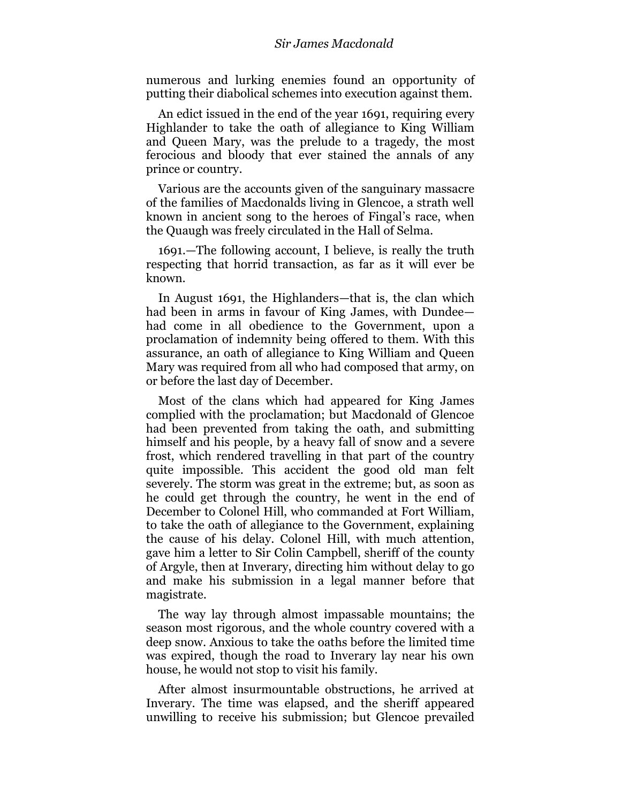numerous and lurking enemies found an opportunity of putting their diabolical schemes into execution against them.

An edict issued in the end of the year 1691, requiring every Highlander to take the oath of allegiance to King William and Queen Mary, was the prelude to a tragedy, the most ferocious and bloody that ever stained the annals of any prince or country.

Various are the accounts given of the sanguinary massacre of the families of Macdonalds living in Glencoe, a strath well known in ancient song to the heroes of Fingal's race, when the Quaugh was freely circulated in the Hall of Selma.

1691.—The following account, I believe, is really the truth respecting that horrid transaction, as far as it will ever be known.

In August 1691, the Highlanders—that is, the clan which had been in arms in favour of King James, with Dundee had come in all obedience to the Government, upon a proclamation of indemnity being offered to them. With this assurance, an oath of allegiance to King William and Queen Mary was required from all who had composed that army, on or before the last day of December.

Most of the clans which had appeared for King James complied with the proclamation; but Macdonald of Glencoe had been prevented from taking the oath, and submitting himself and his people, by a heavy fall of snow and a severe frost, which rendered travelling in that part of the country quite impossible. This accident the good old man felt severely. The storm was great in the extreme; but, as soon as he could get through the country, he went in the end of December to Colonel Hill, who commanded at Fort William, to take the oath of allegiance to the Government, explaining the cause of his delay. Colonel Hill, with much attention, gave him a letter to Sir Colin Campbell, sheriff of the county of Argyle, then at Inverary, directing him without delay to go and make his submission in a legal manner before that magistrate.

The way lay through almost impassable mountains; the season most rigorous, and the whole country covered with a deep snow. Anxious to take the oaths before the limited time was expired, though the road to Inverary lay near his own house, he would not stop to visit his family.

After almost insurmountable obstructions, he arrived at Inverary. The time was elapsed, and the sheriff appeared unwilling to receive his submission; but Glencoe prevailed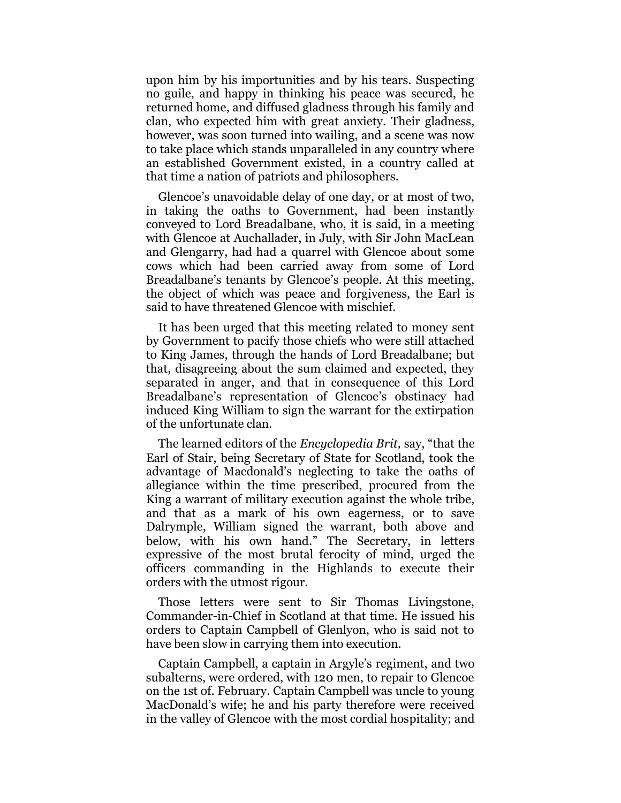upon him by his importunities and by his tears. Suspecting no guile, and happy in thinking his peace was secured, he returned home, and diffused gladness through his family and clan, who expected him with great anxiety. Their gladness, however, was soon turned into wailing, and a scene was now to take place which stands unparalleled in any country where an established Government existed, in a country called at that time a nation of patriots and philosophers.

Glencoe's unavoidable delay of one day, or at most of two, in taking the oaths to Government, had been instantly conveyed to Lord Breadalbane, who, it is said, in a meeting with Glencoe at Auchallader, in July, with Sir John MacLean and Glengarry, had had a quarrel with Glencoe about some cows which had been carried away from some of Lord Breadalbane's tenants by Glencoe's people. At this meeting, the object of which was peace and forgiveness, the Earl is said to have threatened Glencoe with mischief.

It has been urged that this meeting related to money sent by Government to pacify those chiefs who were still attached to King James, through the hands of Lord Breadalbane; but that, disagreeing about the sum claimed and expected, they separated in anger, and that in consequence of this Lord Breadalbane's representation of Glencoe's obstinacy had induced King William to sign the warrant for the extirpation of the unfortunate clan.

The learned editors of the *Encyclopedia Brit*, say, "that the Earl of Stair, being Secretary of State for Scotland, took the advantage of Macdonald's neglecting to take the oaths of allegiance within the time prescribed, procured from the King a warrant of military execution against the whole tribe, and that as a mark of his own eagerness, or to save Dalrymple, William signed the warrant, both above and below, with his own hand." The Secretary, in letters expressive of the most brutal ferocity of mind, urged the officers commanding in the Highlands to execute their orders with the utmost rigour.

Those letters were sent to Sir Thomas Livingstone, Commander-in-Chief in Scotland at that time. He issued his orders to Captain Campbell of Glenlyon, who is said not to have been slow in carrying them into execution.

Captain Campbell, a captain in Argyle's regiment, and two subalterns, were ordered, with 120 men, to repair to Glencoe on the 1st of. February. Captain Campbell was uncle to young MacDonald's wife; he and his party therefore were received in the valley of Glencoe with the most cordial hospitality; and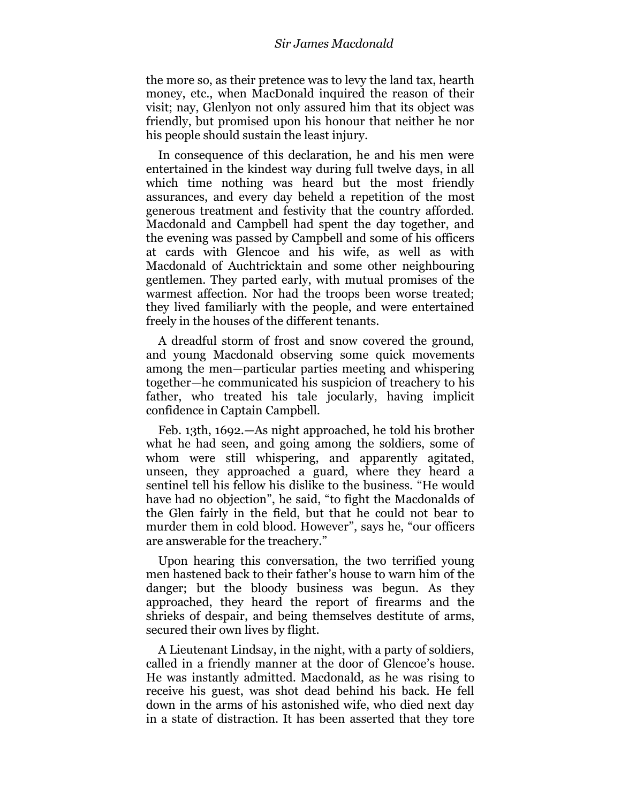the more so, as their pretence was to levy the land tax, hearth money, etc., when MacDonald inquired the reason of their visit; nay, Glenlyon not only assured him that its object was friendly, but promised upon his honour that neither he nor his people should sustain the least injury.

In consequence of this declaration, he and his men were entertained in the kindest way during full twelve days, in all which time nothing was heard but the most friendly assurances, and every day beheld a repetition of the most generous treatment and festivity that the country afforded. Macdonald and Campbell had spent the day together, and the evening was passed by Campbell and some of his officers at cards with Glencoe and his wife, as well as with Macdonald of Auchtricktain and some other neighbouring gentlemen. They parted early, with mutual promises of the warmest affection. Nor had the troops been worse treated; they lived familiarly with the people, and were entertained freely in the houses of the different tenants.

A dreadful storm of frost and snow covered the ground, and young Macdonald observing some quick movements among the men—particular parties meeting and whispering together—he communicated his suspicion of treachery to his father, who treated his tale jocularly, having implicit confidence in Captain Campbell.

Feb. 13th, 1692.—As night approached, he told his brother what he had seen, and going among the soldiers, some of whom were still whispering, and apparently agitated, unseen, they approached a guard, where they heard a sentinel tell his fellow his dislike to the business. "He would have had no objection", he said, "to fight the Macdonalds of the Glen fairly in the field, but that he could not bear to murder them in cold blood. However", says he, "our officers" are answerable for the treachery."

Upon hearing this conversation, the two terrified young men hastened back to their father's house to warn him of the danger; but the bloody business was begun. As they approached, they heard the report of firearms and the shrieks of despair, and being themselves destitute of arms, secured their own lives by flight.

A Lieutenant Lindsay, in the night, with a party of soldiers, called in a friendly manner at the door of Glencoe's house. He was instantly admitted. Macdonald, as he was rising to receive his guest, was shot dead behind his back. He fell down in the arms of his astonished wife, who died next day in a state of distraction. It has been asserted that they tore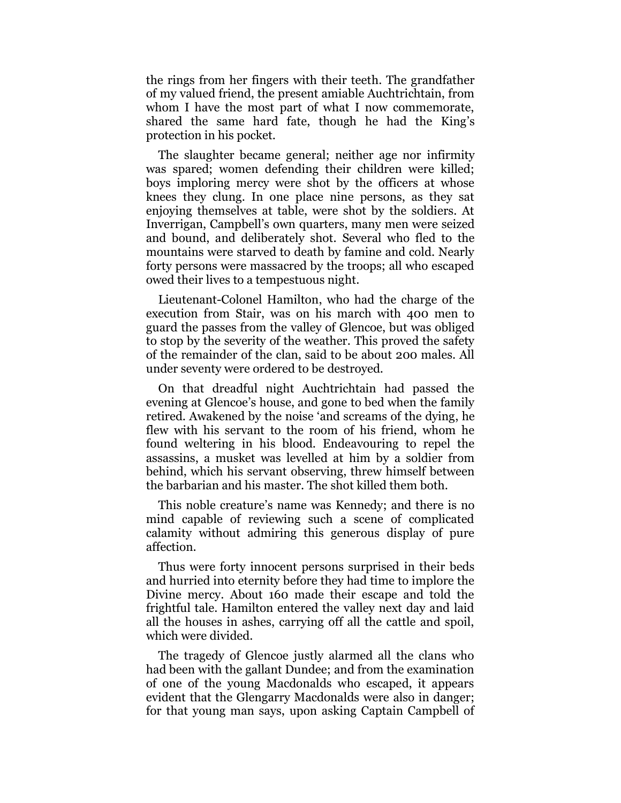the rings from her fingers with their teeth. The grandfather of my valued friend, the present amiable Auchtrichtain, from whom I have the most part of what I now commemorate, shared the same hard fate, though he had the King's protection in his pocket.

The slaughter became general; neither age nor infirmity was spared; women defending their children were killed; boys imploring mercy were shot by the officers at whose knees they clung. In one place nine persons, as they sat enjoying themselves at table, were shot by the soldiers. At Inverrigan, Campbell's own quarters, many men were seized and bound, and deliberately shot. Several who fled to the mountains were starved to death by famine and cold. Nearly forty persons were massacred by the troops; all who escaped owed their lives to a tempestuous night.

Lieutenant-Colonel Hamilton, who had the charge of the execution from Stair, was on his march with 400 men to guard the passes from the valley of Glencoe, but was obliged to stop by the severity of the weather. This proved the safety of the remainder of the clan, said to be about 200 males. All under seventy were ordered to be destroyed.

On that dreadful night Auchtrichtain had passed the evening at Glencoe's house, and gone to bed when the family retired. Awakened by the noise 'and screams of the dying, he flew with his servant to the room of his friend, whom he found weltering in his blood. Endeavouring to repel the assassins, a musket was levelled at him by a soldier from behind, which his servant observing, threw himself between the barbarian and his master. The shot killed them both.

This noble creature's name was Kennedy; and there is no mind capable of reviewing such a scene of complicated calamity without admiring this generous display of pure affection.

Thus were forty innocent persons surprised in their beds and hurried into eternity before they had time to implore the Divine mercy. About 160 made their escape and told the frightful tale. Hamilton entered the valley next day and laid all the houses in ashes, carrying off all the cattle and spoil, which were divided.

The tragedy of Glencoe justly alarmed all the clans who had been with the gallant Dundee; and from the examination of one of the young Macdonalds who escaped, it appears evident that the Glengarry Macdonalds were also in danger; for that young man says, upon asking Captain Campbell of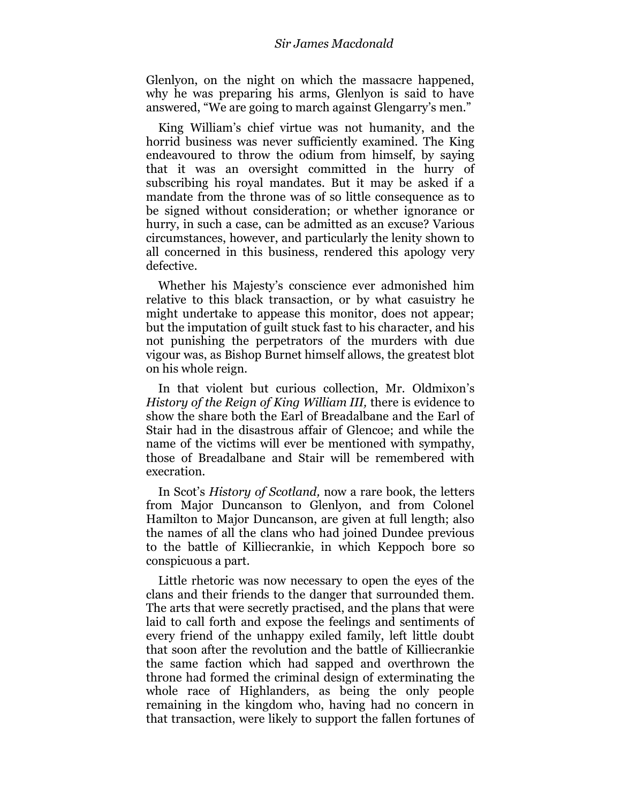Glenlyon, on the night on which the massacre happened, why he was preparing his arms, Glenlyon is said to have answered, "We are going to march against Glengarry's men."

King William's chief virtue was not humanity, and the horrid business was never sufficiently examined. The King endeavoured to throw the odium from himself, by saying that it was an oversight committed in the hurry of subscribing his royal mandates. But it may be asked if a mandate from the throne was of so little consequence as to be signed without consideration; or whether ignorance or hurry, in such a case, can be admitted as an excuse? Various circumstances, however, and particularly the lenity shown to all concerned in this business, rendered this apology very defective.

Whether his Majesty's conscience ever admonished him relative to this black transaction, or by what casuistry he might undertake to appease this monitor, does not appear; but the imputation of guilt stuck fast to his character, and his not punishing the perpetrators of the murders with due vigour was, as Bishop Burnet himself allows, the greatest blot on his whole reign.

In that violent but curious collection, Mr. Oldmixon's *History of the Reign of King William III,* there is evidence to show the share both the Earl of Breadalbane and the Earl of Stair had in the disastrous affair of Glencoe; and while the name of the victims will ever be mentioned with sympathy, those of Breadalbane and Stair will be remembered with execration.

In Scot's *History of Scotland,* now a rare book, the letters from Major Duncanson to Glenlyon, and from Colonel Hamilton to Major Duncanson, are given at full length; also the names of all the clans who had joined Dundee previous to the battle of Killiecrankie, in which Keppoch bore so conspicuous a part.

Little rhetoric was now necessary to open the eyes of the clans and their friends to the danger that surrounded them. The arts that were secretly practised, and the plans that were laid to call forth and expose the feelings and sentiments of every friend of the unhappy exiled family, left little doubt that soon after the revolution and the battle of Killiecrankie the same faction which had sapped and overthrown the throne had formed the criminal design of exterminating the whole race of Highlanders, as being the only people remaining in the kingdom who, having had no concern in that transaction, were likely to support the fallen fortunes of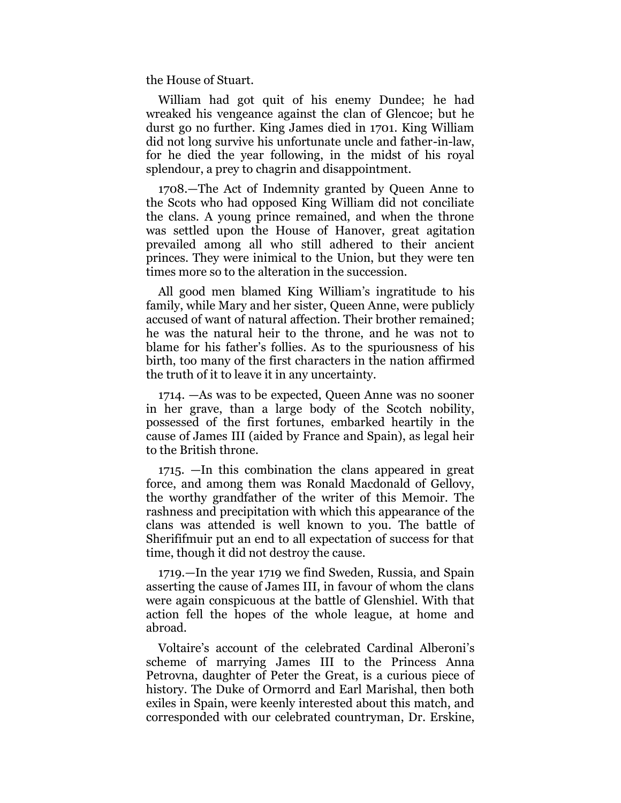the House of Stuart.

William had got quit of his enemy Dundee; he had wreaked his vengeance against the clan of Glencoe; but he durst go no further. King James died in 1701. King William did not long survive his unfortunate uncle and father-in-law, for he died the year following, in the midst of his royal splendour, a prey to chagrin and disappointment.

1708.—The Act of Indemnity granted by Queen Anne to the Scots who had opposed King William did not conciliate the clans. A young prince remained, and when the throne was settled upon the House of Hanover, great agitation prevailed among all who still adhered to their ancient princes. They were inimical to the Union, but they were ten times more so to the alteration in the succession.

All good men blamed King William's ingratitude to his family, while Mary and her sister, Queen Anne, were publicly accused of want of natural affection. Their brother remained; he was the natural heir to the throne, and he was not to blame for his father's follies. As to the spuriousness of his birth, too many of the first characters in the nation affirmed the truth of it to leave it in any uncertainty.

1714. —As was to be expected, Queen Anne was no sooner in her grave, than a large body of the Scotch nobility, possessed of the first fortunes, embarked heartily in the cause of James III (aided by France and Spain), as legal heir to the British throne.

1715. —In this combination the clans appeared in great force, and among them was Ronald Macdonald of Gellovy, the worthy grandfather of the writer of this Memoir. The rashness and precipitation with which this appearance of the clans was attended is well known to you. The battle of Sherififmuir put an end to all expectation of success for that time, though it did not destroy the cause.

1719.—In the year 1719 we find Sweden, Russia, and Spain asserting the cause of James III, in favour of whom the clans were again conspicuous at the battle of Glenshiel. With that action fell the hopes of the whole league, at home and abroad.

Voltaire's account of the celebrated Cardinal Alberoni's scheme of marrying James III to the Princess Anna Petrovna, daughter of Peter the Great, is a curious piece of history. The Duke of Ormorrd and Earl Marishal, then both exiles in Spain, were keenly interested about this match, and corresponded with our celebrated countryman, Dr. Erskine,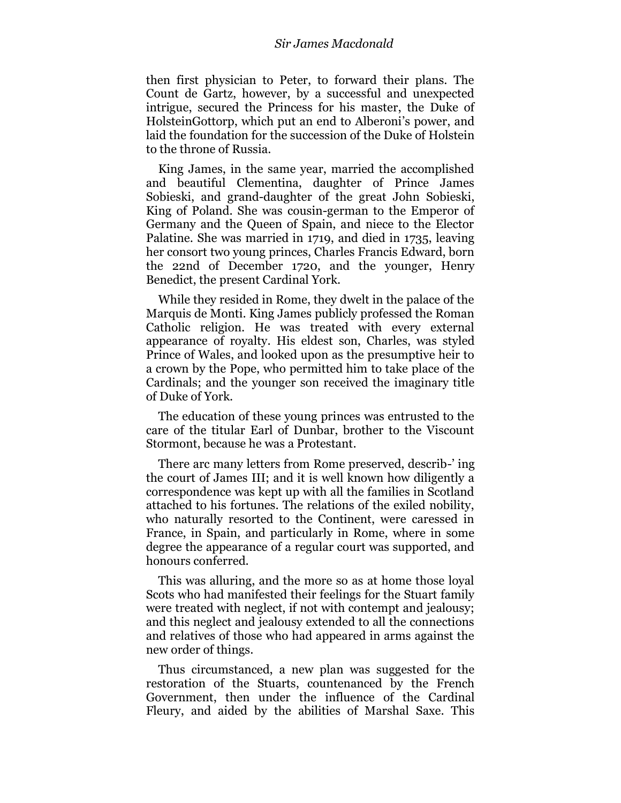then first physician to Peter, to forward their plans. The Count de Gartz, however, by a successful and unexpected intrigue, secured the Princess for his master, the Duke of HolsteinGottorp, which put an end to Alberoni's power, and laid the foundation for the succession of the Duke of Holstein to the throne of Russia.

King James, in the same year, married the accomplished and beautiful Clementina, daughter of Prince James Sobieski, and grand-daughter of the great John Sobieski, King of Poland. She was cousin-german to the Emperor of Germany and the Queen of Spain, and niece to the Elector Palatine. She was married in 1719, and died in 1735, leaving her consort two young princes, Charles Francis Edward, born the 22nd of December 1720, and the younger, Henry Benedict, the present Cardinal York.

While they resided in Rome, they dwelt in the palace of the Marquis de Monti. King James publicly professed the Roman Catholic religion. He was treated with every external appearance of royalty. His eldest son, Charles, was styled Prince of Wales, and looked upon as the presumptive heir to a crown by the Pope, who permitted him to take place of the Cardinals; and the younger son received the imaginary title of Duke of York.

The education of these young princes was entrusted to the care of the titular Earl of Dunbar, brother to the Viscount Stormont, because he was a Protestant.

There arc many letters from Rome preserved, describ-' ing the court of James III; and it is well known how diligently a correspondence was kept up with all the families in Scotland attached to his fortunes. The relations of the exiled nobility, who naturally resorted to the Continent, were caressed in France, in Spain, and particularly in Rome, where in some degree the appearance of a regular court was supported, and honours conferred.

This was alluring, and the more so as at home those loyal Scots who had manifested their feelings for the Stuart family were treated with neglect, if not with contempt and jealousy; and this neglect and jealousy extended to all the connections and relatives of those who had appeared in arms against the new order of things.

Thus circumstanced, a new plan was suggested for the restoration of the Stuarts, countenanced by the French Government, then under the influence of the Cardinal Fleury, and aided by the abilities of Marshal Saxe. This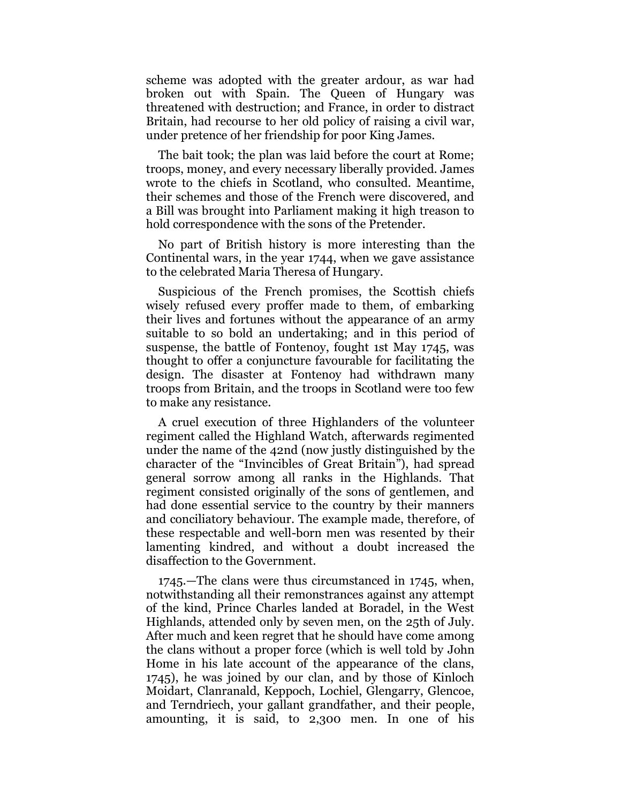scheme was adopted with the greater ardour, as war had broken out with Spain. The Queen of Hungary was threatened with destruction; and France, in order to distract Britain, had recourse to her old policy of raising a civil war, under pretence of her friendship for poor King James.

The bait took; the plan was laid before the court at Rome; troops, money, and every necessary liberally provided. James wrote to the chiefs in Scotland, who consulted. Meantime, their schemes and those of the French were discovered, and a Bill was brought into Parliament making it high treason to hold correspondence with the sons of the Pretender.

No part of British history is more interesting than the Continental wars, in the year 1744, when we gave assistance to the celebrated Maria Theresa of Hungary.

Suspicious of the French promises, the Scottish chiefs wisely refused every proffer made to them, of embarking their lives and fortunes without the appearance of an army suitable to so bold an undertaking; and in this period of suspense, the battle of Fontenoy, fought 1st May 1745, was thought to offer a conjuncture favourable for facilitating the design. The disaster at Fontenoy had withdrawn many troops from Britain, and the troops in Scotland were too few to make any resistance.

A cruel execution of three Highlanders of the volunteer regiment called the Highland Watch, afterwards regimented under the name of the 42nd (now justly distinguished by the character of the "Invincibles of Great Britain"), had spread general sorrow among all ranks in the Highlands. That regiment consisted originally of the sons of gentlemen, and had done essential service to the country by their manners and conciliatory behaviour. The example made, therefore, of these respectable and well-born men was resented by their lamenting kindred, and without a doubt increased the disaffection to the Government.

1745.—The clans were thus circumstanced in 1745, when, notwithstanding all their remonstrances against any attempt of the kind, Prince Charles landed at Boradel, in the West Highlands, attended only by seven men, on the 25th of July. After much and keen regret that he should have come among the clans without a proper force (which is well told by John Home in his late account of the appearance of the clans, 1745), he was joined by our clan, and by those of Kinloch Moidart, Clanranald, Keppoch, Lochiel, Glengarry, Glencoe, and Terndriech, your gallant grandfather, and their people, amounting, it is said, to 2,300 men. In one of his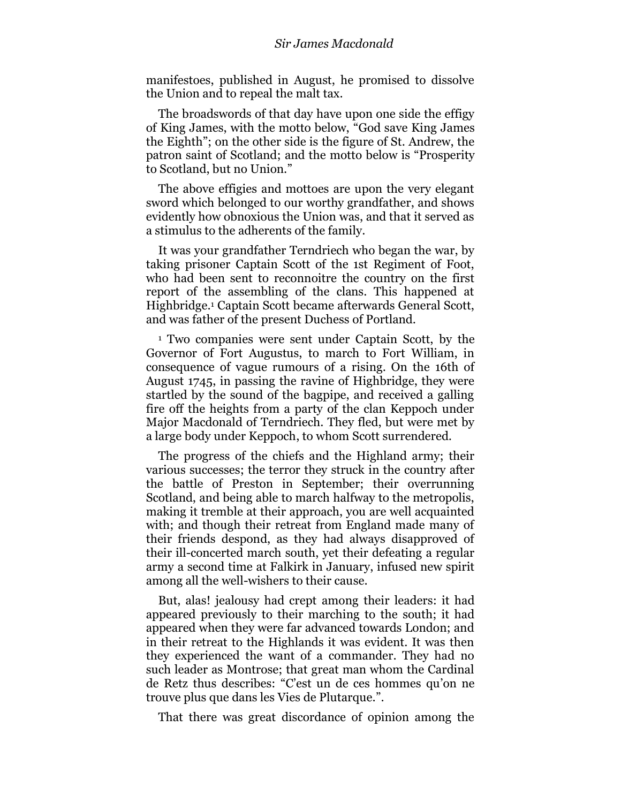manifestoes, published in August, he promised to dissolve the Union and to repeal the malt tax.

The broadswords of that day have upon one side the effigy of King James, with the motto below, "God save King James the Eighth"; on the other side is the figure of St. Andrew, the patron saint of Scotland; and the motto below is "Prosperity" to Scotland, but no Union."

The above effigies and mottoes are upon the very elegant sword which belonged to our worthy grandfather, and shows evidently how obnoxious the Union was, and that it served as a stimulus to the adherents of the family.

It was your grandfather Terndriech who began the war, by taking prisoner Captain Scott of the 1st Regiment of Foot, who had been sent to reconnoitre the country on the first report of the assembling of the clans. This happened at Highbridge.<sup>1</sup> Captain Scott became afterwards General Scott, and was father of the present Duchess of Portland.

<sup>1</sup> Two companies were sent under Captain Scott, by the Governor of Fort Augustus, to march to Fort William, in consequence of vague rumours of a rising. On the 16th of August 1745, in passing the ravine of Highbridge, they were startled by the sound of the bagpipe, and received a galling fire off the heights from a party of the clan Keppoch under Major Macdonald of Terndriech. They fled, but were met by a large body under Keppoch, to whom Scott surrendered.

The progress of the chiefs and the Highland army; their various successes; the terror they struck in the country after the battle of Preston in September; their overrunning Scotland, and being able to march halfway to the metropolis, making it tremble at their approach, you are well acquainted with; and though their retreat from England made many of their friends despond, as they had always disapproved of their ill-concerted march south, yet their defeating a regular army a second time at Falkirk in January, infused new spirit among all the well-wishers to their cause.

But, alas! jealousy had crept among their leaders: it had appeared previously to their marching to the south; it had appeared when they were far advanced towards London; and in their retreat to the Highlands it was evident. It was then they experienced the want of a commander. They had no such leader as Montrose; that great man whom the Cardinal de Retz thus describes: "C'est un de ces hommes qu'on ne trouve plus que dans les Vies de Plutarque.".

That there was great discordance of opinion among the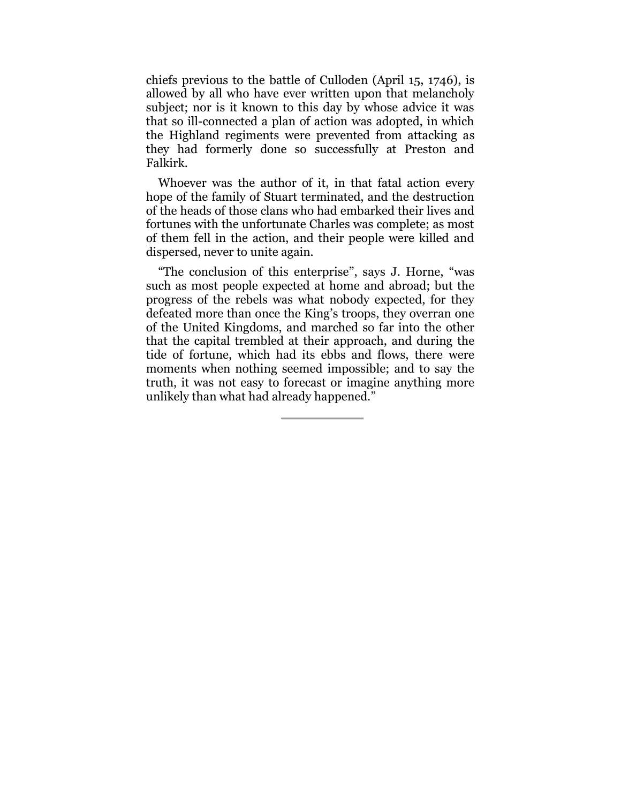chiefs previous to the battle of Culloden (April 15, 1746), is allowed by all who have ever written upon that melancholy subject; nor is it known to this day by whose advice it was that so ill-connected a plan of action was adopted, in which the Highland regiments were prevented from attacking as they had formerly done so successfully at Preston and Falkirk.

Whoever was the author of it, in that fatal action every hope of the family of Stuart terminated, and the destruction of the heads of those clans who had embarked their lives and fortunes with the unfortunate Charles was complete; as most of them fell in the action, and their people were killed and dispersed, never to unite again.

"The conclusion of this enterprise", says J. Horne, "was such as most people expected at home and abroad; but the progress of the rebels was what nobody expected, for they defeated more than once the King's troops, they overran one of the United Kingdoms, and marched so far into the other that the capital trembled at their approach, and during the tide of fortune, which had its ebbs and flows, there were moments when nothing seemed impossible; and to say the truth, it was not easy to forecast or imagine anything more unlikely than what had already happened."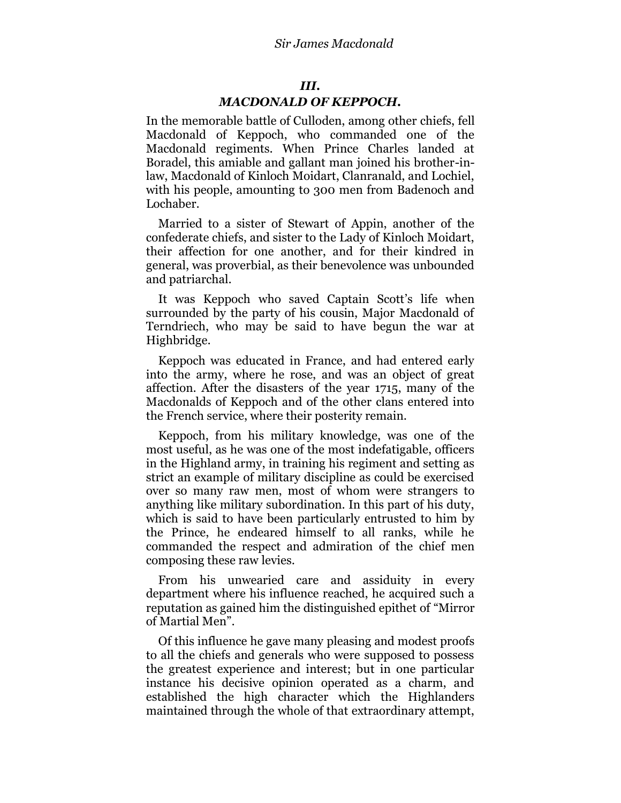# *III.*

## *MACDONALD OF KEPPOCH.*

In the memorable battle of Culloden, among other chiefs, fell Macdonald of Keppoch, who commanded one of the Macdonald regiments. When Prince Charles landed at Boradel, this amiable and gallant man joined his brother-inlaw, Macdonald of Kinloch Moidart, Clanranald, and Lochiel, with his people, amounting to 300 men from Badenoch and Lochaber.

Married to a sister of Stewart of Appin, another of the confederate chiefs, and sister to the Lady of Kinloch Moidart, their affection for one another, and for their kindred in general, was proverbial, as their benevolence was unbounded and patriarchal.

It was Keppoch who saved Captain Scott's life when surrounded by the party of his cousin, Major Macdonald of Terndriech, who may be said to have begun the war at Highbridge.

Keppoch was educated in France, and had entered early into the army, where he rose, and was an object of great affection. After the disasters of the year 1715, many of the Macdonalds of Keppoch and of the other clans entered into the French service, where their posterity remain.

Keppoch, from his military knowledge, was one of the most useful, as he was one of the most indefatigable, officers in the Highland army, in training his regiment and setting as strict an example of military discipline as could be exercised over so many raw men, most of whom were strangers to anything like military subordination. In this part of his duty, which is said to have been particularly entrusted to him by the Prince, he endeared himself to all ranks, while he commanded the respect and admiration of the chief men composing these raw levies.

From his unwearied care and assiduity in every department where his influence reached, he acquired such a reputation as gained him the distinguished epithet of "Mirror" of Martial Men".

Of this influence he gave many pleasing and modest proofs to all the chiefs and generals who were supposed to possess the greatest experience and interest; but in one particular instance his decisive opinion operated as a charm, and established the high character which the Highlanders maintained through the whole of that extraordinary attempt,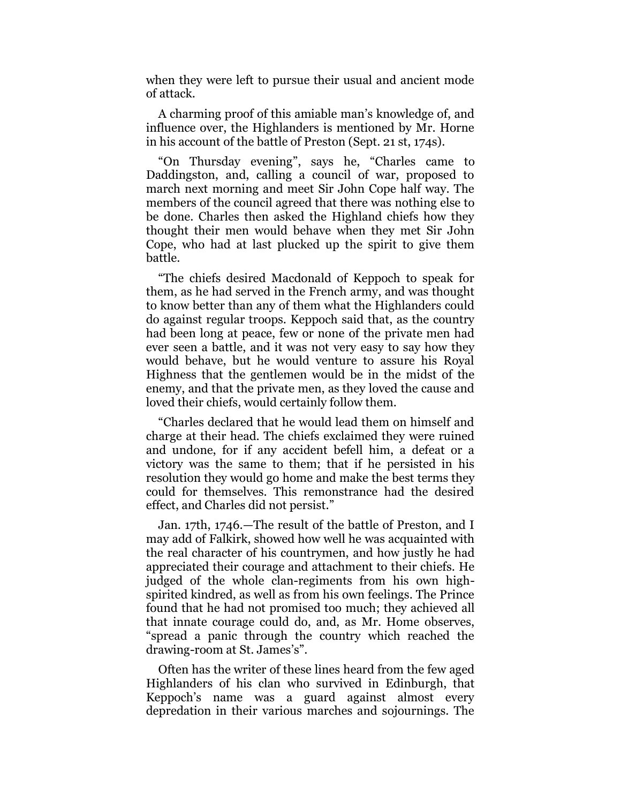when they were left to pursue their usual and ancient mode of attack.

A charming proof of this amiable man's knowledge of, and influence over, the Highlanders is mentioned by Mr. Horne in his account of the battle of Preston (Sept. 21 st, 174s).

"On Thursday evening", says he, "Charles came to Daddingston, and, calling a council of war, proposed to march next morning and meet Sir John Cope half way. The members of the council agreed that there was nothing else to be done. Charles then asked the Highland chiefs how they thought their men would behave when they met Sir John Cope, who had at last plucked up the spirit to give them battle.

―The chiefs desired Macdonald of Keppoch to speak for them, as he had served in the French army, and was thought to know better than any of them what the Highlanders could do against regular troops. Keppoch said that, as the country had been long at peace, few or none of the private men had ever seen a battle, and it was not very easy to say how they would behave, but he would venture to assure his Royal Highness that the gentlemen would be in the midst of the enemy, and that the private men, as they loved the cause and loved their chiefs, would certainly follow them.

―Charles declared that he would lead them on himself and charge at their head. The chiefs exclaimed they were ruined and undone, for if any accident befell him, a defeat or a victory was the same to them; that if he persisted in his resolution they would go home and make the best terms they could for themselves. This remonstrance had the desired effect, and Charles did not persist."

Jan. 17th, 1746.—The result of the battle of Preston, and I may add of Falkirk, showed how well he was acquainted with the real character of his countrymen, and how justly he had appreciated their courage and attachment to their chiefs. He judged of the whole clan-regiments from his own highspirited kindred, as well as from his own feelings. The Prince found that he had not promised too much; they achieved all that innate courage could do, and, as Mr. Home observes, ―spread a panic through the country which reached the drawing-room at St. James's".

Often has the writer of these lines heard from the few aged Highlanders of his clan who survived in Edinburgh, that Keppoch's name was a guard against almost every depredation in their various marches and sojournings. The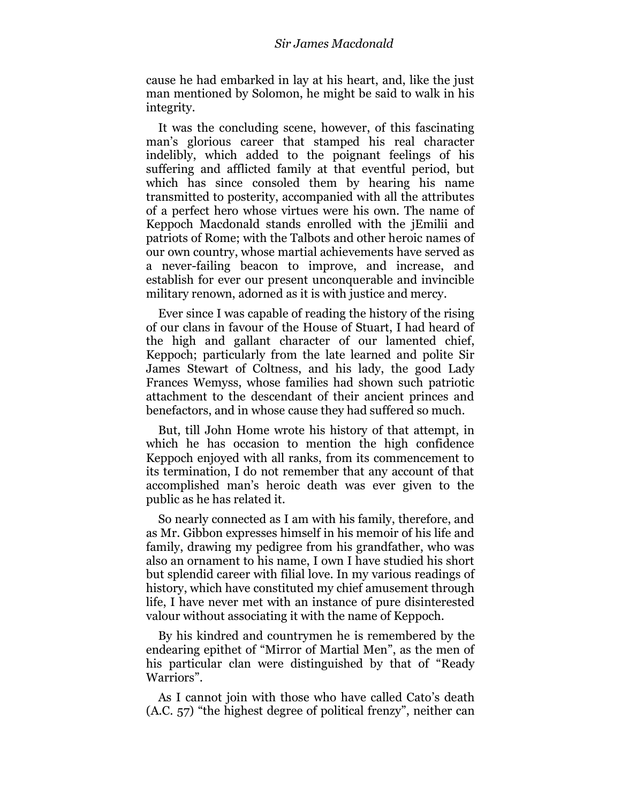cause he had embarked in lay at his heart, and, like the just man mentioned by Solomon, he might be said to walk in his integrity.

It was the concluding scene, however, of this fascinating man's glorious career that stamped his real character indelibly, which added to the poignant feelings of his suffering and afflicted family at that eventful period, but which has since consoled them by hearing his name transmitted to posterity, accompanied with all the attributes of a perfect hero whose virtues were his own. The name of Keppoch Macdonald stands enrolled with the jEmilii and patriots of Rome; with the Talbots and other heroic names of our own country, whose martial achievements have served as a never-failing beacon to improve, and increase, and establish for ever our present unconquerable and invincible military renown, adorned as it is with justice and mercy.

Ever since I was capable of reading the history of the rising of our clans in favour of the House of Stuart, I had heard of the high and gallant character of our lamented chief, Keppoch; particularly from the late learned and polite Sir James Stewart of Coltness, and his lady, the good Lady Frances Wemyss, whose families had shown such patriotic attachment to the descendant of their ancient princes and benefactors, and in whose cause they had suffered so much.

But, till John Home wrote his history of that attempt, in which he has occasion to mention the high confidence Keppoch enjoyed with all ranks, from its commencement to its termination, I do not remember that any account of that accomplished man's heroic death was ever given to the public as he has related it.

So nearly connected as I am with his family, therefore, and as Mr. Gibbon expresses himself in his memoir of his life and family, drawing my pedigree from his grandfather, who was also an ornament to his name, I own I have studied his short but splendid career with filial love. In my various readings of history, which have constituted my chief amusement through life, I have never met with an instance of pure disinterested valour without associating it with the name of Keppoch.

By his kindred and countrymen he is remembered by the endearing epithet of "Mirror of Martial Men", as the men of his particular clan were distinguished by that of "Ready" Warriors".

As I cannot join with those who have called Cato's death  $(A.C. 57)$  "the highest degree of political frenzy", neither can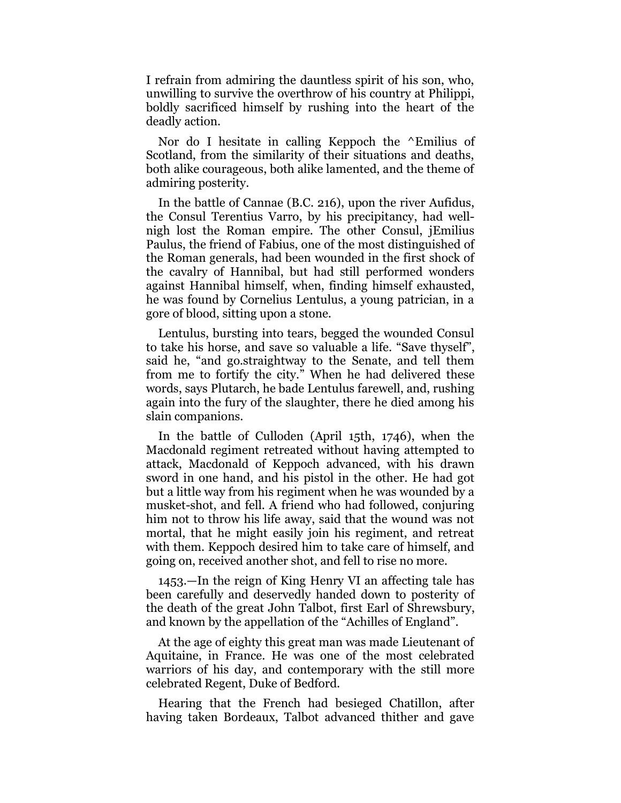I refrain from admiring the dauntless spirit of his son, who, unwilling to survive the overthrow of his country at Philippi, boldly sacrificed himself by rushing into the heart of the deadly action.

Nor do I hesitate in calling Keppoch the ^Emilius of Scotland, from the similarity of their situations and deaths, both alike courageous, both alike lamented, and the theme of admiring posterity.

In the battle of Cannae (B.C. 216), upon the river Aufidus, the Consul Terentius Varro, by his precipitancy, had wellnigh lost the Roman empire. The other Consul, jEmilius Paulus, the friend of Fabius, one of the most distinguished of the Roman generals, had been wounded in the first shock of the cavalry of Hannibal, but had still performed wonders against Hannibal himself, when, finding himself exhausted, he was found by Cornelius Lentulus, a young patrician, in a gore of blood, sitting upon a stone.

Lentulus, bursting into tears, begged the wounded Consul to take his horse, and save so valuable a life. "Save thyself", said he, "and go.straightway to the Senate, and tell them from me to fortify the city." When he had delivered these words, says Plutarch, he bade Lentulus farewell, and, rushing again into the fury of the slaughter, there he died among his slain companions.

In the battle of Culloden (April 15th, 1746), when the Macdonald regiment retreated without having attempted to attack, Macdonald of Keppoch advanced, with his drawn sword in one hand, and his pistol in the other. He had got but a little way from his regiment when he was wounded by a musket-shot, and fell. A friend who had followed, conjuring him not to throw his life away, said that the wound was not mortal, that he might easily join his regiment, and retreat with them. Keppoch desired him to take care of himself, and going on, received another shot, and fell to rise no more.

1453.—In the reign of King Henry VI an affecting tale has been carefully and deservedly handed down to posterity of the death of the great John Talbot, first Earl of Shrewsbury, and known by the appellation of the "Achilles of England".

At the age of eighty this great man was made Lieutenant of Aquitaine, in France. He was one of the most celebrated warriors of his day, and contemporary with the still more celebrated Regent, Duke of Bedford.

Hearing that the French had besieged Chatillon, after having taken Bordeaux, Talbot advanced thither and gave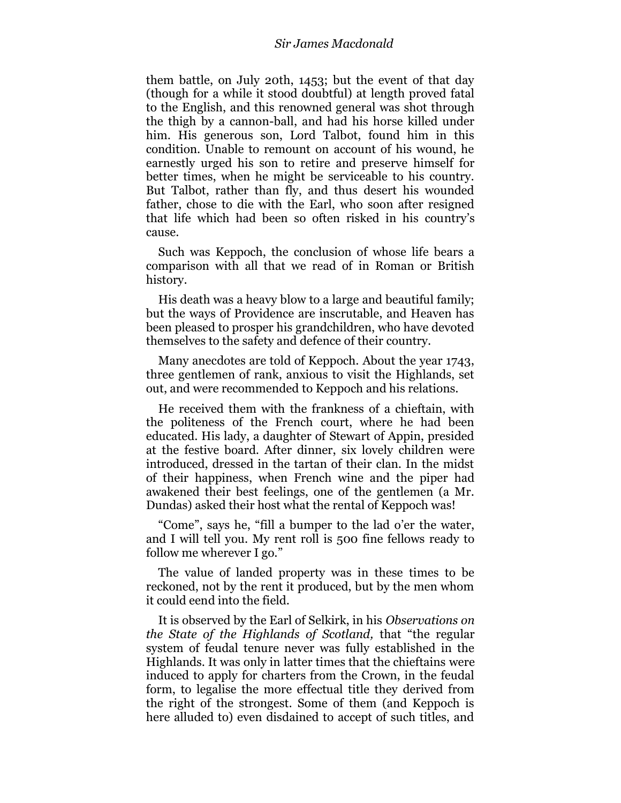#### *Sir James Macdonald*

them battle, on July 20th, 1453; but the event of that day (though for a while it stood doubtful) at length proved fatal to the English, and this renowned general was shot through the thigh by a cannon-ball, and had his horse killed under him. His generous son, Lord Talbot, found him in this condition. Unable to remount on account of his wound, he earnestly urged his son to retire and preserve himself for better times, when he might be serviceable to his country. But Talbot, rather than fly, and thus desert his wounded father, chose to die with the Earl, who soon after resigned that life which had been so often risked in his country's cause.

Such was Keppoch, the conclusion of whose life bears a comparison with all that we read of in Roman or British history.

His death was a heavy blow to a large and beautiful family; but the ways of Providence are inscrutable, and Heaven has been pleased to prosper his grandchildren, who have devoted themselves to the safety and defence of their country.

Many anecdotes are told of Keppoch. About the year 1743, three gentlemen of rank, anxious to visit the Highlands, set out, and were recommended to Keppoch and his relations.

He received them with the frankness of a chieftain, with the politeness of the French court, where he had been educated. His lady, a daughter of Stewart of Appin, presided at the festive board. After dinner, six lovely children were introduced, dressed in the tartan of their clan. In the midst of their happiness, when French wine and the piper had awakened their best feelings, one of the gentlemen (a Mr. Dundas) asked their host what the rental of Keppoch was!

"Come", says he, "fill a bumper to the lad o'er the water, and I will tell you. My rent roll is 500 fine fellows ready to follow me wherever I go."

The value of landed property was in these times to be reckoned, not by the rent it produced, but by the men whom it could eend into the field.

It is observed by the Earl of Selkirk, in his *Observations on the State of the Highlands of Scotland, that "the regular*" system of feudal tenure never was fully established in the Highlands. It was only in latter times that the chieftains were induced to apply for charters from the Crown, in the feudal form, to legalise the more effectual title they derived from the right of the strongest. Some of them (and Keppoch is here alluded to) even disdained to accept of such titles, and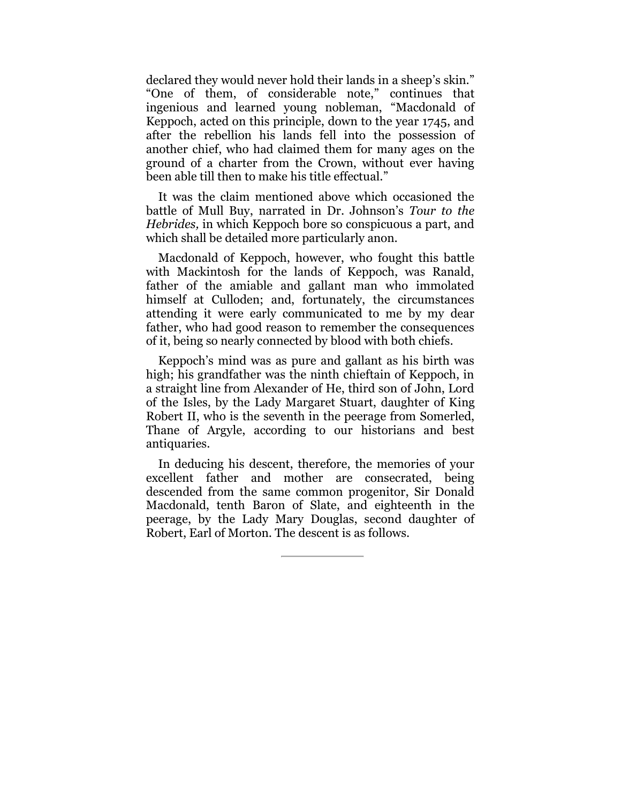declared they would never hold their lands in a sheep's skin." ―One of them, of considerable note,‖ continues that ingenious and learned young nobleman, "Macdonald of Keppoch, acted on this principle, down to the year 1745, and after the rebellion his lands fell into the possession of another chief, who had claimed them for many ages on the ground of a charter from the Crown, without ever having been able till then to make his title effectual."

It was the claim mentioned above which occasioned the battle of Mull Buy, narrated in Dr. Johnson's *Tour to the Hebrides,* in which Keppoch bore so conspicuous a part, and which shall be detailed more particularly anon.

Macdonald of Keppoch, however, who fought this battle with Mackintosh for the lands of Keppoch, was Ranald, father of the amiable and gallant man who immolated himself at Culloden; and, fortunately, the circumstances attending it were early communicated to me by my dear father, who had good reason to remember the consequences of it, being so nearly connected by blood with both chiefs.

Keppoch's mind was as pure and gallant as his birth was high; his grandfather was the ninth chieftain of Keppoch, in a straight line from Alexander of He, third son of John, Lord of the Isles, by the Lady Margaret Stuart, daughter of King Robert II, who is the seventh in the peerage from Somerled, Thane of Argyle, according to our historians and best antiquaries.

In deducing his descent, therefore, the memories of your excellent father and mother are consecrated, being descended from the same common progenitor, Sir Donald Macdonald, tenth Baron of Slate, and eighteenth in the peerage, by the Lady Mary Douglas, second daughter of Robert, Earl of Morton. The descent is as follows.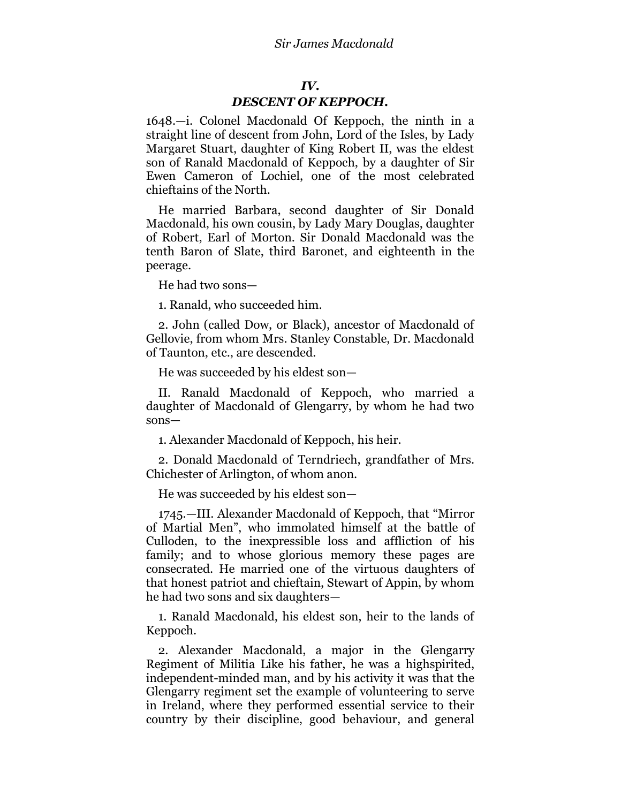# *IV.*

### *DESCENT OF KEPPOCH.*

1648.—i. Colonel Macdonald Of Keppoch, the ninth in a straight line of descent from John, Lord of the Isles, by Lady Margaret Stuart, daughter of King Robert II, was the eldest son of Ranald Macdonald of Keppoch, by a daughter of Sir Ewen Cameron of Lochiel, one of the most celebrated chieftains of the North.

He married Barbara, second daughter of Sir Donald Macdonald, his own cousin, by Lady Mary Douglas, daughter of Robert, Earl of Morton. Sir Donald Macdonald was the tenth Baron of Slate, third Baronet, and eighteenth in the peerage.

He had two sons—

1. Ranald, who succeeded him.

2. John (called Dow, or Black), ancestor of Macdonald of Gellovie, from whom Mrs. Stanley Constable, Dr. Macdonald of Taunton, etc., are descended.

He was succeeded by his eldest son—

II. Ranald Macdonald of Keppoch, who married a daughter of Macdonald of Glengarry, by whom he had two sons—

1. Alexander Macdonald of Keppoch, his heir.

2. Donald Macdonald of Terndriech, grandfather of Mrs. Chichester of Arlington, of whom anon.

He was succeeded by his eldest son—

1745.—III. Alexander Macdonald of Keppoch, that "Mirror of Martial Men", who immolated himself at the battle of Culloden, to the inexpressible loss and affliction of his family; and to whose glorious memory these pages are consecrated. He married one of the virtuous daughters of that honest patriot and chieftain, Stewart of Appin, by whom he had two sons and six daughters—

1. Ranald Macdonald, his eldest son, heir to the lands of Keppoch.

2. Alexander Macdonald, a major in the Glengarry Regiment of Militia Like his father, he was a highspirited, independent-minded man, and by his activity it was that the Glengarry regiment set the example of volunteering to serve in Ireland, where they performed essential service to their country by their discipline, good behaviour, and general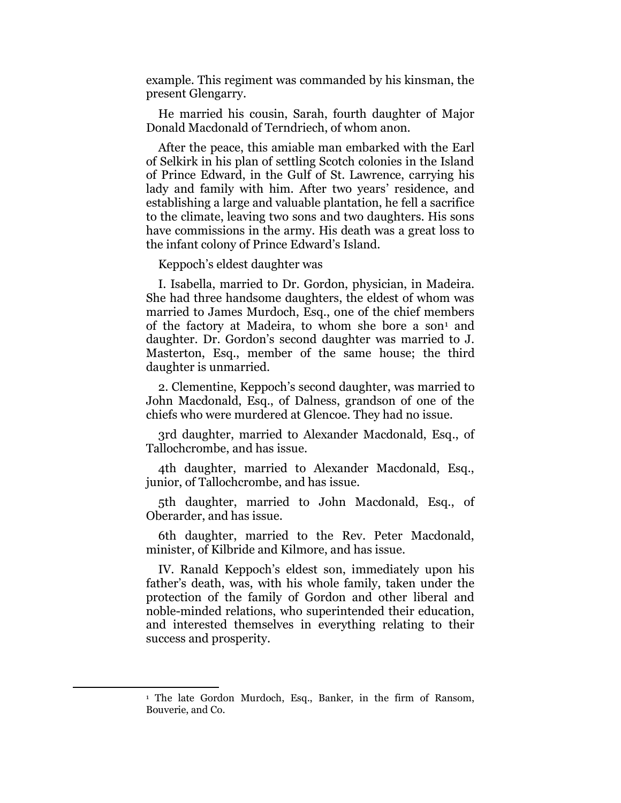example. This regiment was commanded by his kinsman, the present Glengarry.

He married his cousin, Sarah, fourth daughter of Major Donald Macdonald of Terndriech, of whom anon.

After the peace, this amiable man embarked with the Earl of Selkirk in his plan of settling Scotch colonies in the Island of Prince Edward, in the Gulf of St. Lawrence, carrying his lady and family with him. After two years' residence, and establishing a large and valuable plantation, he fell a sacrifice to the climate, leaving two sons and two daughters. His sons have commissions in the army. His death was a great loss to the infant colony of Prince Edward's Island.

Keppoch's eldest daughter was

I. Isabella, married to Dr. Gordon, physician, in Madeira. She had three handsome daughters, the eldest of whom was married to James Murdoch, Esq., one of the chief members of the factory at Madeira, to whom she bore a son<sup>1</sup> and daughter. Dr. Gordon's second daughter was married to J. Masterton, Esq., member of the same house; the third daughter is unmarried.

2. Clementine, Keppoch's second daughter, was married to John Macdonald, Esq., of Dalness, grandson of one of the chiefs who were murdered at Glencoe. They had no issue.

3rd daughter, married to Alexander Macdonald, Esq., of Tallochcrombe, and has issue.

4th daughter, married to Alexander Macdonald, Esq., junior, of Tallochcrombe, and has issue.

5th daughter, married to John Macdonald, Esq., of Oberarder, and has issue.

6th daughter, married to the Rev. Peter Macdonald, minister, of Kilbride and Kilmore, and has issue.

IV. Ranald Keppoch's eldest son, immediately upon his father's death, was, with his whole family, taken under the protection of the family of Gordon and other liberal and noble-minded relations, who superintended their education, and interested themselves in everything relating to their success and prosperity.

<sup>&</sup>lt;sup>1</sup> The late Gordon Murdoch, Esq., Banker, in the firm of Ransom, Bouverie, and Co.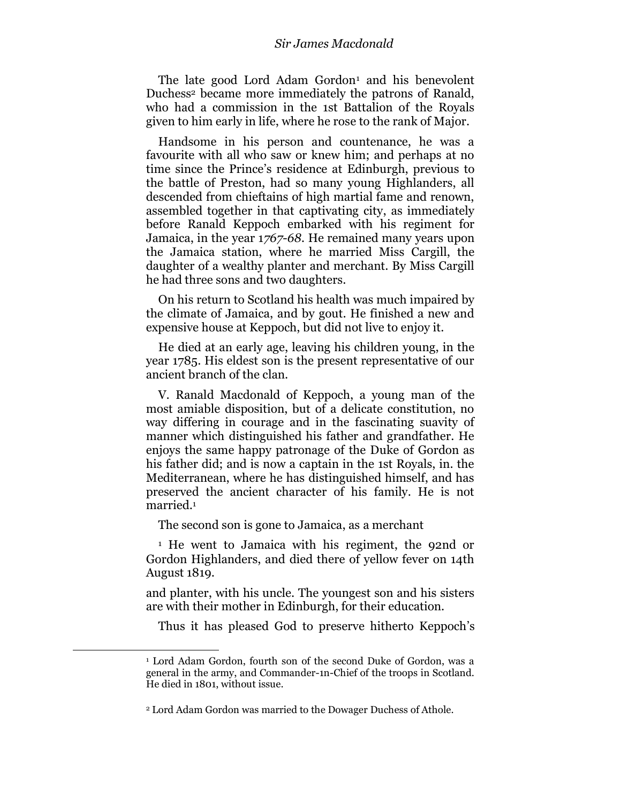#### *Sir James Macdonald*

The late good Lord Adam Gordon<sup>1</sup> and his benevolent Duchess<sup>2</sup> became more immediately the patrons of Ranald, who had a commission in the 1st Battalion of the Royals given to him early in life, where he rose to the rank of Major.

Handsome in his person and countenance, he was a favourite with all who saw or knew him; and perhaps at no time since the Prince's residence at Edinburgh, previous to the battle of Preston, had so many young Highlanders, all descended from chieftains of high martial fame and renown, assembled together in that captivating city, as immediately before Ranald Keppoch embarked with his regiment for Jamaica, in the year 1*767-68.* He remained many years upon the Jamaica station, where he married Miss Cargill, the daughter of a wealthy planter and merchant. By Miss Cargill he had three sons and two daughters.

On his return to Scotland his health was much impaired by the climate of Jamaica, and by gout. He finished a new and expensive house at Keppoch, but did not live to enjoy it.

He died at an early age, leaving his children young, in the year 1785. His eldest son is the present representative of our ancient branch of the clan.

V. Ranald Macdonald of Keppoch, a young man of the most amiable disposition, but of a delicate constitution, no way differing in courage and in the fascinating suavity of manner which distinguished his father and grandfather. He enjoys the same happy patronage of the Duke of Gordon as his father did; and is now a captain in the 1st Royals, in. the Mediterranean, where he has distinguished himself, and has preserved the ancient character of his family. He is not married.<sup>1</sup>

The second son is gone to Jamaica, as a merchant

<sup>1</sup> He went to Jamaica with his regiment, the 92nd or Gordon Highlanders, and died there of yellow fever on 14th August 1819.

and planter, with his uncle. The youngest son and his sisters are with their mother in Edinburgh, for their education.

Thus it has pleased God to preserve hitherto Keppoch's

l

<sup>1</sup> Lord Adam Gordon, fourth son of the second Duke of Gordon, was a general in the army, and Commander-1n-Chief of the troops in Scotland. He died in 1801, without issue.

<sup>2</sup> Lord Adam Gordon was married to the Dowager Duchess of Athole.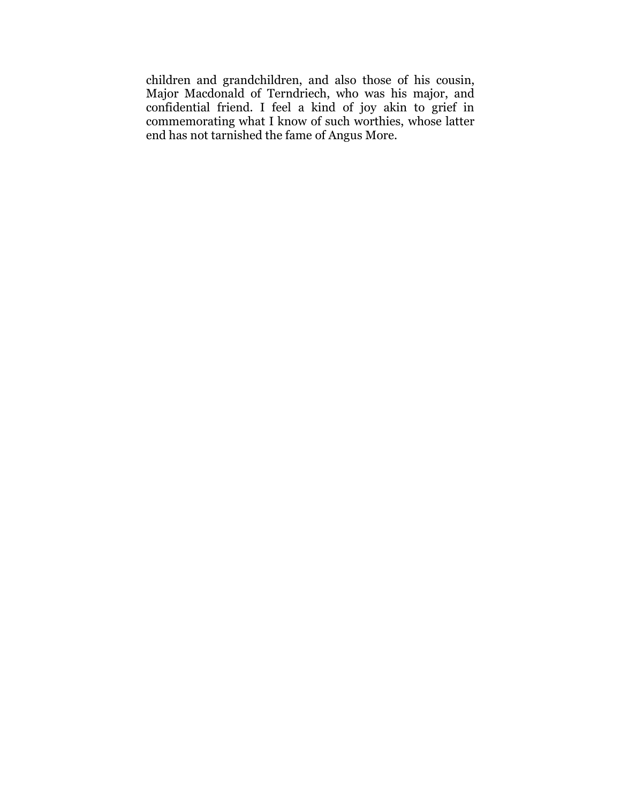children and grandchildren, and also those of his cousin, Major Macdonald of Terndriech, who was his major, and confidential friend. I feel a kind of joy akin to grief in commemorating what I know of such worthies, whose latter end has not tarnished the fame of Angus More.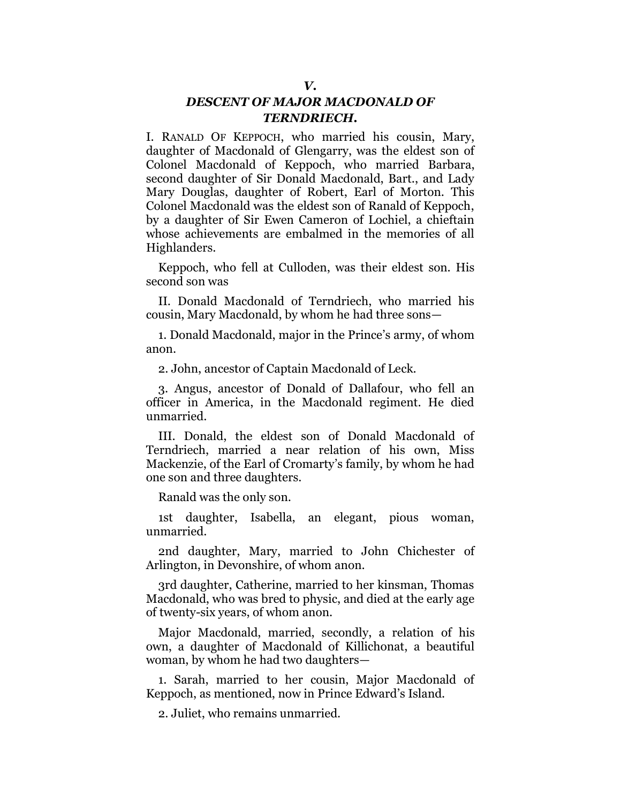# *DESCENT OF MAJOR MACDONALD OF TERNDRIECH.*

I. RANALD OF KEPPOCH, who married his cousin, Mary, daughter of Macdonald of Glengarry, was the eldest son of Colonel Macdonald of Keppoch, who married Barbara, second daughter of Sir Donald Macdonald, Bart., and Lady Mary Douglas, daughter of Robert, Earl of Morton. This Colonel Macdonald was the eldest son of Ranald of Keppoch, by a daughter of Sir Ewen Cameron of Lochiel, a chieftain whose achievements are embalmed in the memories of all Highlanders.

Keppoch, who fell at Culloden, was their eldest son. His second son was

II. Donald Macdonald of Terndriech, who married his cousin, Mary Macdonald, by whom he had three sons—

1. Donald Macdonald, major in the Prince's army, of whom anon.

2. John, ancestor of Captain Macdonald of Leck.

3. Angus, ancestor of Donald of Dallafour, who fell an officer in America, in the Macdonald regiment. He died unmarried.

III. Donald, the eldest son of Donald Macdonald of Terndriech, married a near relation of his own, Miss Mackenzie, of the Earl of Cromarty's family, by whom he had one son and three daughters.

Ranald was the only son.

1st daughter, Isabella, an elegant, pious woman, unmarried.

2nd daughter, Mary, married to John Chichester of Arlington, in Devonshire, of whom anon.

3rd daughter, Catherine, married to her kinsman, Thomas Macdonald, who was bred to physic, and died at the early age of twenty-six years, of whom anon.

Major Macdonald, married, secondly, a relation of his own, a daughter of Macdonald of Killichonat, a beautiful woman, by whom he had two daughters—

1. Sarah, married to her cousin, Major Macdonald of Keppoch, as mentioned, now in Prince Edward's Island.

2. Juliet, who remains unmarried.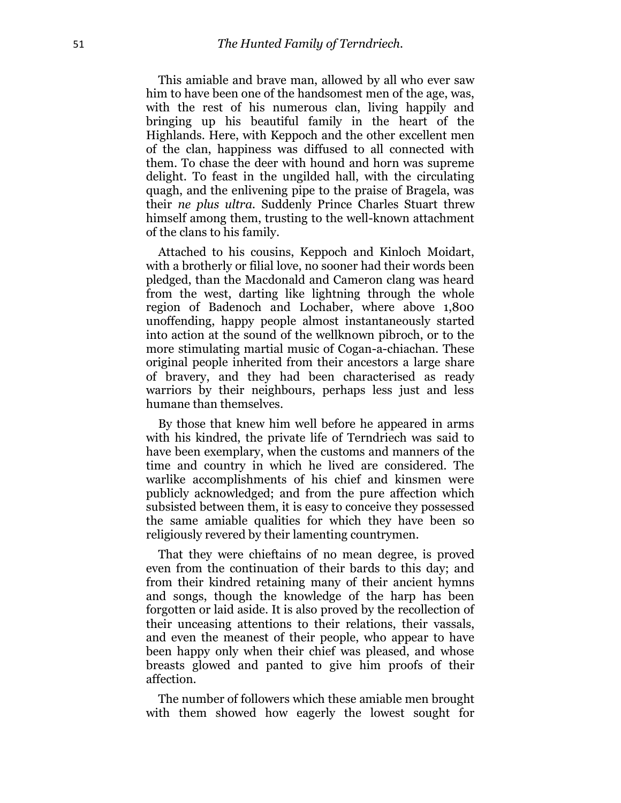This amiable and brave man, allowed by all who ever saw him to have been one of the handsomest men of the age, was, with the rest of his numerous clan, living happily and bringing up his beautiful family in the heart of the Highlands. Here, with Keppoch and the other excellent men of the clan, happiness was diffused to all connected with them. To chase the deer with hound and horn was supreme delight. To feast in the ungilded hall, with the circulating quagh, and the enlivening pipe to the praise of Bragela, was their *ne plus ultra.* Suddenly Prince Charles Stuart threw himself among them, trusting to the well-known attachment of the clans to his family.

Attached to his cousins, Keppoch and Kinloch Moidart, with a brotherly or filial love, no sooner had their words been pledged, than the Macdonald and Cameron clang was heard from the west, darting like lightning through the whole region of Badenoch and Lochaber, where above 1,800 unoffending, happy people almost instantaneously started into action at the sound of the wellknown pibroch, or to the more stimulating martial music of Cogan-a-chiachan. These original people inherited from their ancestors a large share of bravery, and they had been characterised as ready warriors by their neighbours, perhaps less just and less humane than themselves.

By those that knew him well before he appeared in arms with his kindred, the private life of Terndriech was said to have been exemplary, when the customs and manners of the time and country in which he lived are considered. The warlike accomplishments of his chief and kinsmen were publicly acknowledged; and from the pure affection which subsisted between them, it is easy to conceive they possessed the same amiable qualities for which they have been so religiously revered by their lamenting countrymen.

That they were chieftains of no mean degree, is proved even from the continuation of their bards to this day; and from their kindred retaining many of their ancient hymns and songs, though the knowledge of the harp has been forgotten or laid aside. It is also proved by the recollection of their unceasing attentions to their relations, their vassals, and even the meanest of their people, who appear to have been happy only when their chief was pleased, and whose breasts glowed and panted to give him proofs of their affection.

The number of followers which these amiable men brought with them showed how eagerly the lowest sought for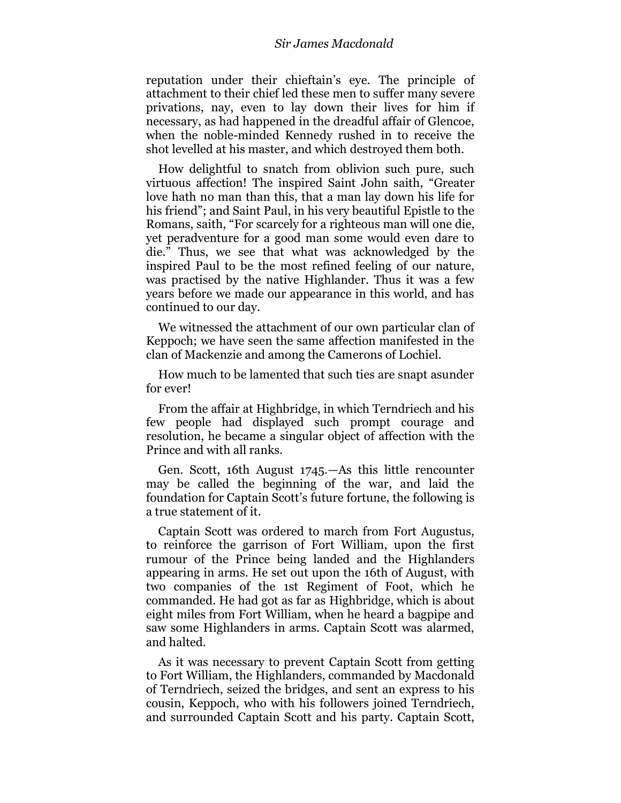reputation under their chieftain's eye. The principle of attachment to their chief led these men to suffer many severe privations, nay, even to lay down their lives for him if necessary, as had happened in the dreadful affair of Glencoe, when the noble-minded Kennedy rushed in to receive the shot levelled at his master, and which destroyed them both.

How delightful to snatch from oblivion such pure, such virtuous affection! The inspired Saint John saith, "Greater love hath no man than this, that a man lay down his life for his friend"; and Saint Paul, in his very beautiful Epistle to the Romans, saith, "For scarcely for a righteous man will one die, yet peradventure for a good man some would even dare to die.‖ Thus, we see that what was acknowledged by the inspired Paul to be the most refined feeling of our nature, was practised by the native Highlander. Thus it was a few years before we made our appearance in this world, and has continued to our day.

We witnessed the attachment of our own particular clan of Keppoch; we have seen the same affection manifested in the clan of Mackenzie and among the Camerons of Lochiel.

How much to be lamented that such ties are snapt asunder for ever!

From the affair at Highbridge, in which Terndriech and his few people had displayed such prompt courage and resolution, he became a singular object of affection with the Prince and with all ranks.

Gen. Scott, 16th August 1745.—As this little rencounter may be called the beginning of the war, and laid the foundation for Captain Scott's future fortune, the following is a true statement of it.

Captain Scott was ordered to march from Fort Augustus, to reinforce the garrison of Fort William, upon the first rumour of the Prince being landed and the Highlanders appearing in arms. He set out upon the 16th of August, with two companies of the 1st Regiment of Foot, which he commanded. He had got as far as Highbridge, which is about eight miles from Fort William, when he heard a bagpipe and saw some Highlanders in arms. Captain Scott was alarmed, and halted.

As it was necessary to prevent Captain Scott from getting to Fort William, the Highlanders, commanded by Macdonald of Terndriech, seized the bridges, and sent an express to his cousin, Keppoch, who with his followers joined Terndriech, and surrounded Captain Scott and his party. Captain Scott,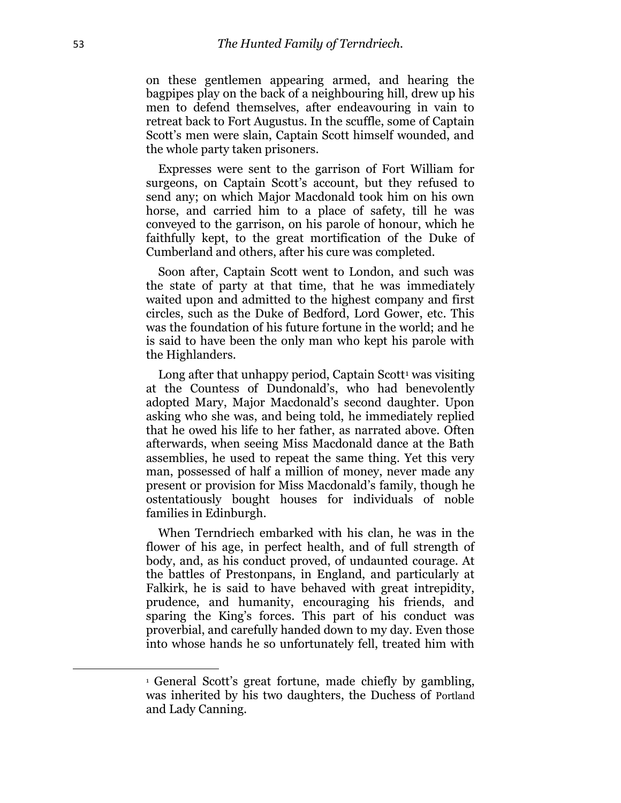on these gentlemen appearing armed, and hearing the bagpipes play on the back of a neighbouring hill, drew up his men to defend themselves, after endeavouring in vain to retreat back to Fort Augustus. In the scuffle, some of Captain Scott's men were slain, Captain Scott himself wounded, and the whole party taken prisoners.

Expresses were sent to the garrison of Fort William for surgeons, on Captain Scott's account, but they refused to send any; on which Major Macdonald took him on his own horse, and carried him to a place of safety, till he was conveyed to the garrison, on his parole of honour, which he faithfully kept, to the great mortification of the Duke of Cumberland and others, after his cure was completed.

Soon after, Captain Scott went to London, and such was the state of party at that time, that he was immediately waited upon and admitted to the highest company and first circles, such as the Duke of Bedford, Lord Gower, etc. This was the foundation of his future fortune in the world; and he is said to have been the only man who kept his parole with the Highlanders.

Long after that unhappy period, Captain Scott<sup>1</sup> was visiting at the Countess of Dundonald's, who had benevolently adopted Mary, Major Macdonald's second daughter. Upon asking who she was, and being told, he immediately replied that he owed his life to her father, as narrated above. Often afterwards, when seeing Miss Macdonald dance at the Bath assemblies, he used to repeat the same thing. Yet this very man, possessed of half a million of money, never made any present or provision for Miss Macdonald's family, though he ostentatiously bought houses for individuals of noble families in Edinburgh.

When Terndriech embarked with his clan, he was in the flower of his age, in perfect health, and of full strength of body, and, as his conduct proved, of undaunted courage. At the battles of Prestonpans, in England, and particularly at Falkirk, he is said to have behaved with great intrepidity, prudence, and humanity, encouraging his friends, and sparing the King's forces. This part of his conduct was proverbial, and carefully handed down to my day. Even those into whose hands he so unfortunately fell, treated him with

l

<sup>1</sup> General Scott's great fortune, made chiefly by gambling, was inherited by his two daughters, the Duchess of Portland and Lady Canning.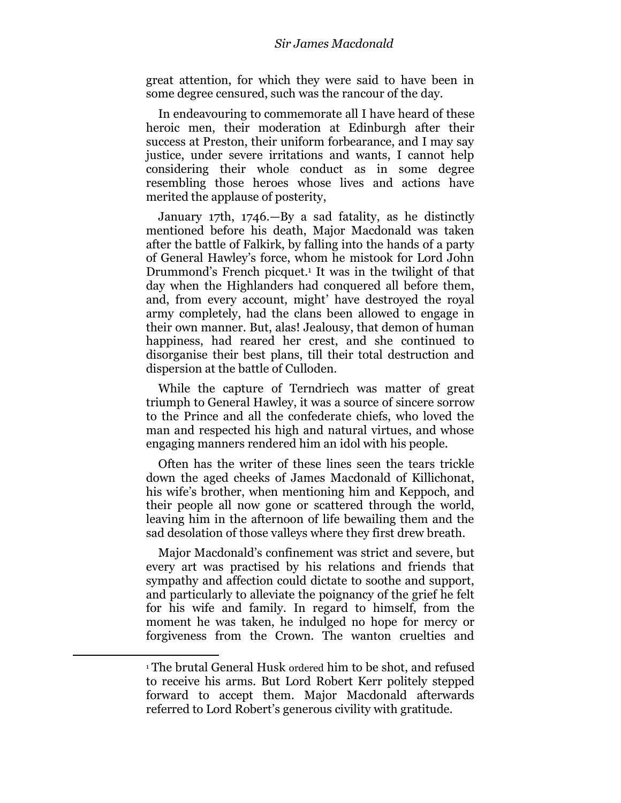great attention, for which they were said to have been in some degree censured, such was the rancour of the day.

In endeavouring to commemorate all I have heard of these heroic men, their moderation at Edinburgh after their success at Preston, their uniform forbearance, and I may say justice, under severe irritations and wants, I cannot help considering their whole conduct as in some degree resembling those heroes whose lives and actions have merited the applause of posterity,

January 17th, 1746.—By a sad fatality, as he distinctly mentioned before his death, Major Macdonald was taken after the battle of Falkirk, by falling into the hands of a party of General Hawley's force, whom he mistook for Lord John Drummond's French picquet.<sup>1</sup> It was in the twilight of that day when the Highlanders had conquered all before them, and, from every account, might' have destroyed the royal army completely, had the clans been allowed to engage in their own manner. But, alas! Jealousy, that demon of human happiness, had reared her crest, and she continued to disorganise their best plans, till their total destruction and dispersion at the battle of Culloden.

While the capture of Terndriech was matter of great triumph to General Hawley, it was a source of sincere sorrow to the Prince and all the confederate chiefs, who loved the man and respected his high and natural virtues, and whose engaging manners rendered him an idol with his people.

Often has the writer of these lines seen the tears trickle down the aged cheeks of James Macdonald of Killichonat, his wife's brother, when mentioning him and Keppoch, and their people all now gone or scattered through the world, leaving him in the afternoon of life bewailing them and the sad desolation of those valleys where they first drew breath.

Major Macdonald's confinement was strict and severe, but every art was practised by his relations and friends that sympathy and affection could dictate to soothe and support, and particularly to alleviate the poignancy of the grief he felt for his wife and family. In regard to himself, from the moment he was taken, he indulged no hope for mercy or forgiveness from the Crown. The wanton cruelties and

<sup>1</sup> The brutal General Husk ordered him to be shot, and refused to receive his arms. But Lord Robert Kerr politely stepped forward to accept them. Major Macdonald afterwards referred to Lord Robert's generous civility with gratitude.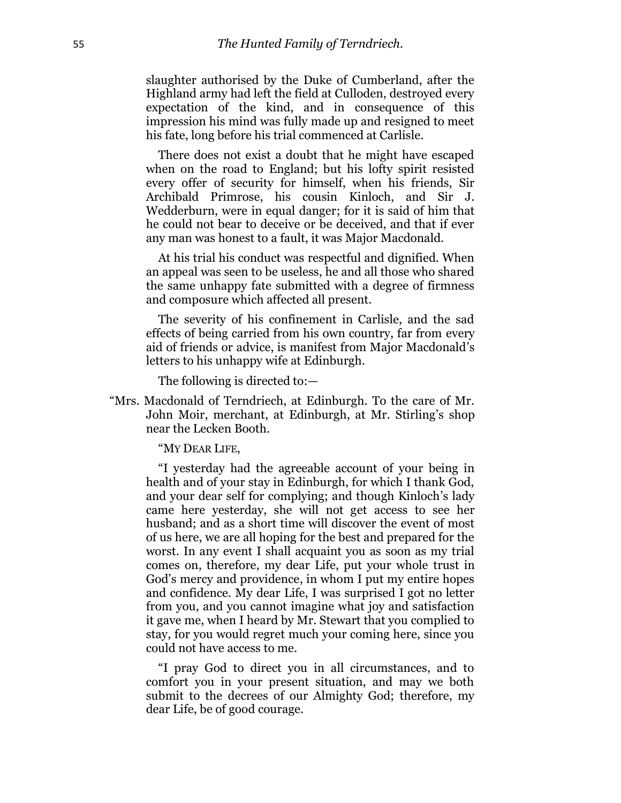slaughter authorised by the Duke of Cumberland, after the Highland army had left the field at Culloden, destroyed every expectation of the kind, and in consequence of this impression his mind was fully made up and resigned to meet his fate, long before his trial commenced at Carlisle.

There does not exist a doubt that he might have escaped when on the road to England; but his lofty spirit resisted every offer of security for himself, when his friends, Sir Archibald Primrose, his cousin Kinloch, and Sir J. Wedderburn, were in equal danger; for it is said of him that he could not bear to deceive or be deceived, and that if ever any man was honest to a fault, it was Major Macdonald.

At his trial his conduct was respectful and dignified. When an appeal was seen to be useless, he and all those who shared the same unhappy fate submitted with a degree of firmness and composure which affected all present.

The severity of his confinement in Carlisle, and the sad effects of being carried from his own country, far from every aid of friends or advice, is manifest from Major Macdonald's letters to his unhappy wife at Edinburgh.

The following is directed to:—

―Mrs. Macdonald of Terndriech, at Edinburgh. To the care of Mr. John Moir, merchant, at Edinburgh, at Mr. Stirling's shop near the Lecken Booth.

"MY DEAR LIFE,

―I yesterday had the agreeable account of your being in health and of your stay in Edinburgh, for which I thank God, and your dear self for complying; and though Kinloch's lady came here yesterday, she will not get access to see her husband; and as a short time will discover the event of most of us here, we are all hoping for the best and prepared for the worst. In any event I shall acquaint you as soon as my trial comes on, therefore, my dear Life, put your whole trust in God's mercy and providence, in whom I put my entire hopes and confidence. My dear Life, I was surprised I got no letter from you, and you cannot imagine what joy and satisfaction it gave me, when I heard by Mr. Stewart that you complied to stay, for you would regret much your coming here, since you could not have access to me.

―I pray God to direct you in all circumstances, and to comfort you in your present situation, and may we both submit to the decrees of our Almighty God; therefore, my dear Life, be of good courage.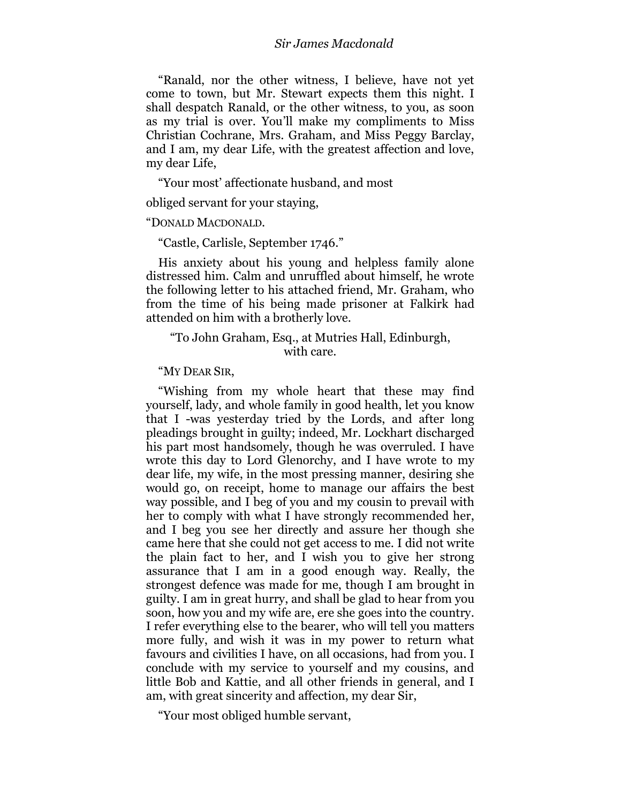#### *Sir James Macdonald*

―Ranald, nor the other witness, I believe, have not yet come to town, but Mr. Stewart expects them this night. I shall despatch Ranald, or the other witness, to you, as soon as my trial is over. You'll make my compliments to Miss Christian Cochrane, Mrs. Graham, and Miss Peggy Barclay, and I am, my dear Life, with the greatest affection and love, my dear Life,

―Your most' affectionate husband, and most

obliged servant for your staying,

#### ―DONALD MACDONALD.

―Castle, Carlisle, September 1746.‖

His anxiety about his young and helpless family alone distressed him. Calm and unruffled about himself, he wrote the following letter to his attached friend, Mr. Graham, who from the time of his being made prisoner at Falkirk had attended on him with a brotherly love.

## ―To John Graham, Esq., at Mutries Hall, Edinburgh, with care.

―MY DEAR SIR,

―Wishing from my whole heart that these may find yourself, lady, and whole family in good health, let you know that I -was yesterday tried by the Lords, and after long pleadings brought in guilty; indeed, Mr. Lockhart discharged his part most handsomely, though he was overruled. I have wrote this day to Lord Glenorchy, and I have wrote to my dear life, my wife, in the most pressing manner, desiring she would go, on receipt, home to manage our affairs the best way possible, and I beg of you and my cousin to prevail with her to comply with what I have strongly recommended her, and I beg you see her directly and assure her though she came here that she could not get access to me. I did not write the plain fact to her, and I wish you to give her strong assurance that I am in a good enough way. Really, the strongest defence was made for me, though I am brought in guilty. I am in great hurry, and shall be glad to hear from you soon, how you and my wife are, ere she goes into the country. I refer everything else to the bearer, who will tell you matters more fully, and wish it was in my power to return what favours and civilities I have, on all occasions, had from you. I conclude with my service to yourself and my cousins, and little Bob and Kattie, and all other friends in general, and I am, with great sincerity and affection, my dear Sir,

―Your most obliged humble servant,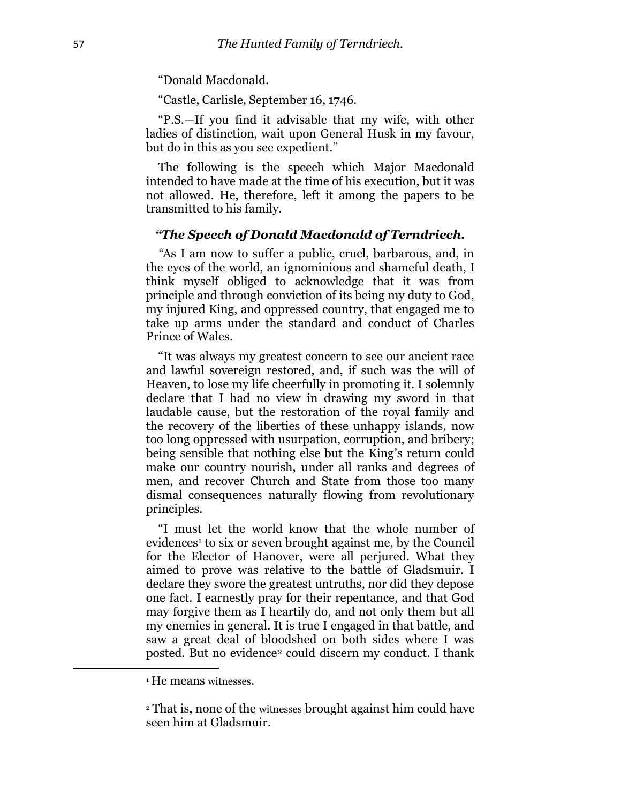―Donald Macdonald.

―Castle, Carlisle, September 16, 1746.

―P.S.—If you find it advisable that my wife, with other ladies of distinction, wait upon General Husk in my favour, but do in this as you see expedient."

The following is the speech which Major Macdonald intended to have made at the time of his execution, but it was not allowed. He, therefore, left it among the papers to be transmitted to his family.

## *"The Speech of Donald Macdonald of Terndriech.*

*"*As I am now to suffer a public, cruel, barbarous, and, in the eyes of the world, an ignominious and shameful death, I think myself obliged to acknowledge that it was from principle and through conviction of its being my duty to God, my injured King, and oppressed country, that engaged me to take up arms under the standard and conduct of Charles Prince of Wales.

―It was always my greatest concern to see our ancient race and lawful sovereign restored, and, if such was the will of Heaven, to lose my life cheerfully in promoting it. I solemnly declare that I had no view in drawing my sword in that laudable cause, but the restoration of the royal family and the recovery of the liberties of these unhappy islands, now too long oppressed with usurpation, corruption, and bribery; being sensible that nothing else but the King's return could make our country nourish, under all ranks and degrees of men, and recover Church and State from those too many dismal consequences naturally flowing from revolutionary principles.

―I must let the world know that the whole number of evidences<sup>1</sup> to six or seven brought against me, by the Council for the Elector of Hanover, were all perjured. What they aimed to prove was relative to the battle of Gladsmuir. I declare they swore the greatest untruths, nor did they depose one fact. I earnestly pray for their repentance, and that God may forgive them as I heartily do, and not only them but all my enemies in general. It is true I engaged in that battle, and saw a great deal of bloodshed on both sides where I was posted. But no evidence<sup>2</sup> could discern my conduct. I thank

<sup>1</sup> He means witnesses.

<sup>2</sup> That is, none of the witnesses brought against him could have seen him at Gladsmuir.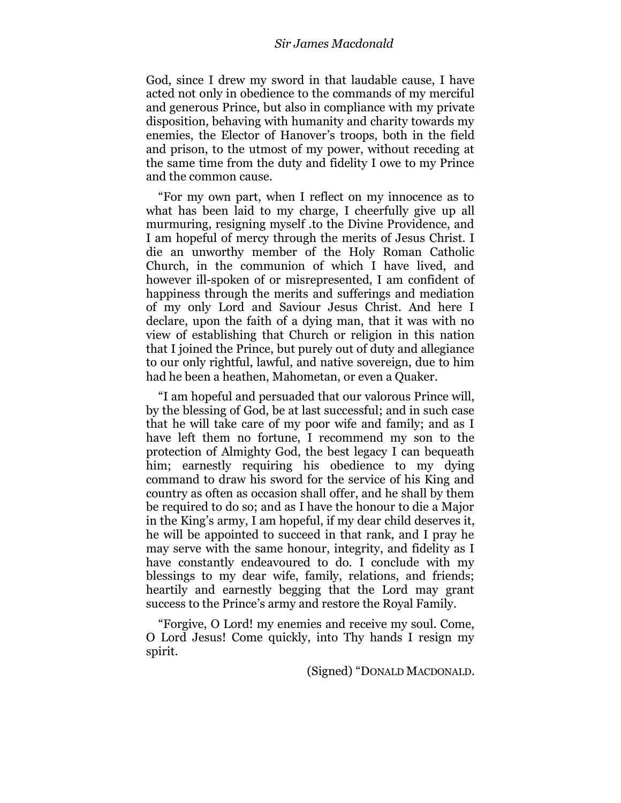## *Sir James Macdonald*

God, since I drew my sword in that laudable cause, I have acted not only in obedience to the commands of my merciful and generous Prince, but also in compliance with my private disposition, behaving with humanity and charity towards my enemies, the Elector of Hanover's troops, both in the field and prison, to the utmost of my power, without receding at the same time from the duty and fidelity I owe to my Prince and the common cause.

―For my own part, when I reflect on my innocence as to what has been laid to my charge, I cheerfully give up all murmuring, resigning myself .to the Divine Providence, and I am hopeful of mercy through the merits of Jesus Christ. I die an unworthy member of the Holy Roman Catholic Church, in the communion of which I have lived, and however ill-spoken of or misrepresented, I am confident of happiness through the merits and sufferings and mediation of my only Lord and Saviour Jesus Christ. And here I declare, upon the faith of a dying man, that it was with no view of establishing that Church or religion in this nation that I joined the Prince, but purely out of duty and allegiance to our only rightful, lawful, and native sovereign, due to him had he been a heathen, Mahometan, or even a Quaker.

―I am hopeful and persuaded that our valorous Prince will, by the blessing of God, be at last successful; and in such case that he will take care of my poor wife and family; and as I have left them no fortune, I recommend my son to the protection of Almighty God, the best legacy I can bequeath him; earnestly requiring his obedience to my dying command to draw his sword for the service of his King and country as often as occasion shall offer, and he shall by them be required to do so; and as I have the honour to die a Major in the King's army, I am hopeful, if my dear child deserves it, he will be appointed to succeed in that rank, and I pray he may serve with the same honour, integrity, and fidelity as I have constantly endeavoured to do. I conclude with my blessings to my dear wife, family, relations, and friends; heartily and earnestly begging that the Lord may grant success to the Prince's army and restore the Royal Family.

―Forgive, O Lord! my enemies and receive my soul. Come, O Lord Jesus! Come quickly, into Thy hands I resign my spirit.

(Signed) "DONALD MACDONALD.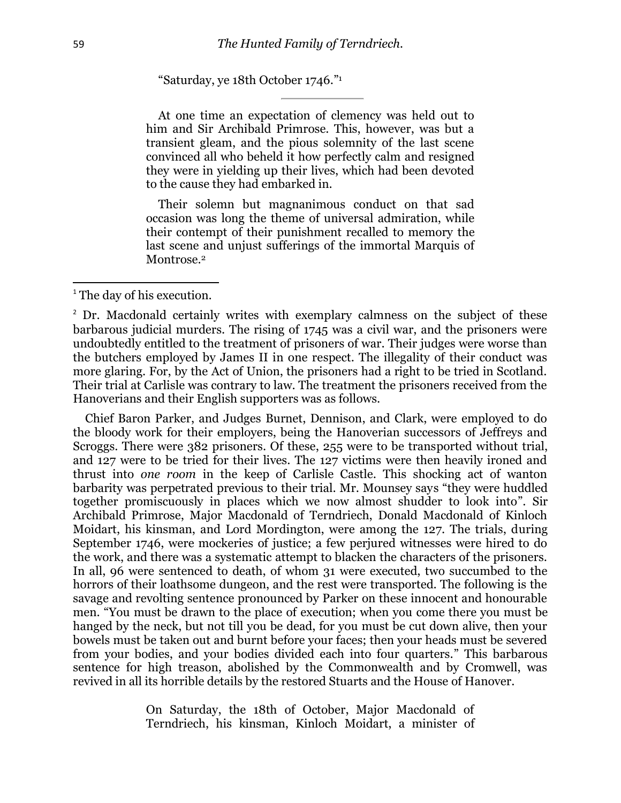"Saturday, ye 18th October 1746."<sup>1</sup>

At one time an expectation of clemency was held out to him and Sir Archibald Primrose. This, however, was but a transient gleam, and the pious solemnity of the last scene convinced all who beheld it how perfectly calm and resigned they were in yielding up their lives, which had been devoted to the cause they had embarked in.

Their solemn but magnanimous conduct on that sad occasion was long the theme of universal admiration, while their contempt of their punishment recalled to memory the last scene and unjust sufferings of the immortal Marquis of Montrose.<sup>2</sup>

Chief Baron Parker, and Judges Burnet, Dennison, and Clark, were employed to do the bloody work for their employers, being the Hanoverian successors of Jeffreys and Scroggs. There were 382 prisoners. Of these, 255 were to be transported without trial, and 127 were to be tried for their lives. The 127 victims were then heavily ironed and thrust into *one room* in the keep of Carlisle Castle. This shocking act of wanton barbarity was perpetrated previous to their trial. Mr. Mounsey says "they were huddled together promiscuously in places which we now almost shudder to look into". Sir Archibald Primrose, Major Macdonald of Terndriech, Donald Macdonald of Kinloch Moidart, his kinsman, and Lord Mordington, were among the 127. The trials, during September 1746, were mockeries of justice; a few perjured witnesses were hired to do the work, and there was a systematic attempt to blacken the characters of the prisoners. In all, 96 were sentenced to death, of whom 31 were executed, two succumbed to the horrors of their loathsome dungeon, and the rest were transported. The following is the savage and revolting sentence pronounced by Parker on these innocent and honourable men. "You must be drawn to the place of execution; when you come there you must be hanged by the neck, but not till you be dead, for you must be cut down alive, then your bowels must be taken out and burnt before your faces; then your heads must be severed from your bodies, and your bodies divided each into four quarters." This barbarous sentence for high treason, abolished by the Commonwealth and by Cromwell, was revived in all its horrible details by the restored Stuarts and the House of Hanover.

> On Saturday, the 18th of October, Major Macdonald of Terndriech, his kinsman, Kinloch Moidart, a minister of

<sup>&</sup>lt;sup>1</sup> The day of his execution.

<sup>&</sup>lt;sup>2</sup> Dr. Macdonald certainly writes with exemplary calmness on the subject of these barbarous judicial murders. The rising of 1745 was a civil war, and the prisoners were undoubtedly entitled to the treatment of prisoners of war. Their judges were worse than the butchers employed by James II in one respect. The illegality of their conduct was more glaring. For, by the Act of Union, the prisoners had a right to be tried in Scotland. Their trial at Carlisle was contrary to law. The treatment the prisoners received from the Hanoverians and their English supporters was as follows.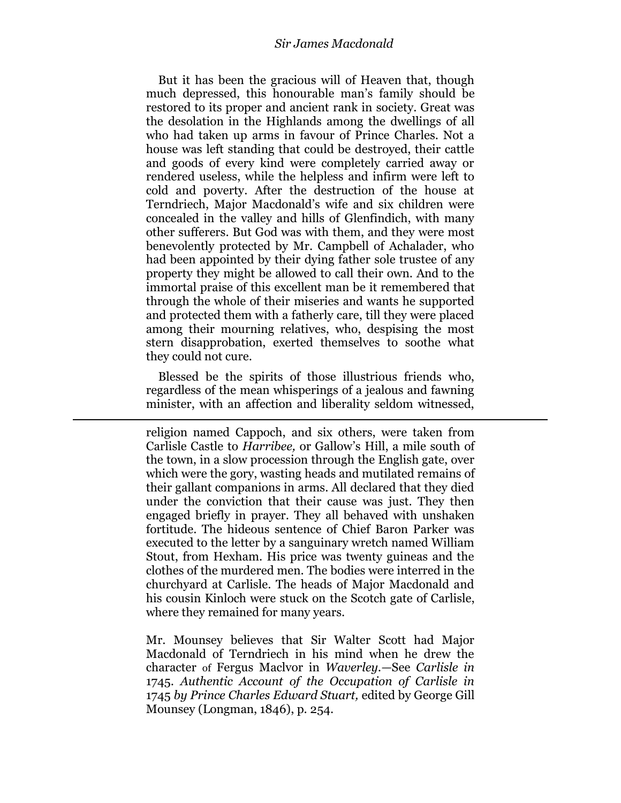But it has been the gracious will of Heaven that, though much depressed, this honourable man's family should be restored to its proper and ancient rank in society. Great was the desolation in the Highlands among the dwellings of all who had taken up arms in favour of Prince Charles. Not a house was left standing that could be destroyed, their cattle and goods of every kind were completely carried away or rendered useless, while the helpless and infirm were left to cold and poverty. After the destruction of the house at Terndriech, Major Macdonald's wife and six children were concealed in the valley and hills of Glenfindich, with many other sufferers. But God was with them, and they were most benevolently protected by Mr. Campbell of Achalader, who had been appointed by their dying father sole trustee of any property they might be allowed to call their own. And to the immortal praise of this excellent man be it remembered that through the whole of their miseries and wants he supported and protected them with a fatherly care, till they were placed among their mourning relatives, who, despising the most stern disapprobation, exerted themselves to soothe what they could not cure.

Blessed be the spirits of those illustrious friends who, regardless of the mean whisperings of a jealous and fawning minister, with an affection and liberality seldom witnessed,

 $\overline{a}$ 

religion named Cappoch, and six others, were taken from Carlisle Castle to *Harribee,* or Gallow's Hill, a mile south of the town, in a slow procession through the English gate, over which were the gory, wasting heads and mutilated remains of their gallant companions in arms. All declared that they died under the conviction that their cause was just. They then engaged briefly in prayer. They all behaved with unshaken fortitude. The hideous sentence of Chief Baron Parker was executed to the letter by a sanguinary wretch named William Stout, from Hexham. His price was twenty guineas and the clothes of the murdered men. The bodies were interred in the churchyard at Carlisle. The heads of Major Macdonald and his cousin Kinloch were stuck on the Scotch gate of Carlisle, where they remained for many years.

Mr. Mounsey believes that Sir Walter Scott had Major Macdonald of Terndriech in his mind when he drew the character of Fergus Maclvor in *Waverley.—*See *Carlisle in*  1745. *Authentic Account of the Occupation of Carlisle in*  1745 *by Prince Charles Edward Stuart,* edited by George Gill Mounsey (Longman, 1846), p. 254.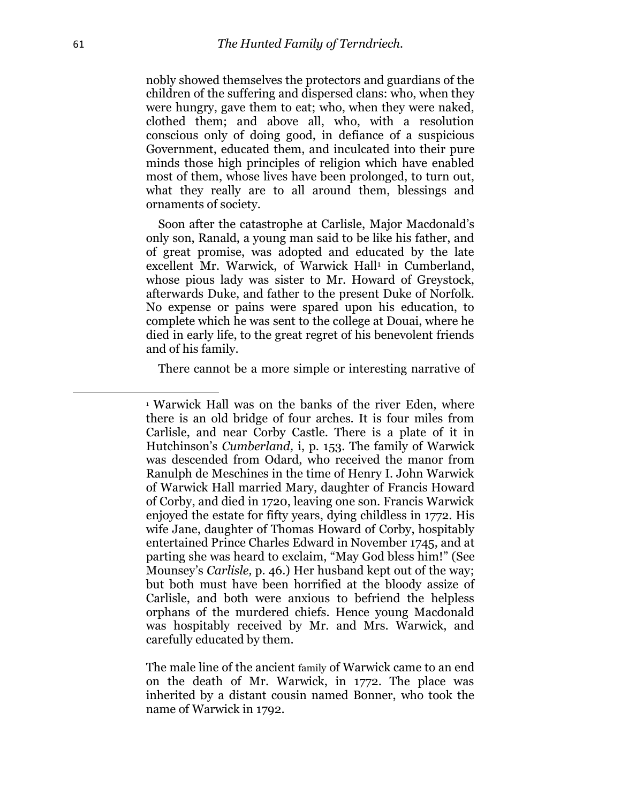nobly showed themselves the protectors and guardians of the children of the suffering and dispersed clans: who, when they were hungry, gave them to eat; who, when they were naked, clothed them; and above all, who, with a resolution conscious only of doing good, in defiance of a suspicious Government, educated them, and inculcated into their pure minds those high principles of religion which have enabled most of them, whose lives have been prolonged, to turn out, what they really are to all around them, blessings and ornaments of society.

Soon after the catastrophe at Carlisle, Major Macdonald's only son, Ranald, a young man said to be like his father, and of great promise, was adopted and educated by the late excellent Mr. Warwick, of Warwick Hall<sup>1</sup> in Cumberland, whose pious lady was sister to Mr. Howard of Greystock, afterwards Duke, and father to the present Duke of Norfolk. No expense or pains were spared upon his education, to complete which he was sent to the college at Douai, where he died in early life, to the great regret of his benevolent friends and of his family.

There cannot be a more simple or interesting narrative of

The male line of the ancient family of Warwick came to an end on the death of Mr. Warwick, in 1772. The place was inherited by a distant cousin named Bonner, who took the name of Warwick in 1792.

<sup>1</sup> Warwick Hall was on the banks of the river Eden, where there is an old bridge of four arches. It is four miles from Carlisle, and near Corby Castle. There is a plate of it in Hutchinson's *Cumberland,* i, p. 153. The family of Warwick was descended from Odard, who received the manor from Ranulph de Meschines in the time of Henry I. John Warwick of Warwick Hall married Mary, daughter of Francis Howard of Corby, and died in 1720, leaving one son. Francis Warwick enjoyed the estate for fifty years, dying childless in 1772. His wife Jane, daughter of Thomas Howard of Corby, hospitably entertained Prince Charles Edward in November 1745, and at parting she was heard to exclaim, "May God bless him!" (See Mounsey's *Carlisle,* p. 46.) Her husband kept out of the way; but both must have been horrified at the bloody assize of Carlisle, and both were anxious to befriend the helpless orphans of the murdered chiefs. Hence young Macdonald was hospitably received by Mr. and Mrs. Warwick, and carefully educated by them.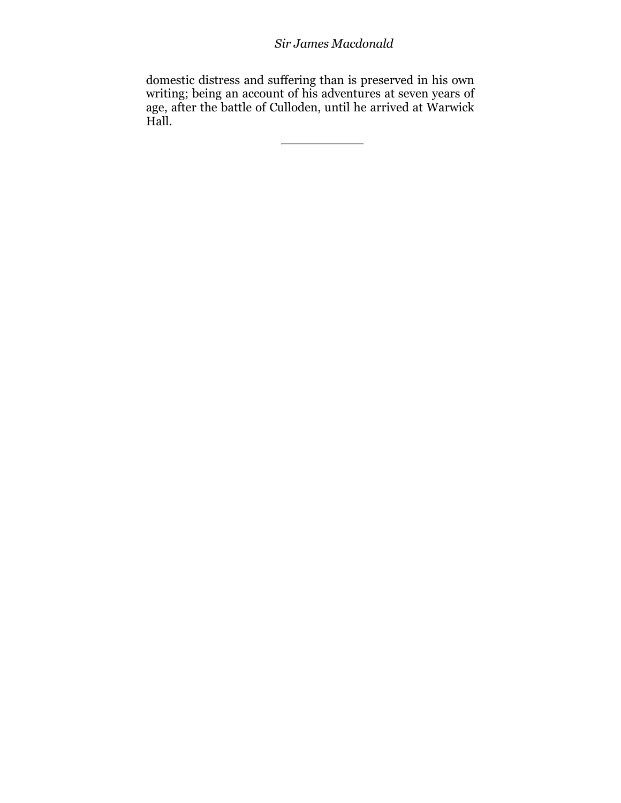domestic distress and suffering than is preserved in his own writing; being an account of his adventures at seven years of age, after the battle of Culloden, until he arrived at Warwick Hall.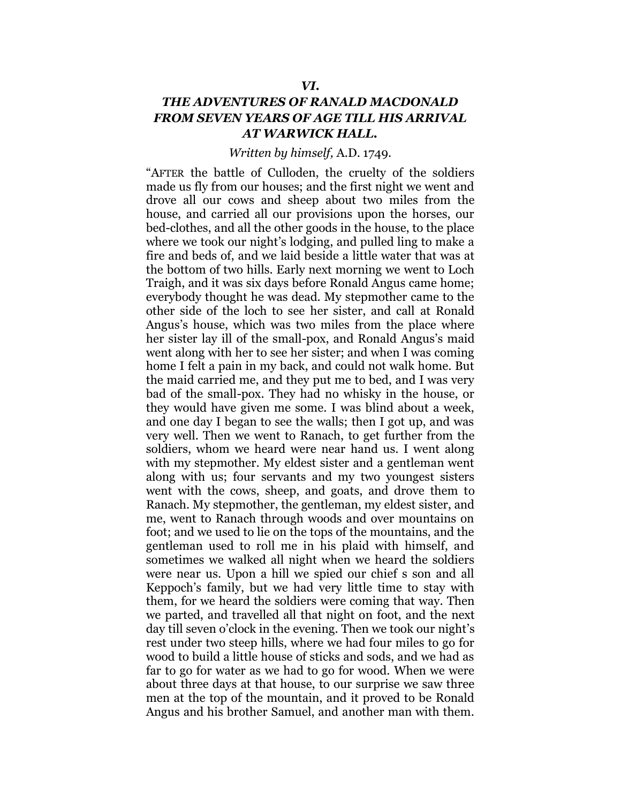# *THE ADVENTURES OF RANALD MACDONALD FROM SEVEN YEARS OF AGE TILL HIS ARRIVAL AT WARWICK HALL.*

# *Written by himself,* A.D. 1749.

―AFTER the battle of Culloden, the cruelty of the soldiers made us fly from our houses; and the first night we went and drove all our cows and sheep about two miles from the house, and carried all our provisions upon the horses, our bed-clothes, and all the other goods in the house, to the place where we took our night's lodging, and pulled ling to make a fire and beds of, and we laid beside a little water that was at the bottom of two hills. Early next morning we went to Loch Traigh, and it was six days before Ronald Angus came home; everybody thought he was dead. My stepmother came to the other side of the loch to see her sister, and call at Ronald Angus's house, which was two miles from the place where her sister lay ill of the small-pox, and Ronald Angus's maid went along with her to see her sister; and when I was coming home I felt a pain in my back, and could not walk home. But the maid carried me, and they put me to bed, and I was very bad of the small-pox. They had no whisky in the house, or they would have given me some. I was blind about a week, and one day I began to see the walls; then I got up, and was very well. Then we went to Ranach, to get further from the soldiers, whom we heard were near hand us. I went along with my stepmother. My eldest sister and a gentleman went along with us; four servants and my two youngest sisters went with the cows, sheep, and goats, and drove them to Ranach. My stepmother, the gentleman, my eldest sister, and me, went to Ranach through woods and over mountains on foot; and we used to lie on the tops of the mountains, and the gentleman used to roll me in his plaid with himself, and sometimes we walked all night when we heard the soldiers were near us. Upon a hill we spied our chief s son and all Keppoch's family, but we had very little time to stay with them, for we heard the soldiers were coming that way. Then we parted, and travelled all that night on foot, and the next day till seven o'clock in the evening. Then we took our night's rest under two steep hills, where we had four miles to go for wood to build a little house of sticks and sods, and we had as far to go for water as we had to go for wood. When we were about three days at that house, to our surprise we saw three men at the top of the mountain, and it proved to be Ronald Angus and his brother Samuel, and another man with them.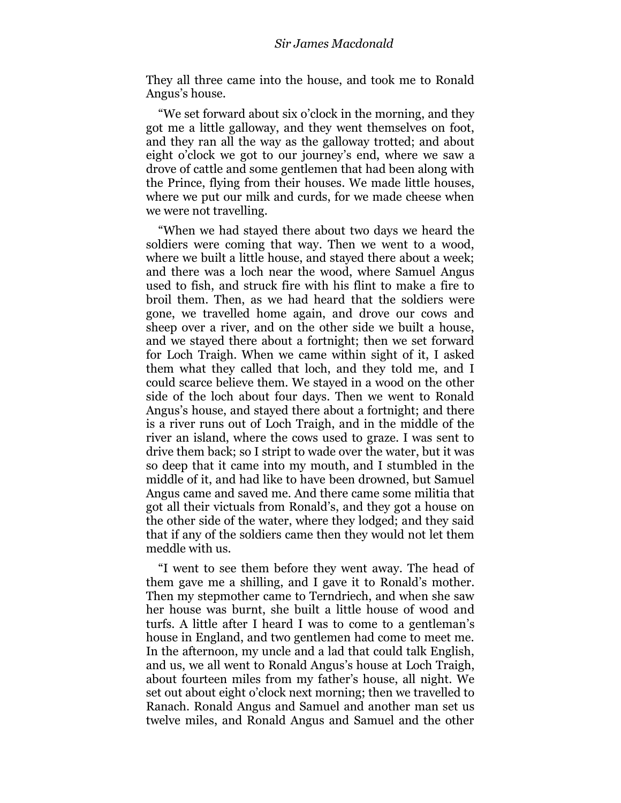They all three came into the house, and took me to Ronald Angus's house.

―We set forward about six o'clock in the morning, and they got me a little galloway, and they went themselves on foot, and they ran all the way as the galloway trotted; and about eight o'clock we got to our journey's end, where we saw a drove of cattle and some gentlemen that had been along with the Prince, flying from their houses. We made little houses, where we put our milk and curds, for we made cheese when we were not travelling.

―When we had stayed there about two days we heard the soldiers were coming that way. Then we went to a wood, where we built a little house, and stayed there about a week; and there was a loch near the wood, where Samuel Angus used to fish, and struck fire with his flint to make a fire to broil them. Then, as we had heard that the soldiers were gone, we travelled home again, and drove our cows and sheep over a river, and on the other side we built a house, and we stayed there about a fortnight; then we set forward for Loch Traigh. When we came within sight of it, I asked them what they called that loch, and they told me, and I could scarce believe them. We stayed in a wood on the other side of the loch about four days. Then we went to Ronald Angus's house, and stayed there about a fortnight; and there is a river runs out of Loch Traigh, and in the middle of the river an island, where the cows used to graze. I was sent to drive them back; so I stript to wade over the water, but it was so deep that it came into my mouth, and I stumbled in the middle of it, and had like to have been drowned, but Samuel Angus came and saved me. And there came some militia that got all their victuals from Ronald's, and they got a house on the other side of the water, where they lodged; and they said that if any of the soldiers came then they would not let them meddle with us.

―I went to see them before they went away. The head of them gave me a shilling, and I gave it to Ronald's mother. Then my stepmother came to Terndriech, and when she saw her house was burnt, she built a little house of wood and turfs. A little after I heard I was to come to a gentleman's house in England, and two gentlemen had come to meet me. In the afternoon, my uncle and a lad that could talk English, and us, we all went to Ronald Angus's house at Loch Traigh, about fourteen miles from my father's house, all night. We set out about eight o'clock next morning; then we travelled to Ranach. Ronald Angus and Samuel and another man set us twelve miles, and Ronald Angus and Samuel and the other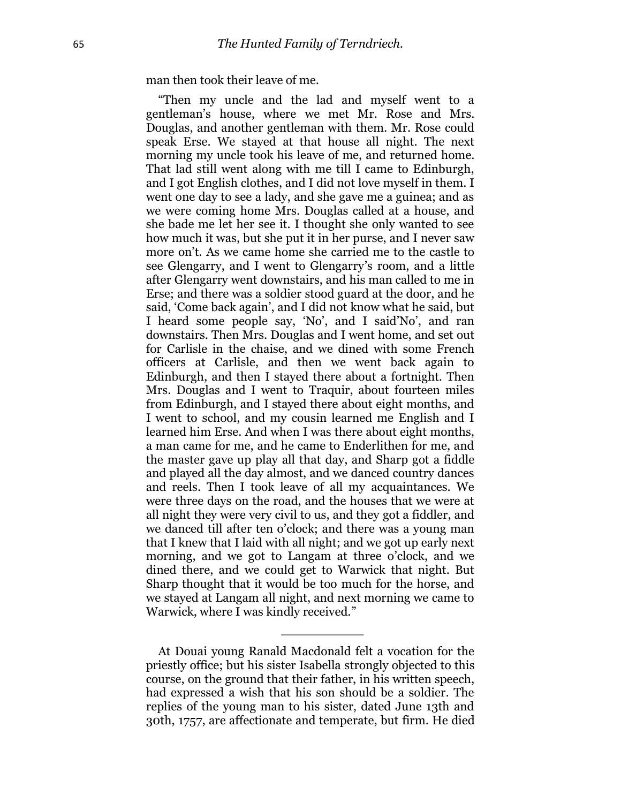man then took their leave of me.

―Then my uncle and the lad and myself went to a gentleman's house, where we met Mr. Rose and Mrs. Douglas, and another gentleman with them. Mr. Rose could speak Erse. We stayed at that house all night. The next morning my uncle took his leave of me, and returned home. That lad still went along with me till I came to Edinburgh, and I got English clothes, and I did not love myself in them. I went one day to see a lady, and she gave me a guinea; and as we were coming home Mrs. Douglas called at a house, and she bade me let her see it. I thought she only wanted to see how much it was, but she put it in her purse, and I never saw more on't. As we came home she carried me to the castle to see Glengarry, and I went to Glengarry's room, and a little after Glengarry went downstairs, and his man called to me in Erse; and there was a soldier stood guard at the door, and he said, 'Come back again', and I did not know what he said, but I heard some people say, ‗No', and I said'No', and ran downstairs. Then Mrs. Douglas and I went home, and set out for Carlisle in the chaise, and we dined with some French officers at Carlisle, and then we went back again to Edinburgh, and then I stayed there about a fortnight. Then Mrs. Douglas and I went to Traquir, about fourteen miles from Edinburgh, and I stayed there about eight months, and I went to school, and my cousin learned me English and I learned him Erse. And when I was there about eight months, a man came for me, and he came to Enderlithen for me, and the master gave up play all that day, and Sharp got a fiddle and played all the day almost, and we danced country dances and reels. Then I took leave of all my acquaintances. We were three days on the road, and the houses that we were at all night they were very civil to us, and they got a fiddler, and we danced till after ten o'clock; and there was a young man that I knew that I laid with all night; and we got up early next morning, and we got to Langam at three o'clock, and we dined there, and we could get to Warwick that night. But Sharp thought that it would be too much for the horse, and we stayed at Langam all night, and next morning we came to Warwick, where I was kindly received."

At Douai young Ranald Macdonald felt a vocation for the priestly office; but his sister Isabella strongly objected to this course, on the ground that their father, in his written speech, had expressed a wish that his son should be a soldier. The replies of the young man to his sister, dated June 13th and 30th, 1757, are affectionate and temperate, but firm. He died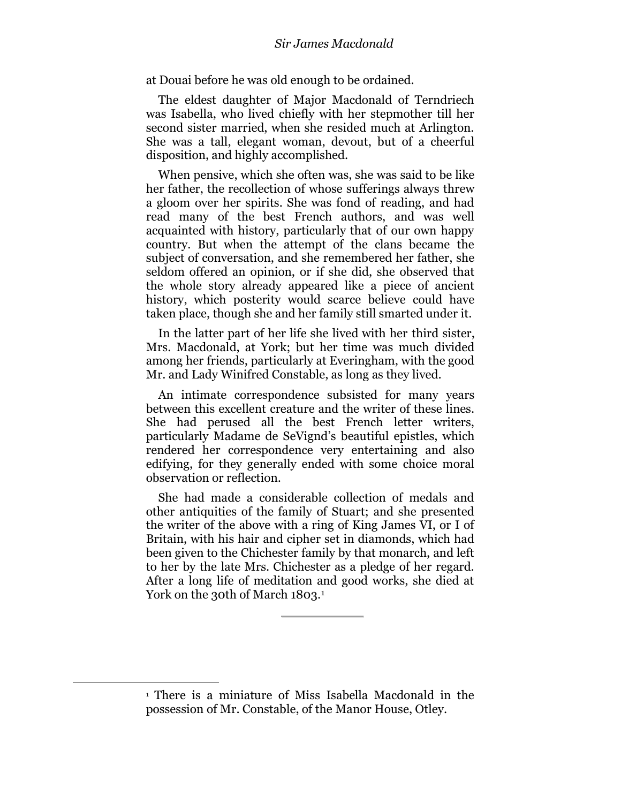at Douai before he was old enough to be ordained.

The eldest daughter of Major Macdonald of Terndriech was Isabella, who lived chiefly with her stepmother till her second sister married, when she resided much at Arlington. She was a tall, elegant woman, devout, but of a cheerful disposition, and highly accomplished.

When pensive, which she often was, she was said to be like her father, the recollection of whose sufferings always threw a gloom over her spirits. She was fond of reading, and had read many of the best French authors, and was well acquainted with history, particularly that of our own happy country. But when the attempt of the clans became the subject of conversation, and she remembered her father, she seldom offered an opinion, or if she did, she observed that the whole story already appeared like a piece of ancient history, which posterity would scarce believe could have taken place, though she and her family still smarted under it.

In the latter part of her life she lived with her third sister, Mrs. Macdonald, at York; but her time was much divided among her friends, particularly at Everingham, with the good Mr. and Lady Winifred Constable, as long as they lived.

An intimate correspondence subsisted for many years between this excellent creature and the writer of these lines. She had perused all the best French letter writers, particularly Madame de SeVignd's beautiful epistles, which rendered her correspondence very entertaining and also edifying, for they generally ended with some choice moral observation or reflection.

She had made a considerable collection of medals and other antiquities of the family of Stuart; and she presented the writer of the above with a ring of King James VI, or I of Britain, with his hair and cipher set in diamonds, which had been given to the Chichester family by that monarch, and left to her by the late Mrs. Chichester as a pledge of her regard. After a long life of meditation and good works, she died at York on the 30th of March 1803.<sup>1</sup>

<sup>1</sup> There is a miniature of Miss Isabella Macdonald in the possession of Mr. Constable, of the Manor House, Otley.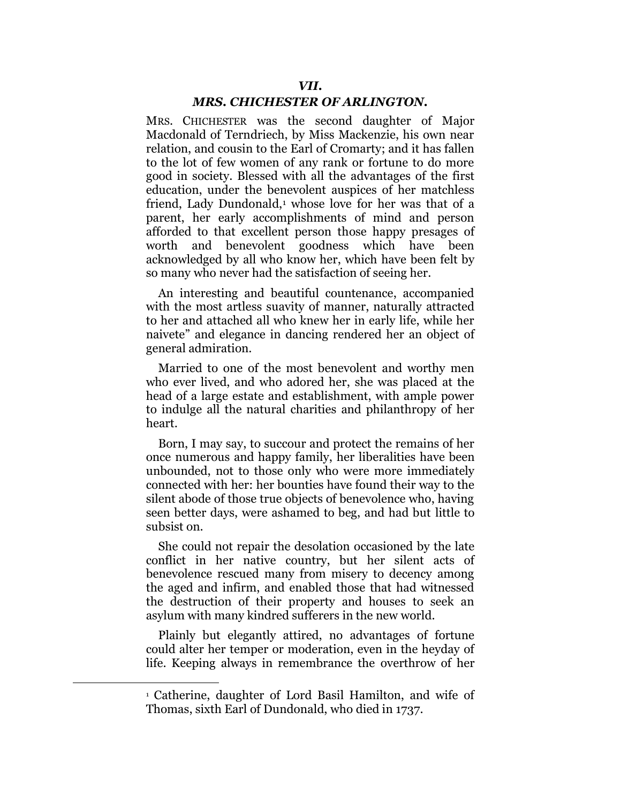#### *MRS. CHICHESTER OF ARLINGTON.*

MRS. CHICHESTER was the second daughter of Major Macdonald of Terndriech, by Miss Mackenzie, his own near relation, and cousin to the Earl of Cromarty; and it has fallen to the lot of few women of any rank or fortune to do more good in society. Blessed with all the advantages of the first education, under the benevolent auspices of her matchless friend, Lady Dundonald, $\frac{1}{2}$  whose love for her was that of a parent, her early accomplishments of mind and person afforded to that excellent person those happy presages of worth and benevolent goodness which have been acknowledged by all who know her, which have been felt by so many who never had the satisfaction of seeing her.

An interesting and beautiful countenance, accompanied with the most artless suavity of manner, naturally attracted to her and attached all who knew her in early life, while her naivete" and elegance in dancing rendered her an object of general admiration.

Married to one of the most benevolent and worthy men who ever lived, and who adored her, she was placed at the head of a large estate and establishment, with ample power to indulge all the natural charities and philanthropy of her heart.

Born, I may say, to succour and protect the remains of her once numerous and happy family, her liberalities have been unbounded, not to those only who were more immediately connected with her: her bounties have found their way to the silent abode of those true objects of benevolence who, having seen better days, were ashamed to beg, and had but little to subsist on.

She could not repair the desolation occasioned by the late conflict in her native country, but her silent acts of benevolence rescued many from misery to decency among the aged and infirm, and enabled those that had witnessed the destruction of their property and houses to seek an asylum with many kindred sufferers in the new world.

Plainly but elegantly attired, no advantages of fortune could alter her temper or moderation, even in the heyday of life. Keeping always in remembrance the overthrow of her

<sup>1</sup> Catherine, daughter of Lord Basil Hamilton, and wife of Thomas, sixth Earl of Dundonald, who died in 1737.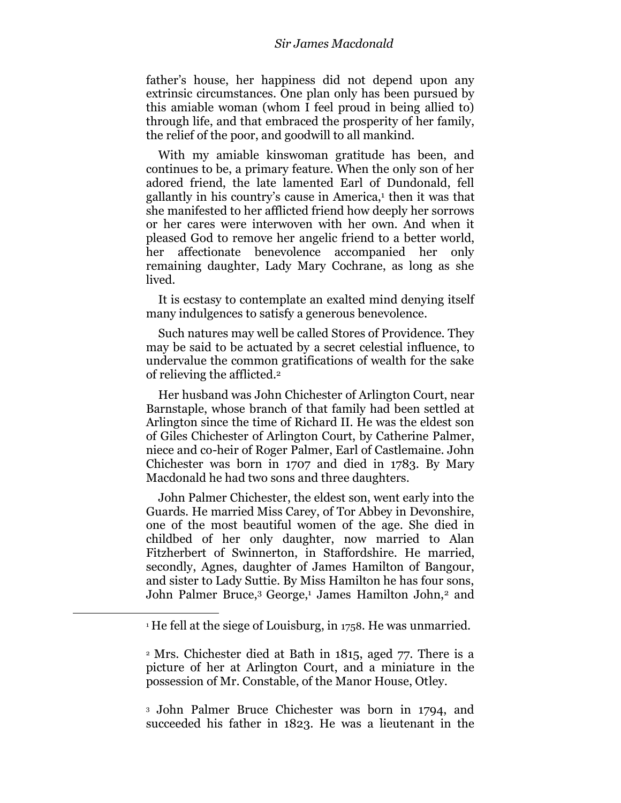## *Sir James Macdonald*

father's house, her happiness did not depend upon any extrinsic circumstances. One plan only has been pursued by this amiable woman (whom I feel proud in being allied to) through life, and that embraced the prosperity of her family, the relief of the poor, and goodwill to all mankind.

With my amiable kinswoman gratitude has been, and continues to be, a primary feature. When the only son of her adored friend, the late lamented Earl of Dundonald, fell gallantly in his country's cause in America,<sup>1</sup> then it was that she manifested to her afflicted friend how deeply her sorrows or her cares were interwoven with her own. And when it pleased God to remove her angelic friend to a better world, her affectionate benevolence accompanied her only remaining daughter, Lady Mary Cochrane, as long as she lived.

It is ecstasy to contemplate an exalted mind denying itself many indulgences to satisfy a generous benevolence.

Such natures may well be called Stores of Providence. They may be said to be actuated by a secret celestial influence, to undervalue the common gratifications of wealth for the sake of relieving the afflicted.<sup>2</sup>

Her husband was John Chichester of Arlington Court, near Barnstaple, whose branch of that family had been settled at Arlington since the time of Richard II. He was the eldest son of Giles Chichester of Arlington Court, by Catherine Palmer, niece and co-heir of Roger Palmer, Earl of Castlemaine. John Chichester was born in 1707 and died in 1783. By Mary Macdonald he had two sons and three daughters.

John Palmer Chichester, the eldest son, went early into the Guards. He married Miss Carey, of Tor Abbey in Devonshire, one of the most beautiful women of the age. She died in childbed of her only daughter, now married to Alan Fitzherbert of Swinnerton, in Staffordshire. He married, secondly, Agnes, daughter of James Hamilton of Bangour, and sister to Lady Suttie. By Miss Hamilton he has four sons, John Palmer Bruce,<sup>3</sup> George,<sup>1</sup> James Hamilton John,<sup>2</sup> and

<sup>&</sup>lt;sup>1</sup> He fell at the siege of Louisburg, in 1758. He was unmarried.

<sup>2</sup> Mrs. Chichester died at Bath in 1815, aged 77. There is a picture of her at Arlington Court, and a miniature in the possession of Mr. Constable, of the Manor House, Otley.

<sup>3</sup> John Palmer Bruce Chichester was born in 1794, and succeeded his father in 1823. He was a lieutenant in the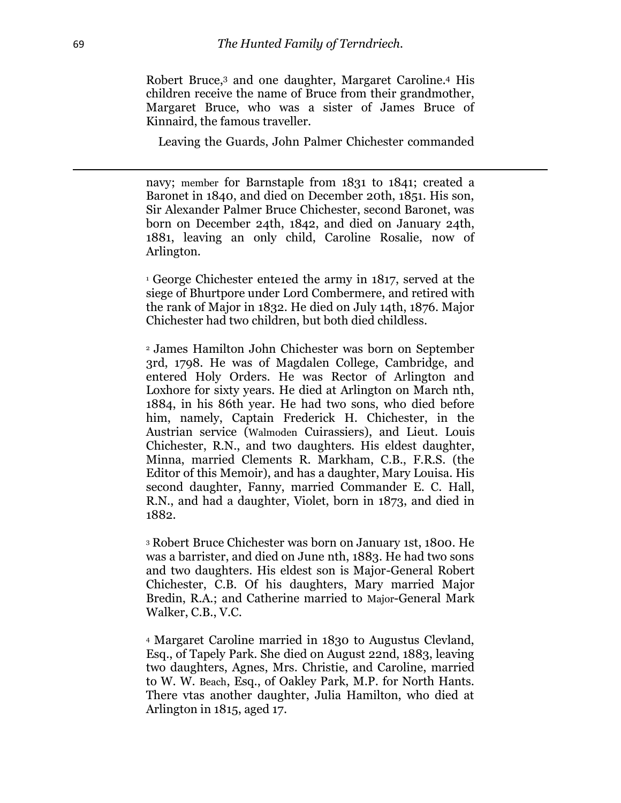Robert Bruce,<sup>3</sup> and one daughter, Margaret Caroline.<sup>4</sup> His children receive the name of Bruce from their grandmother, Margaret Bruce, who was a sister of James Bruce of Kinnaird, the famous traveller.

Leaving the Guards, John Palmer Chichester commanded

navy; member for Barnstaple from 1831 to 1841; created a Baronet in 1840, and died on December 20th, 1851. His son, Sir Alexander Palmer Bruce Chichester, second Baronet, was born on December 24th, 1842, and died on January 24th, 1881, leaving an only child, Caroline Rosalie, now of Arlington.

<sup>1</sup> George Chichester ente1ed the army in 1817, served at the siege of Bhurtpore under Lord Combermere, and retired with the rank of Major in 1832. He died on July 14th, 1876. Major Chichester had two children, but both died childless.

<sup>2</sup> James Hamilton John Chichester was born on September 3rd, 1798. He was of Magdalen College, Cambridge, and entered Holy Orders. He was Rector of Arlington and Loxhore for sixty years. He died at Arlington on March nth, 1884, in his 86th year. He had two sons, who died before him, namely, Captain Frederick H. Chichester, in the Austrian service (Walmoden Cuirassiers), and Lieut. Louis Chichester, R.N., and two daughters. His eldest daughter, Minna, married Clements R. Markham, C.B., F.R.S. (the Editor of this Memoir), and has a daughter, Mary Louisa. His second daughter, Fanny, married Commander E. C. Hall, R.N., and had a daughter, Violet, born in 1873, and died in 1882.

<sup>3</sup> Robert Bruce Chichester was born on January 1st, 1800. He was a barrister, and died on June nth, 1883. He had two sons and two daughters. His eldest son is Major-General Robert Chichester, C.B. Of his daughters, Mary married Major Bredin, R.A.; and Catherine married to Major-General Mark Walker, C.B., V.C.

<sup>4</sup> Margaret Caroline married in 1830 to Augustus Clevland, Esq., of Tapely Park. She died on August 22nd, 1883, leaving two daughters, Agnes, Mrs. Christie, and Caroline, married to W. W. Beach, Esq., of Oakley Park, M.P. for North Hants. There vtas another daughter, Julia Hamilton, who died at Arlington in 1815, aged 17.

l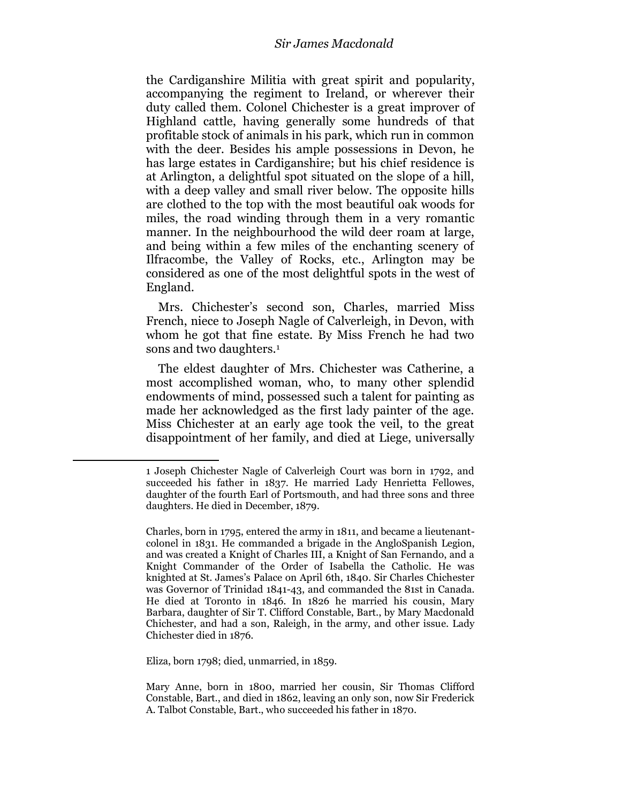the Cardiganshire Militia with great spirit and popularity, accompanying the regiment to Ireland, or wherever their duty called them. Colonel Chichester is a great improver of Highland cattle, having generally some hundreds of that profitable stock of animals in his park, which run in common with the deer. Besides his ample possessions in Devon, he has large estates in Cardiganshire; but his chief residence is at Arlington, a delightful spot situated on the slope of a hill, with a deep valley and small river below. The opposite hills are clothed to the top with the most beautiful oak woods for miles, the road winding through them in a very romantic manner. In the neighbourhood the wild deer roam at large, and being within a few miles of the enchanting scenery of Ilfracombe, the Valley of Rocks, etc., Arlington may be considered as one of the most delightful spots in the west of England.

Mrs. Chichester's second son, Charles, married Miss French, niece to Joseph Nagle of Calverleigh, in Devon, with whom he got that fine estate. By Miss French he had two sons and two daughters.<sup>1</sup>

The eldest daughter of Mrs. Chichester was Catherine, a most accomplished woman, who, to many other splendid endowments of mind, possessed such a talent for painting as made her acknowledged as the first lady painter of the age. Miss Chichester at an early age took the veil, to the great disappointment of her family, and died at Liege, universally

Eliza, born 1798; died, unmarried, in 1859.

<sup>1</sup> Joseph Chichester Nagle of Calverleigh Court was born in 1792, and succeeded his father in 1837. He married Lady Henrietta Fellowes, daughter of the fourth Earl of Portsmouth, and had three sons and three daughters. He died in December, 1879.

Charles, born in 1795, entered the army in 1811, and became a lieutenantcolonel in 1831. He commanded a brigade in the AngloSpanish Legion, and was created a Knight of Charles III, a Knight of San Fernando, and a Knight Commander of the Order of Isabella the Catholic. He was knighted at St. James's Palace on April 6th, 1840. Sir Charles Chichester was Governor of Trinidad 1841-43, and commanded the 81st in Canada. He died at Toronto in 1846. In 1826 he married his cousin, Mary Barbara, daughter of Sir T. Clifford Constable, Bart., by Mary Macdonald Chichester, and had a son, Raleigh, in the army, and other issue. Lady Chichester died in 1876.

Mary Anne, born in 1800, married her cousin, Sir Thomas Clifford Constable, Bart., and died in 1862, leaving an only son, now Sir Frederick A. Talbot Constable, Bart., who succeeded his father in 1870.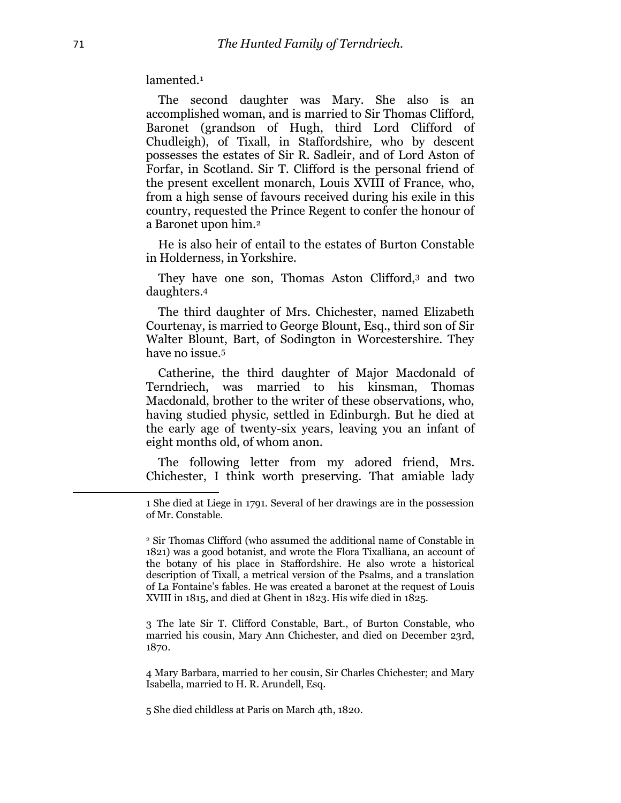lamented.<sup>1</sup>

The second daughter was Mary. She also is an accomplished woman, and is married to Sir Thomas Clifford, Baronet (grandson of Hugh, third Lord Clifford of Chudleigh), of Tixall, in Staffordshire, who by descent possesses the estates of Sir R. Sadleir, and of Lord Aston of Forfar, in Scotland. Sir T. Clifford is the personal friend of the present excellent monarch, Louis XVIII of France, who, from a high sense of favours received during his exile in this country, requested the Prince Regent to confer the honour of a Baronet upon him.<sup>2</sup>

He is also heir of entail to the estates of Burton Constable in Holderness, in Yorkshire.

They have one son, Thomas Aston Clifford,<sup>3</sup> and two daughters.<sup>4</sup>

The third daughter of Mrs. Chichester, named Elizabeth Courtenay, is married to George Blount, Esq., third son of Sir Walter Blount, Bart, of Sodington in Worcestershire. They have no issue.<sup>5</sup>

Catherine, the third daughter of Major Macdonald of Terndriech, was married to his kinsman, Thomas Macdonald, brother to the writer of these observations, who, having studied physic, settled in Edinburgh. But he died at the early age of twenty-six years, leaving you an infant of eight months old, of whom anon.

The following letter from my adored friend, Mrs. Chichester, I think worth preserving. That amiable lady

3 The late Sir T. Clifford Constable, Bart., of Burton Constable, who married his cousin, Mary Ann Chichester, and died on December 23rd, 1870.

4 Mary Barbara, married to her cousin, Sir Charles Chichester; and Mary Isabella, married to H. R. Arundell, Esq.

5 She died childless at Paris on March 4th, 1820.

<sup>1</sup> She died at Liege in 1791. Several of her drawings are in the possession of Mr. Constable.

<sup>2</sup> Sir Thomas Clifford (who assumed the additional name of Constable in 1821) was a good botanist, and wrote the Flora Tixalliana, an account of the botany of his place in Staffordshire. He also wrote a historical description of Tixall, a metrical version of the Psalms, and a translation of La Fontaine's fables. He was created a baronet at the request of Louis XVIII in 1815, and died at Ghent in 1823. His wife died in 1825.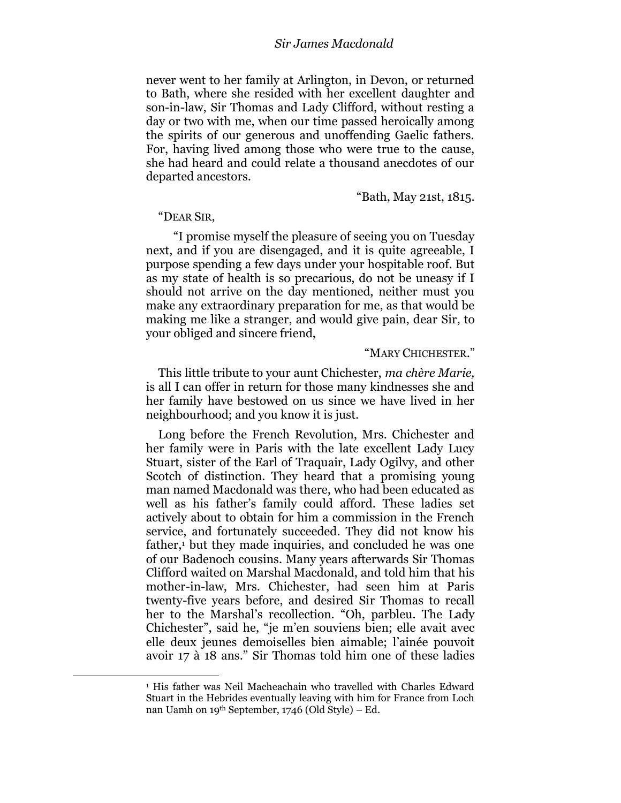#### *Sir James Macdonald*

never went to her family at Arlington, in Devon, or returned to Bath, where she resided with her excellent daughter and son-in-law, Sir Thomas and Lady Clifford, without resting a day or two with me, when our time passed heroically among the spirits of our generous and unoffending Gaelic fathers. For, having lived among those who were true to the cause, she had heard and could relate a thousand anecdotes of our departed ancestors.

―Bath, May 21st, 1815.

#### ―DEAR SIR,

l

―I promise myself the pleasure of seeing you on Tuesday next, and if you are disengaged, and it is quite agreeable, I purpose spending a few days under your hospitable roof. But as my state of health is so precarious, do not be uneasy if I should not arrive on the day mentioned, neither must you make any extraordinary preparation for me, as that would be making me like a stranger, and would give pain, dear Sir, to your obliged and sincere friend,

## "MARY CHICHESTER."

This little tribute to your aunt Chichester, *ma chère Marie,*  is all I can offer in return for those many kindnesses she and her family have bestowed on us since we have lived in her neighbourhood; and you know it is just.

Long before the French Revolution, Mrs. Chichester and her family were in Paris with the late excellent Lady Lucy Stuart, sister of the Earl of Traquair, Lady Ogilvy, and other Scotch of distinction. They heard that a promising young man named Macdonald was there, who had been educated as well as his father's family could afford. These ladies set actively about to obtain for him a commission in the French service, and fortunately succeeded. They did not know his father,<sup>1</sup> but they made inquiries, and concluded he was one of our Badenoch cousins. Many years afterwards Sir Thomas Clifford waited on Marshal Macdonald, and told him that his mother-in-law, Mrs. Chichester, had seen him at Paris twenty-five years before, and desired Sir Thomas to recall her to the Marshal's recollection. "Oh, parbleu. The Lady Chichester", said he, "je m'en souviens bien; elle avait avec elle deux jeunes demoiselles bien aimable; l'ainée pouvoit avoir 17 à 18 ans.‖ Sir Thomas told him one of these ladies

<sup>1</sup> His father was Neil Macheachain who travelled with Charles Edward Stuart in the Hebrides eventually leaving with him for France from Loch nan Uamh on 19th September, 1746 (Old Style) – Ed.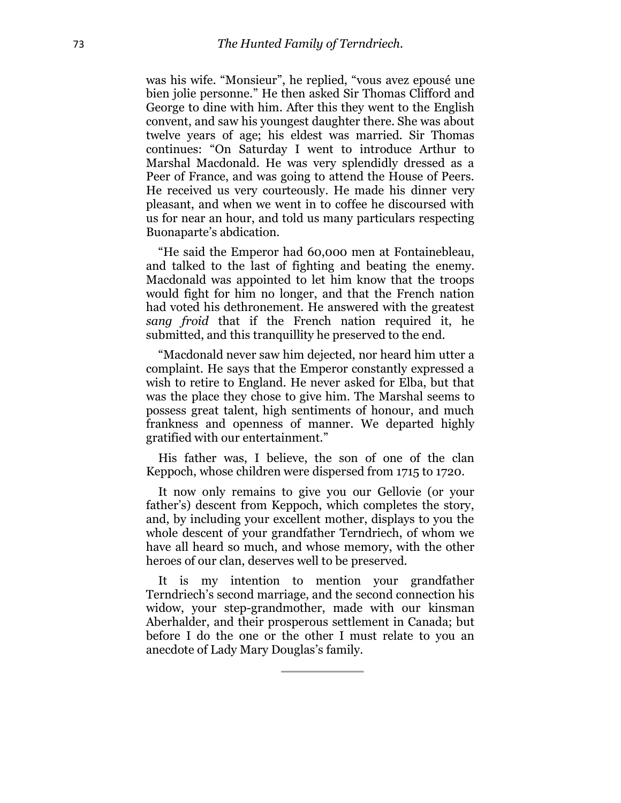was his wife. "Monsieur", he replied, "vous avez epousé une bien jolie personne." He then asked Sir Thomas Clifford and George to dine with him. After this they went to the English convent, and saw his youngest daughter there. She was about twelve years of age; his eldest was married. Sir Thomas continues: "On Saturday I went to introduce Arthur to Marshal Macdonald. He was very splendidly dressed as a Peer of France, and was going to attend the House of Peers. He received us very courteously. He made his dinner very pleasant, and when we went in to coffee he discoursed with us for near an hour, and told us many particulars respecting Buonaparte's abdication.

―He said the Emperor had 60,000 men at Fontainebleau, and talked to the last of fighting and beating the enemy. Macdonald was appointed to let him know that the troops would fight for him no longer, and that the French nation had voted his dethronement. He answered with the greatest *sang froid* that if the French nation required it, he submitted, and this tranquillity he preserved to the end.

―Macdonald never saw him dejected, nor heard him utter a complaint. He says that the Emperor constantly expressed a wish to retire to England. He never asked for Elba, but that was the place they chose to give him. The Marshal seems to possess great talent, high sentiments of honour, and much frankness and openness of manner. We departed highly gratified with our entertainment."

His father was, I believe, the son of one of the clan Keppoch, whose children were dispersed from 1715 to 1720.

It now only remains to give you our Gellovie (or your father's) descent from Keppoch, which completes the story, and, by including your excellent mother, displays to you the whole descent of your grandfather Terndriech, of whom we have all heard so much, and whose memory, with the other heroes of our clan, deserves well to be preserved.

It is my intention to mention your grandfather Terndriech's second marriage, and the second connection his widow, your step-grandmother, made with our kinsman Aberhalder, and their prosperous settlement in Canada; but before I do the one or the other I must relate to you an anecdote of Lady Mary Douglas's family.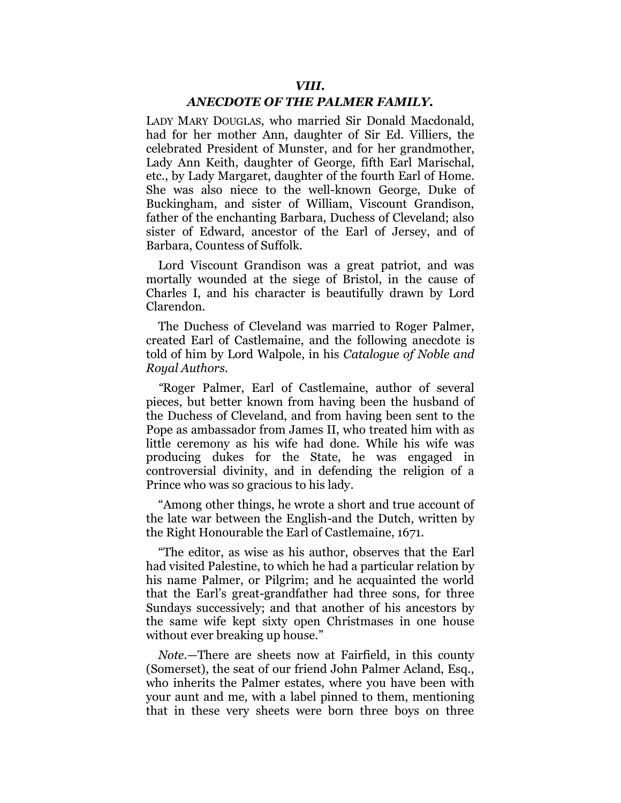### *VIII.*

### *ANECDOTE OF THE PALMER FAMILY.*

LADY MARY DOUGLAS, who married Sir Donald Macdonald, had for her mother Ann, daughter of Sir Ed. Villiers, the celebrated President of Munster, and for her grandmother, Lady Ann Keith, daughter of George, fifth Earl Marischal, etc., by Lady Margaret, daughter of the fourth Earl of Home. She was also niece to the well-known George, Duke of Buckingham, and sister of William, Viscount Grandison, father of the enchanting Barbara, Duchess of Cleveland; also sister of Edward, ancestor of the Earl of Jersey, and of Barbara, Countess of Suffolk.

Lord Viscount Grandison was a great patriot, and was mortally wounded at the siege of Bristol, in the cause of Charles I, and his character is beautifully drawn by Lord Clarendon.

The Duchess of Cleveland was married to Roger Palmer, created Earl of Castlemaine, and the following anecdote is told of him by Lord Walpole, in his *Catalogue of Noble and Royal Authors.*

*"*Roger Palmer, Earl of Castlemaine, author of several pieces, but better known from having been the husband of the Duchess of Cleveland, and from having been sent to the Pope as ambassador from James II, who treated him with as little ceremony as his wife had done. While his wife was producing dukes for the State, he was engaged in controversial divinity, and in defending the religion of a Prince who was so gracious to his lady.

―Among other things, he wrote a short and true account of the late war between the English-and the Dutch, written by the Right Honourable the Earl of Castlemaine, 1671.

―The editor, as wise as his author, observes that the Earl had visited Palestine, to which he had a particular relation by his name Palmer, or Pilgrim; and he acquainted the world that the Earl's great-grandfather had three sons, for three Sundays successively; and that another of his ancestors by the same wife kept sixty open Christmases in one house without ever breaking up house."

*Note.*—There are sheets now at Fairfield, in this county (Somerset), the seat of our friend John Palmer Acland, Esq., who inherits the Palmer estates, where you have been with your aunt and me, with a label pinned to them, mentioning that in these very sheets were born three boys on three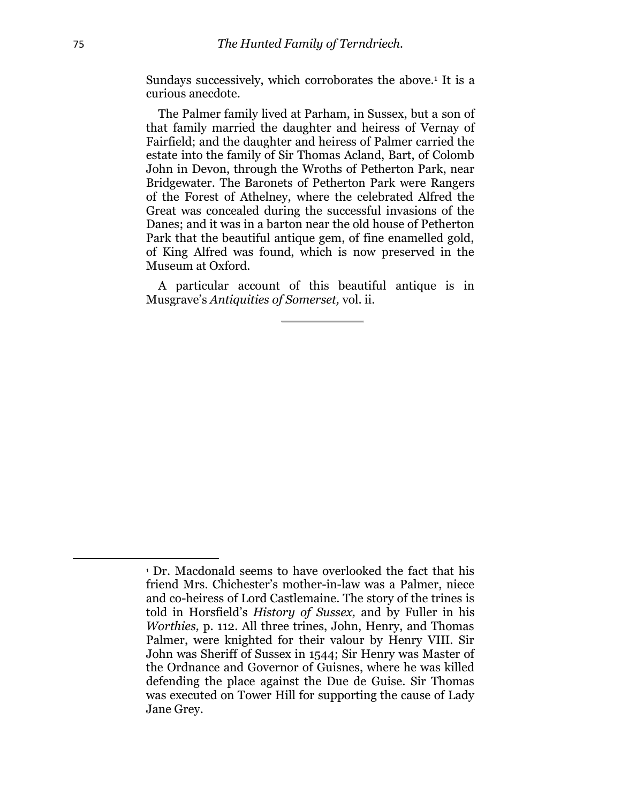Sundays successively, which corroborates the above.<sup>1</sup> It is a curious anecdote.

The Palmer family lived at Parham, in Sussex, but a son of that family married the daughter and heiress of Vernay of Fairfield; and the daughter and heiress of Palmer carried the estate into the family of Sir Thomas Acland, Bart, of Colomb John in Devon, through the Wroths of Petherton Park, near Bridgewater. The Baronets of Petherton Park were Rangers of the Forest of Athelney, where the celebrated Alfred the Great was concealed during the successful invasions of the Danes; and it was in a barton near the old house of Petherton Park that the beautiful antique gem, of fine enamelled gold, of King Alfred was found, which is now preserved in the Museum at Oxford.

A particular account of this beautiful antique is in Musgrave's *Antiquities of Somerset,* vol. ii.

l

<sup>1</sup> Dr. Macdonald seems to have overlooked the fact that his friend Mrs. Chichester's mother-in-law was a Palmer, niece and co-heiress of Lord Castlemaine. The story of the trines is told in Horsfield's *History of Sussex,* and by Fuller in his *Worthies,* p. 112. All three trines, John, Henry, and Thomas Palmer, were knighted for their valour by Henry VIII. Sir John was Sheriff of Sussex in 1544; Sir Henry was Master of the Ordnance and Governor of Guisnes, where he was killed defending the place against the Due de Guise. Sir Thomas was executed on Tower Hill for supporting the cause of Lady Jane Grey.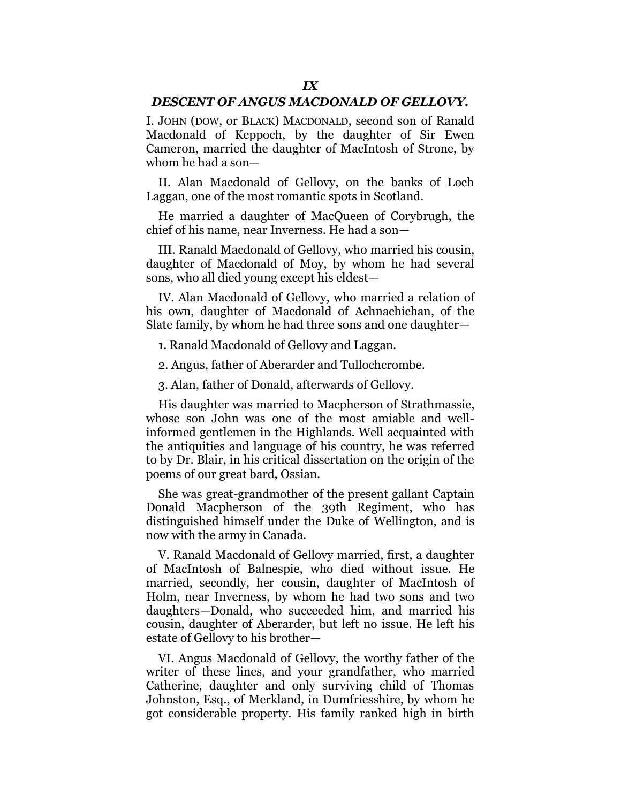### *IX*

### *DESCENT OF ANGUS MACDONALD OF GELLOVY.*

I. JOHN (DOW, or BLACK) MACDONALD, second son of Ranald Macdonald of Keppoch, by the daughter of Sir Ewen Cameron, married the daughter of MacIntosh of Strone, by whom he had a son—

II. Alan Macdonald of Gellovy, on the banks of Loch Laggan, one of the most romantic spots in Scotland.

He married a daughter of MacQueen of Corybrugh, the chief of his name, near Inverness. He had a son—

III. Ranald Macdonald of Gellovy, who married his cousin, daughter of Macdonald of Moy, by whom he had several sons, who all died young except his eldest—

IV. Alan Macdonald of Gellovy, who married a relation of his own, daughter of Macdonald of Achnachichan, of the Slate family, by whom he had three sons and one daughter—

1. Ranald Macdonald of Gellovy and Laggan.

2. Angus, father of Aberarder and Tullochcrombe.

3. Alan, father of Donald, afterwards of Gellovy.

His daughter was married to Macpherson of Strathmassie, whose son John was one of the most amiable and wellinformed gentlemen in the Highlands. Well acquainted with the antiquities and language of his country, he was referred to by Dr. Blair, in his critical dissertation on the origin of the poems of our great bard, Ossian.

She was great-grandmother of the present gallant Captain Donald Macpherson of the 39th Regiment, who has distinguished himself under the Duke of Wellington, and is now with the army in Canada.

V. Ranald Macdonald of Gellovy married, first, a daughter of MacIntosh of Balnespie, who died without issue. He married, secondly, her cousin, daughter of MacIntosh of Holm, near Inverness, by whom he had two sons and two daughters—Donald, who succeeded him, and married his cousin, daughter of Aberarder, but left no issue. He left his estate of Gellovy to his brother—

VI. Angus Macdonald of Gellovy, the worthy father of the writer of these lines, and your grandfather, who married Catherine, daughter and only surviving child of Thomas Johnston, Esq., of Merkland, in Dumfriesshire, by whom he got considerable property. His family ranked high in birth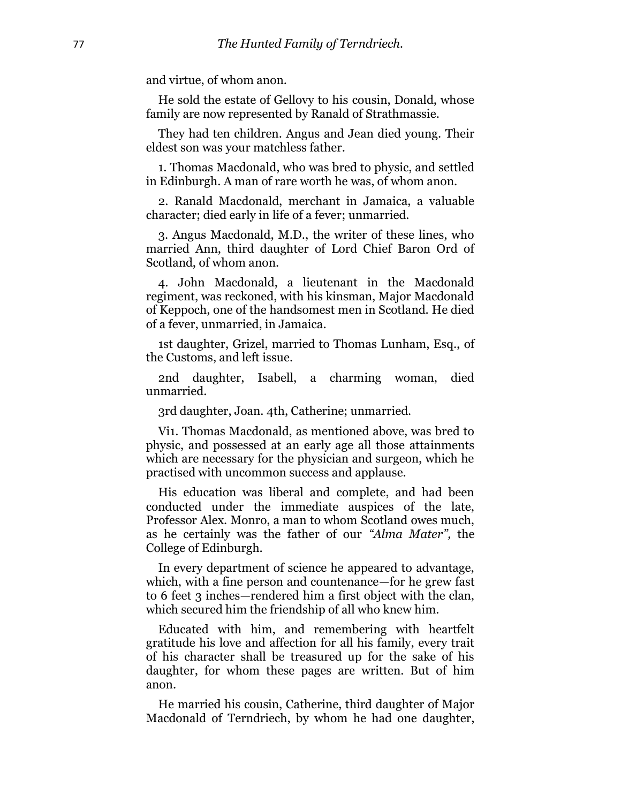and virtue, of whom anon.

He sold the estate of Gellovy to his cousin, Donald, whose family are now represented by Ranald of Strathmassie.

They had ten children. Angus and Jean died young. Their eldest son was your matchless father.

1. Thomas Macdonald, who was bred to physic, and settled in Edinburgh. A man of rare worth he was, of whom anon.

2. Ranald Macdonald, merchant in Jamaica, a valuable character; died early in life of a fever; unmarried.

3. Angus Macdonald, M.D., the writer of these lines, who married Ann, third daughter of Lord Chief Baron Ord of Scotland, of whom anon.

4. John Macdonald, a lieutenant in the Macdonald regiment, was reckoned, with his kinsman, Major Macdonald of Keppoch, one of the handsomest men in Scotland. He died of a fever, unmarried, in Jamaica.

1st daughter, Grizel, married to Thomas Lunham, Esq., of the Customs, and left issue.

2nd daughter, Isabell, a charming woman, died unmarried.

3rd daughter, Joan. 4th, Catherine; unmarried.

Vi1. Thomas Macdonald, as mentioned above, was bred to physic, and possessed at an early age all those attainments which are necessary for the physician and surgeon, which he practised with uncommon success and applause.

His education was liberal and complete, and had been conducted under the immediate auspices of the late, Professor Alex. Monro, a man to whom Scotland owes much, as he certainly was the father of our *"Alma Mater",* the College of Edinburgh.

In every department of science he appeared to advantage, which, with a fine person and countenance—for he grew fast to 6 feet 3 inches—rendered him a first object with the clan, which secured him the friendship of all who knew him.

Educated with him, and remembering with heartfelt gratitude his love and affection for all his family, every trait of his character shall be treasured up for the sake of his daughter, for whom these pages are written. But of him anon.

He married his cousin, Catherine, third daughter of Major Macdonald of Terndriech, by whom he had one daughter,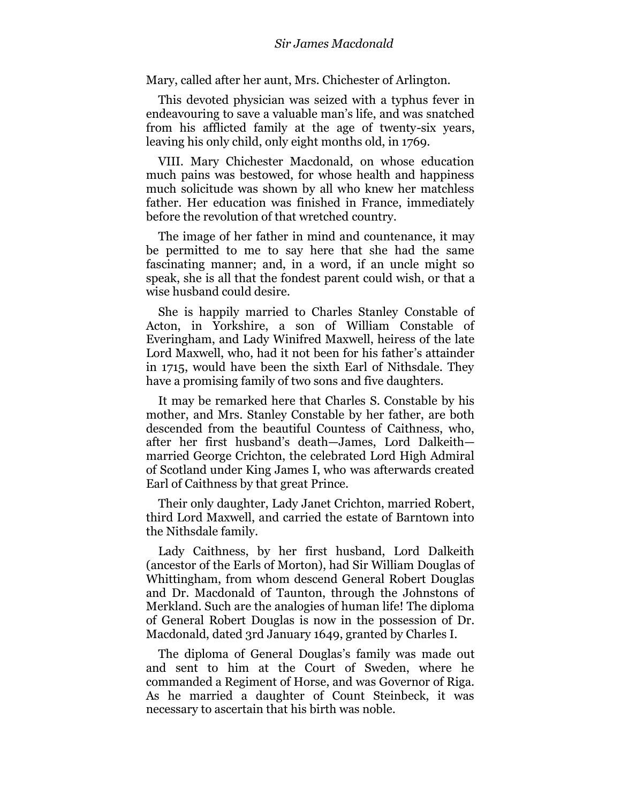Mary, called after her aunt, Mrs. Chichester of Arlington.

This devoted physician was seized with a typhus fever in endeavouring to save a valuable man's life, and was snatched from his afflicted family at the age of twenty-six years, leaving his only child, only eight months old, in 1769.

VIII. Mary Chichester Macdonald, on whose education much pains was bestowed, for whose health and happiness much solicitude was shown by all who knew her matchless father. Her education was finished in France, immediately before the revolution of that wretched country.

The image of her father in mind and countenance, it may be permitted to me to say here that she had the same fascinating manner; and, in a word, if an uncle might so speak, she is all that the fondest parent could wish, or that a wise husband could desire.

She is happily married to Charles Stanley Constable of Acton, in Yorkshire, a son of William Constable of Everingham, and Lady Winifred Maxwell, heiress of the late Lord Maxwell, who, had it not been for his father's attainder in 1715, would have been the sixth Earl of Nithsdale. They have a promising family of two sons and five daughters.

It may be remarked here that Charles S. Constable by his mother, and Mrs. Stanley Constable by her father, are both descended from the beautiful Countess of Caithness, who, after her first husband's death—James, Lord Dalkeith married George Crichton, the celebrated Lord High Admiral of Scotland under King James I, who was afterwards created Earl of Caithness by that great Prince.

Their only daughter, Lady Janet Crichton, married Robert, third Lord Maxwell, and carried the estate of Barntown into the Nithsdale family.

Lady Caithness, by her first husband, Lord Dalkeith (ancestor of the Earls of Morton), had Sir William Douglas of Whittingham, from whom descend General Robert Douglas and Dr. Macdonald of Taunton, through the Johnstons of Merkland. Such are the analogies of human life! The diploma of General Robert Douglas is now in the possession of Dr. Macdonald, dated 3rd January 1649, granted by Charles I.

The diploma of General Douglas's family was made out and sent to him at the Court of Sweden, where he commanded a Regiment of Horse, and was Governor of Riga. As he married a daughter of Count Steinbeck, it was necessary to ascertain that his birth was noble.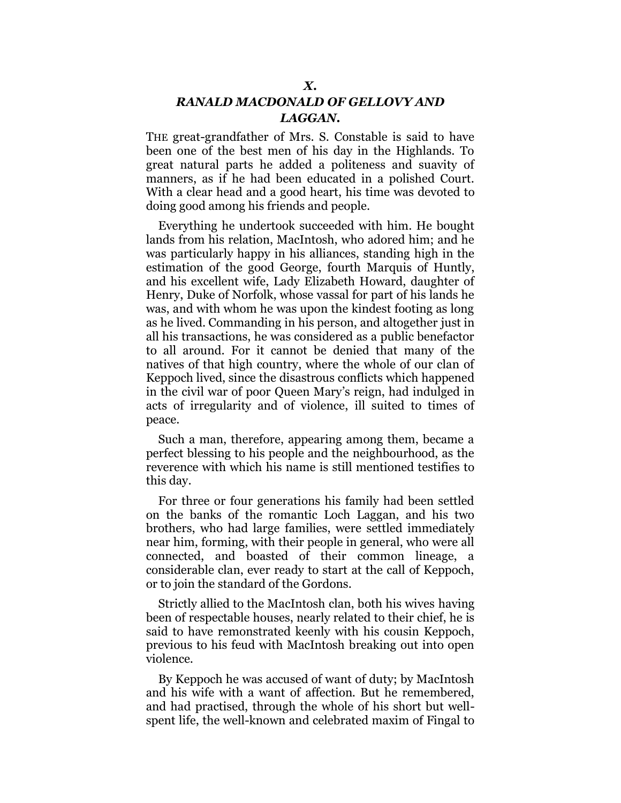# *RANALD MACDONALD OF GELLOVY AND LAGGAN.*

THE great-grandfather of Mrs. S. Constable is said to have been one of the best men of his day in the Highlands. To great natural parts he added a politeness and suavity of manners, as if he had been educated in a polished Court. With a clear head and a good heart, his time was devoted to doing good among his friends and people.

Everything he undertook succeeded with him. He bought lands from his relation, MacIntosh, who adored him; and he was particularly happy in his alliances, standing high in the estimation of the good George, fourth Marquis of Huntly, and his excellent wife, Lady Elizabeth Howard, daughter of Henry, Duke of Norfolk, whose vassal for part of his lands he was, and with whom he was upon the kindest footing as long as he lived. Commanding in his person, and altogether just in all his transactions, he was considered as a public benefactor to all around. For it cannot be denied that many of the natives of that high country, where the whole of our clan of Keppoch lived, since the disastrous conflicts which happened in the civil war of poor Queen Mary's reign, had indulged in acts of irregularity and of violence, ill suited to times of peace.

Such a man, therefore, appearing among them, became a perfect blessing to his people and the neighbourhood, as the reverence with which his name is still mentioned testifies to this day.

For three or four generations his family had been settled on the banks of the romantic Loch Laggan, and his two brothers, who had large families, were settled immediately near him, forming, with their people in general, who were all connected, and boasted of their common lineage, a considerable clan, ever ready to start at the call of Keppoch, or to join the standard of the Gordons.

Strictly allied to the MacIntosh clan, both his wives having been of respectable houses, nearly related to their chief, he is said to have remonstrated keenly with his cousin Keppoch, previous to his feud with MacIntosh breaking out into open violence.

By Keppoch he was accused of want of duty; by MacIntosh and his wife with a want of affection. But he remembered, and had practised, through the whole of his short but wellspent life, the well-known and celebrated maxim of Fingal to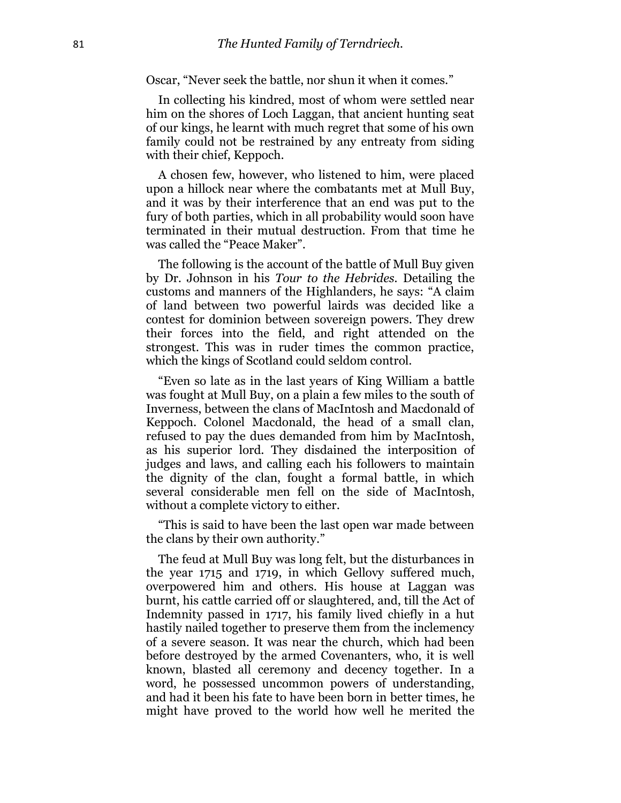Oscar, "Never seek the battle, nor shun it when it comes."

In collecting his kindred, most of whom were settled near him on the shores of Loch Laggan, that ancient hunting seat of our kings, he learnt with much regret that some of his own family could not be restrained by any entreaty from siding with their chief, Keppoch.

A chosen few, however, who listened to him, were placed upon a hillock near where the combatants met at Mull Buy, and it was by their interference that an end was put to the fury of both parties, which in all probability would soon have terminated in their mutual destruction. From that time he was called the "Peace Maker".

The following is the account of the battle of Mull Buy given by Dr. Johnson in his *Tour to the Hebrides.* Detailing the customs and manners of the Highlanders, he says: "A claim of land between two powerful lairds was decided like a contest for dominion between sovereign powers. They drew their forces into the field, and right attended on the strongest. This was in ruder times the common practice, which the kings of Scotland could seldom control.

―Even so late as in the last years of King William a battle was fought at Mull Buy, on a plain a few miles to the south of Inverness, between the clans of MacIntosh and Macdonald of Keppoch. Colonel Macdonald, the head of a small clan, refused to pay the dues demanded from him by MacIntosh, as his superior lord. They disdained the interposition of judges and laws, and calling each his followers to maintain the dignity of the clan, fought a formal battle, in which several considerable men fell on the side of MacIntosh, without a complete victory to either.

―This is said to have been the last open war made between the clans by their own authority."

The feud at Mull Buy was long felt, but the disturbances in the year 1715 and 1719, in which Gellovy suffered much, overpowered him and others. His house at Laggan was burnt, his cattle carried off or slaughtered, and, till the Act of Indemnity passed in 1717, his family lived chiefly in a hut hastily nailed together to preserve them from the inclemency of a severe season. It was near the church, which had been before destroyed by the armed Covenanters, who, it is well known, blasted all ceremony and decency together. In a word, he possessed uncommon powers of understanding, and had it been his fate to have been born in better times, he might have proved to the world how well he merited the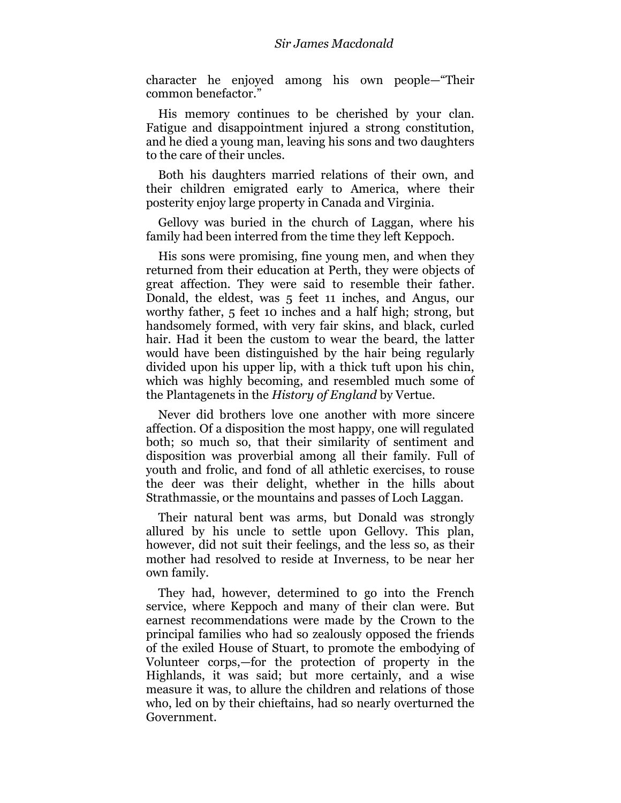character he enjoyed among his own people—"Their common benefactor."

His memory continues to be cherished by your clan. Fatigue and disappointment injured a strong constitution, and he died a young man, leaving his sons and two daughters to the care of their uncles.

Both his daughters married relations of their own, and their children emigrated early to America, where their posterity enjoy large property in Canada and Virginia.

Gellovy was buried in the church of Laggan, where his family had been interred from the time they left Keppoch.

His sons were promising, fine young men, and when they returned from their education at Perth, they were objects of great affection. They were said to resemble their father. Donald, the eldest, was 5 feet 11 inches, and Angus, our worthy father, 5 feet 10 inches and a half high; strong, but handsomely formed, with very fair skins, and black, curled hair. Had it been the custom to wear the beard, the latter would have been distinguished by the hair being regularly divided upon his upper lip, with a thick tuft upon his chin, which was highly becoming, and resembled much some of the Plantagenets in the *History of England* by Vertue.

Never did brothers love one another with more sincere affection. Of a disposition the most happy, one will regulated both; so much so, that their similarity of sentiment and disposition was proverbial among all their family. Full of youth and frolic, and fond of all athletic exercises, to rouse the deer was their delight, whether in the hills about Strathmassie, or the mountains and passes of Loch Laggan.

Their natural bent was arms, but Donald was strongly allured by his uncle to settle upon Gellovy. This plan, however, did not suit their feelings, and the less so, as their mother had resolved to reside at Inverness, to be near her own family.

They had, however, determined to go into the French service, where Keppoch and many of their clan were. But earnest recommendations were made by the Crown to the principal families who had so zealously opposed the friends of the exiled House of Stuart, to promote the embodying of Volunteer corps,—for the protection of property in the Highlands, it was said; but more certainly, and a wise measure it was, to allure the children and relations of those who, led on by their chieftains, had so nearly overturned the Government.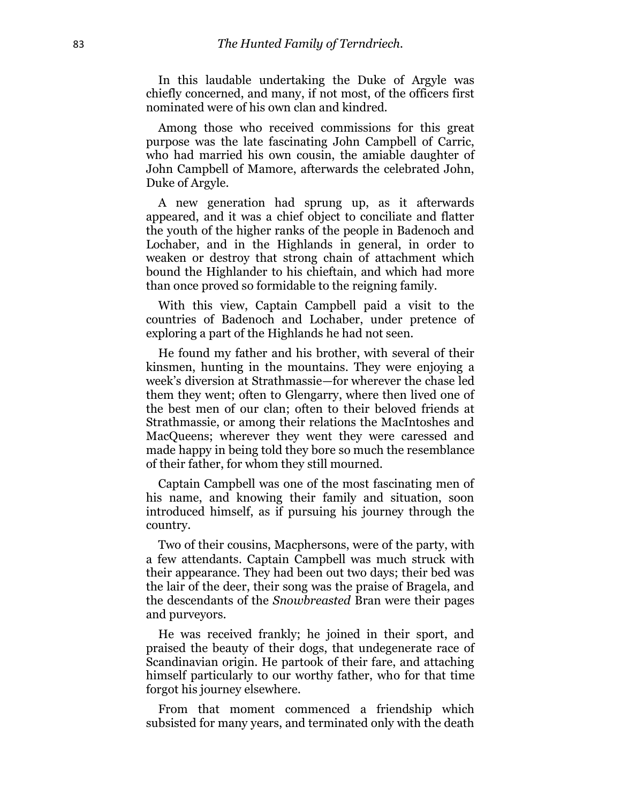In this laudable undertaking the Duke of Argyle was chiefly concerned, and many, if not most, of the officers first nominated were of his own clan and kindred.

Among those who received commissions for this great purpose was the late fascinating John Campbell of Carric, who had married his own cousin, the amiable daughter of John Campbell of Mamore, afterwards the celebrated John, Duke of Argyle.

A new generation had sprung up, as it afterwards appeared, and it was a chief object to conciliate and flatter the youth of the higher ranks of the people in Badenoch and Lochaber, and in the Highlands in general, in order to weaken or destroy that strong chain of attachment which bound the Highlander to his chieftain, and which had more than once proved so formidable to the reigning family.

With this view, Captain Campbell paid a visit to the countries of Badenoch and Lochaber, under pretence of exploring a part of the Highlands he had not seen.

He found my father and his brother, with several of their kinsmen, hunting in the mountains. They were enjoying a week's diversion at Strathmassie—for wherever the chase led them they went; often to Glengarry, where then lived one of the best men of our clan; often to their beloved friends at Strathmassie, or among their relations the MacIntoshes and MacQueens; wherever they went they were caressed and made happy in being told they bore so much the resemblance of their father, for whom they still mourned.

Captain Campbell was one of the most fascinating men of his name, and knowing their family and situation, soon introduced himself, as if pursuing his journey through the country.

Two of their cousins, Macphersons, were of the party, with a few attendants. Captain Campbell was much struck with their appearance. They had been out two days; their bed was the lair of the deer, their song was the praise of Bragela, and the descendants of the *Snowbreasted* Bran were their pages and purveyors.

He was received frankly; he joined in their sport, and praised the beauty of their dogs, that undegenerate race of Scandinavian origin. He partook of their fare, and attaching himself particularly to our worthy father, who for that time forgot his journey elsewhere.

From that moment commenced a friendship which subsisted for many years, and terminated only with the death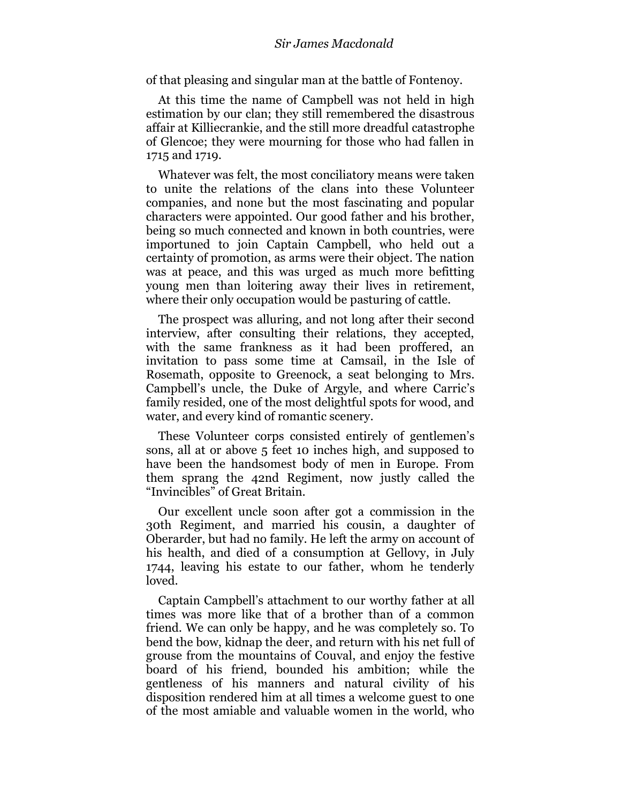### *Sir James Macdonald*

of that pleasing and singular man at the battle of Fontenoy.

At this time the name of Campbell was not held in high estimation by our clan; they still remembered the disastrous affair at Killiecrankie, and the still more dreadful catastrophe of Glencoe; they were mourning for those who had fallen in 1715 and 1719.

Whatever was felt, the most conciliatory means were taken to unite the relations of the clans into these Volunteer companies, and none but the most fascinating and popular characters were appointed. Our good father and his brother, being so much connected and known in both countries, were importuned to join Captain Campbell, who held out a certainty of promotion, as arms were their object. The nation was at peace, and this was urged as much more befitting young men than loitering away their lives in retirement, where their only occupation would be pasturing of cattle.

The prospect was alluring, and not long after their second interview, after consulting their relations, they accepted, with the same frankness as it had been proffered, an invitation to pass some time at Camsail, in the Isle of Rosemath, opposite to Greenock, a seat belonging to Mrs. Campbell's uncle, the Duke of Argyle, and where Carric's family resided, one of the most delightful spots for wood, and water, and every kind of romantic scenery.

These Volunteer corps consisted entirely of gentlemen's sons, all at or above 5 feet 10 inches high, and supposed to have been the handsomest body of men in Europe. From them sprang the 42nd Regiment, now justly called the ―Invincibles‖ of Great Britain.

Our excellent uncle soon after got a commission in the 30th Regiment, and married his cousin, a daughter of Oberarder, but had no family. He left the army on account of his health, and died of a consumption at Gellovy, in July 1744, leaving his estate to our father, whom he tenderly loved.

Captain Campbell's attachment to our worthy father at all times was more like that of a brother than of a common friend. We can only be happy, and he was completely so. To bend the bow, kidnap the deer, and return with his net full of grouse from the mountains of Couval, and enjoy the festive board of his friend, bounded his ambition; while the gentleness of his manners and natural civility of his disposition rendered him at all times a welcome guest to one of the most amiable and valuable women in the world, who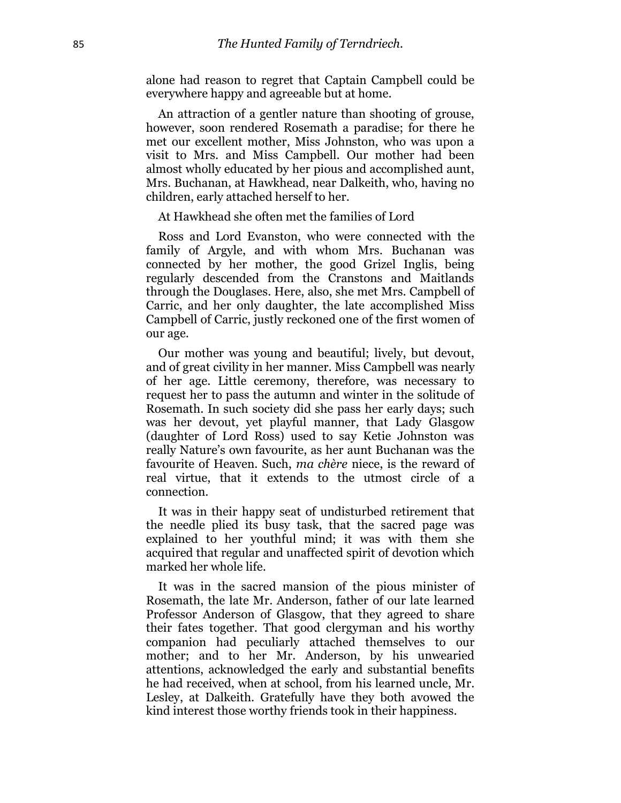alone had reason to regret that Captain Campbell could be everywhere happy and agreeable but at home.

An attraction of a gentler nature than shooting of grouse, however, soon rendered Rosemath a paradise; for there he met our excellent mother, Miss Johnston, who was upon a visit to Mrs. and Miss Campbell. Our mother had been almost wholly educated by her pious and accomplished aunt, Mrs. Buchanan, at Hawkhead, near Dalkeith, who, having no children, early attached herself to her.

### At Hawkhead she often met the families of Lord

Ross and Lord Evanston, who were connected with the family of Argyle, and with whom Mrs. Buchanan was connected by her mother, the good Grizel Inglis, being regularly descended from the Cranstons and Maitlands through the Douglases. Here, also, she met Mrs. Campbell of Carric, and her only daughter, the late accomplished Miss Campbell of Carric, justly reckoned one of the first women of our age.

Our mother was young and beautiful; lively, but devout, and of great civility in her manner. Miss Campbell was nearly of her age. Little ceremony, therefore, was necessary to request her to pass the autumn and winter in the solitude of Rosemath. In such society did she pass her early days; such was her devout, yet playful manner, that Lady Glasgow (daughter of Lord Ross) used to say Ketie Johnston was really Nature's own favourite, as her aunt Buchanan was the favourite of Heaven. Such, *ma chère* niece, is the reward of real virtue, that it extends to the utmost circle of a connection.

It was in their happy seat of undisturbed retirement that the needle plied its busy task, that the sacred page was explained to her youthful mind; it was with them she acquired that regular and unaffected spirit of devotion which marked her whole life.

It was in the sacred mansion of the pious minister of Rosemath, the late Mr. Anderson, father of our late learned Professor Anderson of Glasgow, that they agreed to share their fates together. That good clergyman and his worthy companion had peculiarly attached themselves to our mother; and to her Mr. Anderson, by his unwearied attentions, acknowledged the early and substantial benefits he had received, when at school, from his learned uncle, Mr. Lesley, at Dalkeith. Gratefully have they both avowed the kind interest those worthy friends took in their happiness.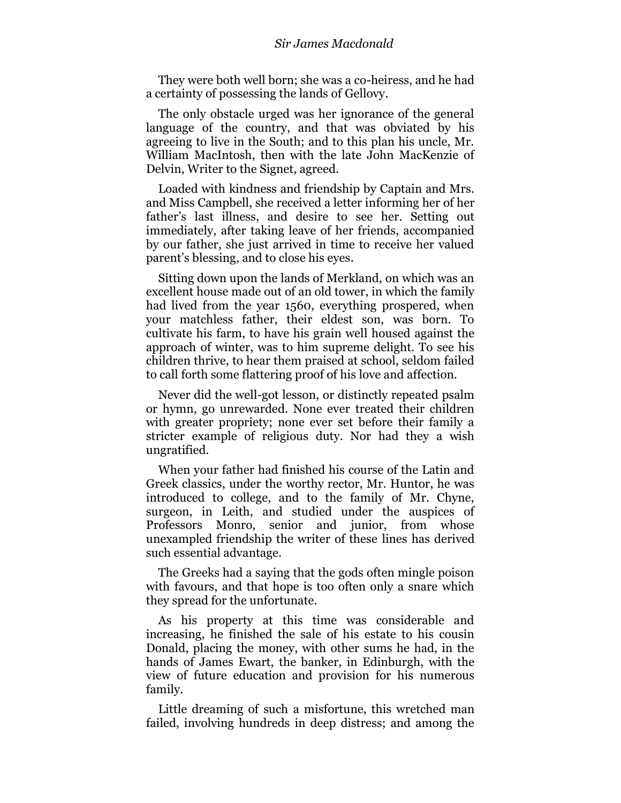### *Sir James Macdonald*

They were both well born; she was a co-heiress, and he had a certainty of possessing the lands of Gellovy.

The only obstacle urged was her ignorance of the general language of the country, and that was obviated by his agreeing to live in the South; and to this plan his uncle, Mr. William MacIntosh, then with the late John MacKenzie of Delvin, Writer to the Signet, agreed.

Loaded with kindness and friendship by Captain and Mrs. and Miss Campbell, she received a letter informing her of her father's last illness, and desire to see her. Setting out immediately, after taking leave of her friends, accompanied by our father, she just arrived in time to receive her valued parent's blessing, and to close his eyes.

Sitting down upon the lands of Merkland, on which was an excellent house made out of an old tower, in which the family had lived from the year 1560, everything prospered, when your matchless father, their eldest son, was born. To cultivate his farm, to have his grain well housed against the approach of winter, was to him supreme delight. To see his children thrive, to hear them praised at school, seldom failed to call forth some flattering proof of his love and affection.

Never did the well-got lesson, or distinctly repeated psalm or hymn, go unrewarded. None ever treated their children with greater propriety; none ever set before their family a stricter example of religious duty. Nor had they a wish ungratified.

When your father had finished his course of the Latin and Greek classics, under the worthy rector, Mr. Huntor, he was introduced to college, and to the family of Mr. Chyne, surgeon, in Leith, and studied under the auspices of Professors Monro, senior and junior, from whose unexampled friendship the writer of these lines has derived such essential advantage.

The Greeks had a saying that the gods often mingle poison with favours, and that hope is too often only a snare which they spread for the unfortunate.

As his property at this time was considerable and increasing, he finished the sale of his estate to his cousin Donald, placing the money, with other sums he had, in the hands of James Ewart, the banker, in Edinburgh, with the view of future education and provision for his numerous family.

Little dreaming of such a misfortune, this wretched man failed, involving hundreds in deep distress; and among the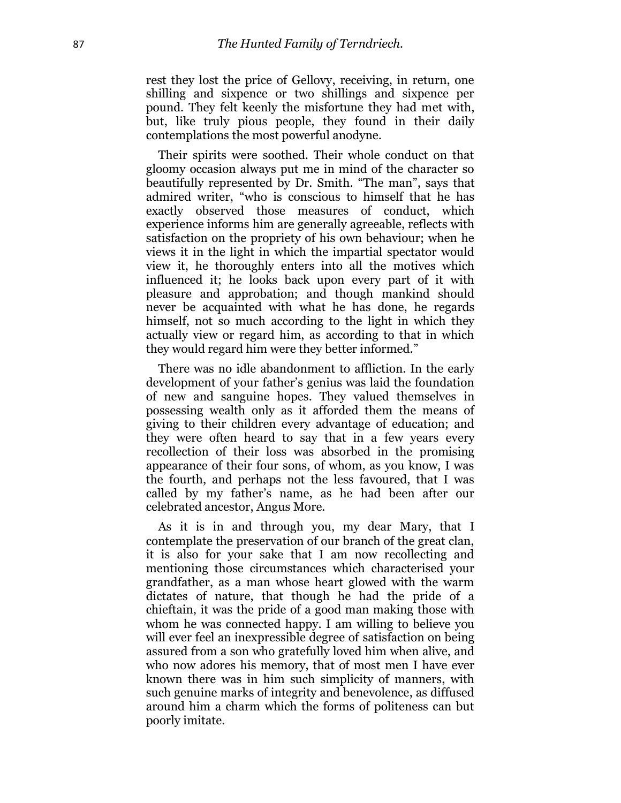rest they lost the price of Gellovy, receiving, in return, one shilling and sixpence or two shillings and sixpence per pound. They felt keenly the misfortune they had met with, but, like truly pious people, they found in their daily contemplations the most powerful anodyne.

Their spirits were soothed. Their whole conduct on that gloomy occasion always put me in mind of the character so beautifully represented by Dr. Smith. "The man", says that admired writer, "who is conscious to himself that he has exactly observed those measures of conduct, which experience informs him are generally agreeable, reflects with satisfaction on the propriety of his own behaviour; when he views it in the light in which the impartial spectator would view it, he thoroughly enters into all the motives which influenced it; he looks back upon every part of it with pleasure and approbation; and though mankind should never be acquainted with what he has done, he regards himself, not so much according to the light in which they actually view or regard him, as according to that in which they would regard him were they better informed."

There was no idle abandonment to affliction. In the early development of your father's genius was laid the foundation of new and sanguine hopes. They valued themselves in possessing wealth only as it afforded them the means of giving to their children every advantage of education; and they were often heard to say that in a few years every recollection of their loss was absorbed in the promising appearance of their four sons, of whom, as you know, I was the fourth, and perhaps not the less favoured, that I was called by my father's name, as he had been after our celebrated ancestor, Angus More.

As it is in and through you, my dear Mary, that I contemplate the preservation of our branch of the great clan, it is also for your sake that I am now recollecting and mentioning those circumstances which characterised your grandfather, as a man whose heart glowed with the warm dictates of nature, that though he had the pride of a chieftain, it was the pride of a good man making those with whom he was connected happy. I am willing to believe you will ever feel an inexpressible degree of satisfaction on being assured from a son who gratefully loved him when alive, and who now adores his memory, that of most men I have ever known there was in him such simplicity of manners, with such genuine marks of integrity and benevolence, as diffused around him a charm which the forms of politeness can but poorly imitate.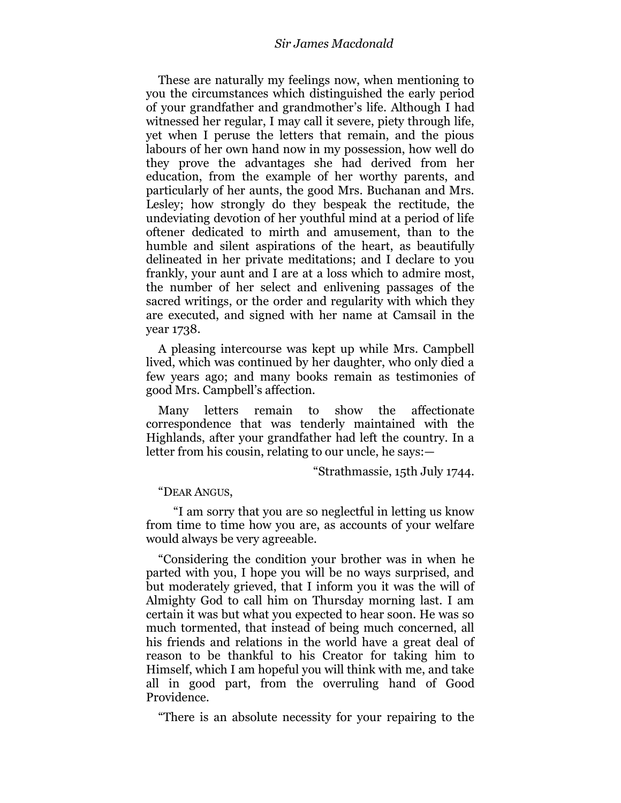These are naturally my feelings now, when mentioning to you the circumstances which distinguished the early period of your grandfather and grandmother's life. Although I had witnessed her regular, I may call it severe, piety through life, yet when I peruse the letters that remain, and the pious labours of her own hand now in my possession, how well do they prove the advantages she had derived from her education, from the example of her worthy parents, and particularly of her aunts, the good Mrs. Buchanan and Mrs. Lesley; how strongly do they bespeak the rectitude, the undeviating devotion of her youthful mind at a period of life oftener dedicated to mirth and amusement, than to the humble and silent aspirations of the heart, as beautifully delineated in her private meditations; and I declare to you frankly, your aunt and I are at a loss which to admire most, the number of her select and enlivening passages of the sacred writings, or the order and regularity with which they are executed, and signed with her name at Camsail in the year 1738.

A pleasing intercourse was kept up while Mrs. Campbell lived, which was continued by her daughter, who only died a few years ago; and many books remain as testimonies of good Mrs. Campbell's affection.

Many letters remain to show the affectionate correspondence that was tenderly maintained with the Highlands, after your grandfather had left the country. In a letter from his cousin, relating to our uncle, he says:—

―Strathmassie, 15th July 1744.

―DEAR ANGUS,

―I am sorry that you are so neglectful in letting us know from time to time how you are, as accounts of your welfare would always be very agreeable.

―Considering the condition your brother was in when he parted with you, I hope you will be no ways surprised, and but moderately grieved, that I inform you it was the will of Almighty God to call him on Thursday morning last. I am certain it was but what you expected to hear soon. He was so much tormented, that instead of being much concerned, all his friends and relations in the world have a great deal of reason to be thankful to his Creator for taking him to Himself, which I am hopeful you will think with me, and take all in good part, from the overruling hand of Good Providence.

―There is an absolute necessity for your repairing to the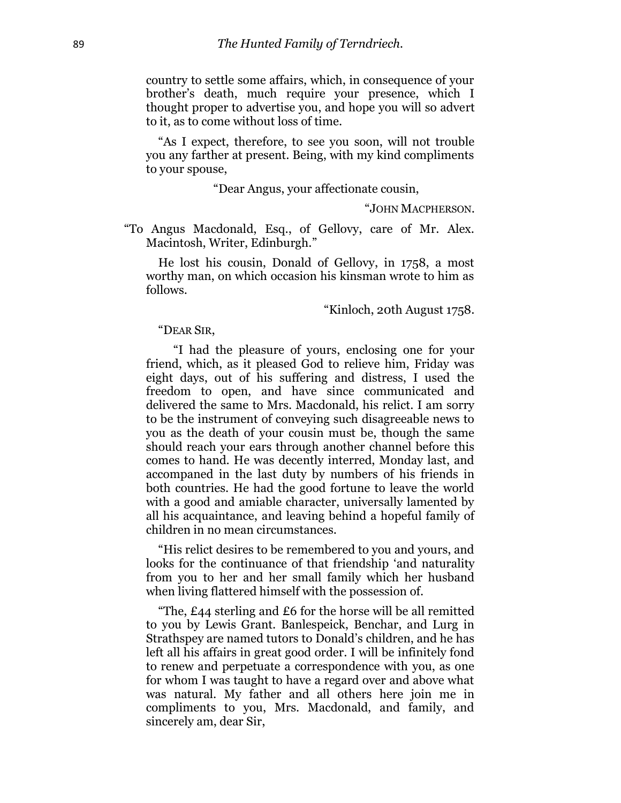country to settle some affairs, which, in consequence of your brother's death, much require your presence, which I thought proper to advertise you, and hope you will so advert to it, as to come without loss of time.

"As I expect, therefore, to see you soon, will not trouble you any farther at present. Being, with my kind compliments to your spouse,

―Dear Angus, your affectionate cousin,

―JOHN MACPHERSON.

―To Angus Macdonald, Esq., of Gellovy, care of Mr. Alex. Macintosh, Writer, Edinburgh."

He lost his cousin, Donald of Gellovy, in 1758, a most worthy man, on which occasion his kinsman wrote to him as follows.

―Kinloch, 20th August 1758.

―DEAR SIR,

―I had the pleasure of yours, enclosing one for your friend, which, as it pleased God to relieve him, Friday was eight days, out of his suffering and distress, I used the freedom to open, and have since communicated and delivered the same to Mrs. Macdonald, his relict. I am sorry to be the instrument of conveying such disagreeable news to you as the death of your cousin must be, though the same should reach your ears through another channel before this comes to hand. He was decently interred, Monday last, and accompaned in the last duty by numbers of his friends in both countries. He had the good fortune to leave the world with a good and amiable character, universally lamented by all his acquaintance, and leaving behind a hopeful family of children in no mean circumstances.

―His relict desires to be remembered to you and yours, and looks for the continuance of that friendship 'and naturality from you to her and her small family which her husband when living flattered himself with the possession of.

"The,  $\pounds$ 44 sterling and  $\pounds$ 6 for the horse will be all remitted to you by Lewis Grant. Banlespeick, Benchar, and Lurg in Strathspey are named tutors to Donald's children, and he has left all his affairs in great good order. I will be infinitely fond to renew and perpetuate a correspondence with you, as one for whom I was taught to have a regard over and above what was natural. My father and all others here join me in compliments to you, Mrs. Macdonald, and family, and sincerely am, dear Sir,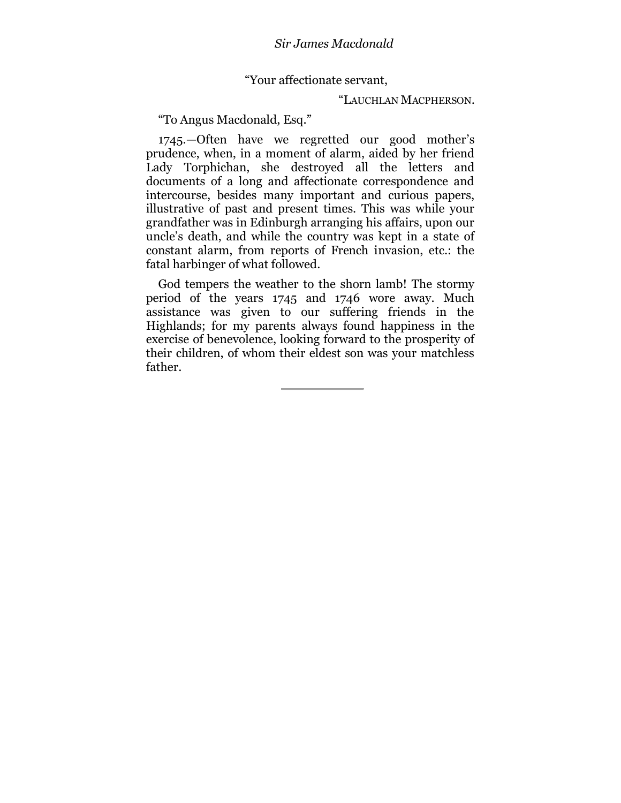―Your affectionate servant,

### ―LAUCHLAN MACPHERSON.

"To Angus Macdonald, Esq."

1745.—Often have we regretted our good mother's prudence, when, in a moment of alarm, aided by her friend Lady Torphichan, she destroyed all the letters and documents of a long and affectionate correspondence and intercourse, besides many important and curious papers, illustrative of past and present times. This was while your grandfather was in Edinburgh arranging his affairs, upon our uncle's death, and while the country was kept in a state of constant alarm, from reports of French invasion, etc.: the fatal harbinger of what followed.

God tempers the weather to the shorn lamb! The stormy period of the years 1745 and 1746 wore away. Much assistance was given to our suffering friends in the Highlands; for my parents always found happiness in the exercise of benevolence, looking forward to the prosperity of their children, of whom their eldest son was your matchless father.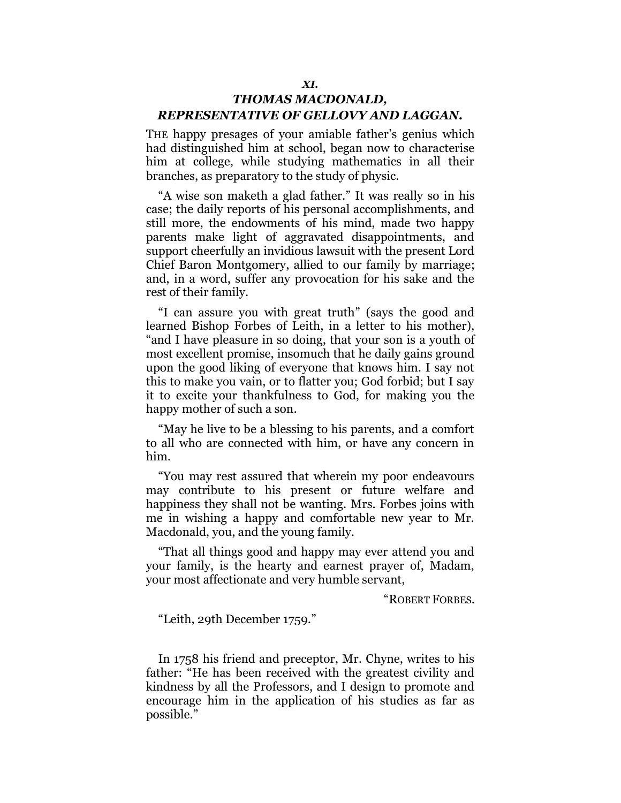# *THOMAS MACDONALD, REPRESENTATIVE OF GELLOVY AND LAGGAN.*

THE happy presages of your amiable father's genius which had distinguished him at school, began now to characterise him at college, while studying mathematics in all their branches, as preparatory to the study of physic.

―A wise son maketh a glad father.‖ It was really so in his case; the daily reports of his personal accomplishments, and still more, the endowments of his mind, made two happy parents make light of aggravated disappointments, and support cheerfully an invidious lawsuit with the present Lord Chief Baron Montgomery, allied to our family by marriage; and, in a word, suffer any provocation for his sake and the rest of their family.

―I can assure you with great truth‖ (says the good and learned Bishop Forbes of Leith, in a letter to his mother), "and I have pleasure in so doing, that your son is a youth of most excellent promise, insomuch that he daily gains ground upon the good liking of everyone that knows him. I say not this to make you vain, or to flatter you; God forbid; but I say it to excite your thankfulness to God, for making you the happy mother of such a son.

―May he live to be a blessing to his parents, and a comfort to all who are connected with him, or have any concern in him.

―You may rest assured that wherein my poor endeavours may contribute to his present or future welfare and happiness they shall not be wanting. Mrs. Forbes joins with me in wishing a happy and comfortable new year to Mr. Macdonald, you, and the young family.

―That all things good and happy may ever attend you and your family, is the hearty and earnest prayer of, Madam, your most affectionate and very humble servant,

―ROBERT FORBES.

"Leith, 29th December 1759."

In 1758 his friend and preceptor, Mr. Chyne, writes to his father: "He has been received with the greatest civility and kindness by all the Professors, and I design to promote and encourage him in the application of his studies as far as possible."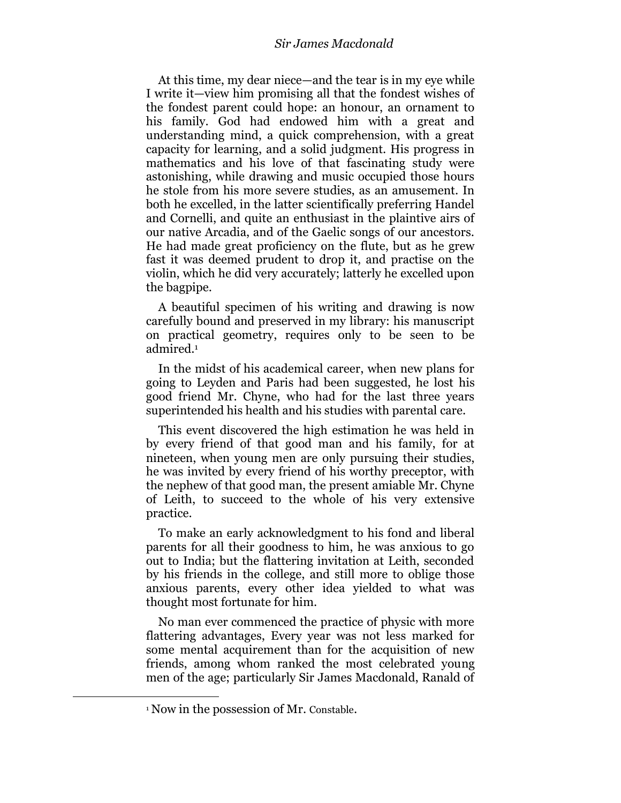At this time, my dear niece—and the tear is in my eye while I write it—view him promising all that the fondest wishes of the fondest parent could hope: an honour, an ornament to his family. God had endowed him with a great and understanding mind, a quick comprehension, with a great capacity for learning, and a solid judgment. His progress in mathematics and his love of that fascinating study were astonishing, while drawing and music occupied those hours he stole from his more severe studies, as an amusement. In both he excelled, in the latter scientifically preferring Handel and Cornelli, and quite an enthusiast in the plaintive airs of our native Arcadia, and of the Gaelic songs of our ancestors. He had made great proficiency on the flute, but as he grew fast it was deemed prudent to drop it, and practise on the violin, which he did very accurately; latterly he excelled upon the bagpipe.

A beautiful specimen of his writing and drawing is now carefully bound and preserved in my library: his manuscript on practical geometry, requires only to be seen to be admired.<sup>1</sup>

In the midst of his academical career, when new plans for going to Leyden and Paris had been suggested, he lost his good friend Mr. Chyne, who had for the last three years superintended his health and his studies with parental care.

This event discovered the high estimation he was held in by every friend of that good man and his family, for at nineteen, when young men are only pursuing their studies, he was invited by every friend of his worthy preceptor, with the nephew of that good man, the present amiable Mr. Chyne of Leith, to succeed to the whole of his very extensive practice.

To make an early acknowledgment to his fond and liberal parents for all their goodness to him, he was anxious to go out to India; but the flattering invitation at Leith, seconded by his friends in the college, and still more to oblige those anxious parents, every other idea yielded to what was thought most fortunate for him.

No man ever commenced the practice of physic with more flattering advantages, Every year was not less marked for some mental acquirement than for the acquisition of new friends, among whom ranked the most celebrated young men of the age; particularly Sir James Macdonald, Ranald of

l

<sup>1</sup> Now in the possession of Mr. Constable.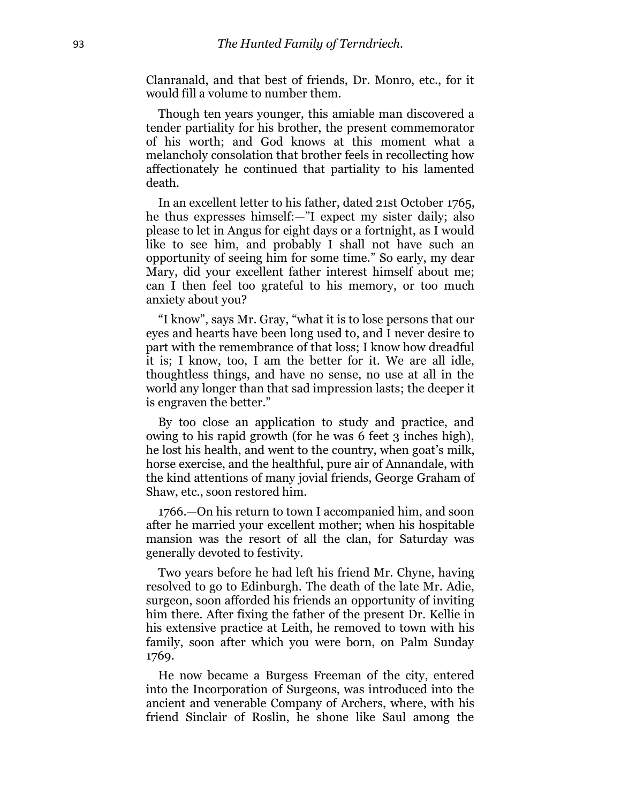Clanranald, and that best of friends, Dr. Monro, etc., for it would fill a volume to number them.

Though ten years younger, this amiable man discovered a tender partiality for his brother, the present commemorator of his worth; and God knows at this moment what a melancholy consolation that brother feels in recollecting how affectionately he continued that partiality to his lamented death.

In an excellent letter to his father, dated 21st October 1765, he thus expresses himself:— $\textdegree$ I expect my sister daily; also please to let in Angus for eight days or a fortnight, as I would like to see him, and probably I shall not have such an opportunity of seeing him for some time.‖ So early, my dear Mary, did your excellent father interest himself about me; can I then feel too grateful to his memory, or too much anxiety about you?

"I know", says Mr. Gray, "what it is to lose persons that our eyes and hearts have been long used to, and I never desire to part with the remembrance of that loss; I know how dreadful it is; I know, too, I am the better for it. We are all idle, thoughtless things, and have no sense, no use at all in the world any longer than that sad impression lasts; the deeper it is engraven the better."

By too close an application to study and practice, and owing to his rapid growth (for he was 6 feet 3 inches high), he lost his health, and went to the country, when goat's milk, horse exercise, and the healthful, pure air of Annandale, with the kind attentions of many jovial friends, George Graham of Shaw, etc., soon restored him.

1766.—On his return to town I accompanied him, and soon after he married your excellent mother; when his hospitable mansion was the resort of all the clan, for Saturday was generally devoted to festivity.

Two years before he had left his friend Mr. Chyne, having resolved to go to Edinburgh. The death of the late Mr. Adie, surgeon, soon afforded his friends an opportunity of inviting him there. After fixing the father of the present Dr. Kellie in his extensive practice at Leith, he removed to town with his family, soon after which you were born, on Palm Sunday 1769.

He now became a Burgess Freeman of the city, entered into the Incorporation of Surgeons, was introduced into the ancient and venerable Company of Archers, where, with his friend Sinclair of Roslin, he shone like Saul among the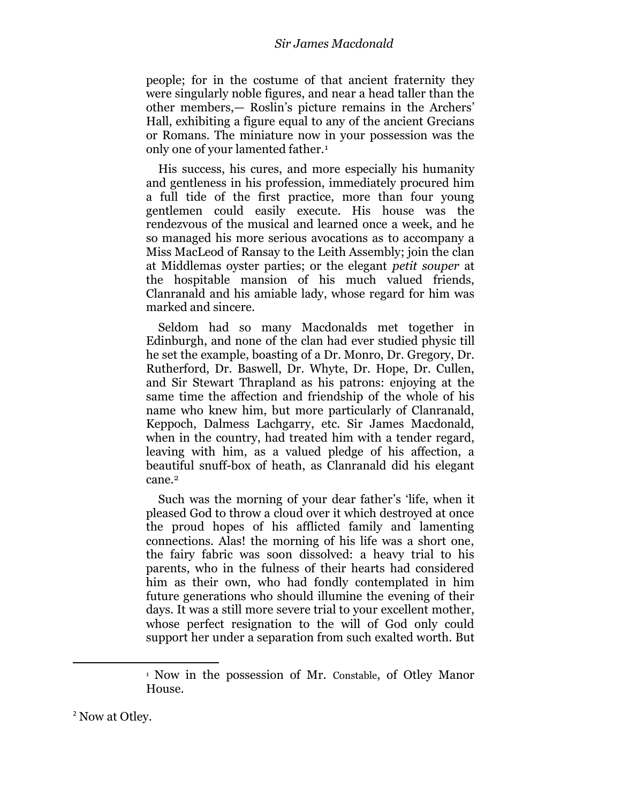## *Sir James Macdonald*

people; for in the costume of that ancient fraternity they were singularly noble figures, and near a head taller than the other members,— Roslin's picture remains in the Archers' Hall, exhibiting a figure equal to any of the ancient Grecians or Romans. The miniature now in your possession was the only one of your lamented father.<sup>1</sup>

His success, his cures, and more especially his humanity and gentleness in his profession, immediately procured him a full tide of the first practice, more than four young gentlemen could easily execute. His house was the rendezvous of the musical and learned once a week, and he so managed his more serious avocations as to accompany a Miss MacLeod of Ransay to the Leith Assembly; join the clan at Middlemas oyster parties; or the elegant *petit souper* at the hospitable mansion of his much valued friends, Clanranald and his amiable lady, whose regard for him was marked and sincere.

Seldom had so many Macdonalds met together in Edinburgh, and none of the clan had ever studied physic till he set the example, boasting of a Dr. Monro, Dr. Gregory, Dr. Rutherford, Dr. Baswell, Dr. Whyte, Dr. Hope, Dr. Cullen, and Sir Stewart Thrapland as his patrons: enjoying at the same time the affection and friendship of the whole of his name who knew him, but more particularly of Clanranald, Keppoch, Dalmess Lachgarry, etc. Sir James Macdonald, when in the country, had treated him with a tender regard, leaving with him, as a valued pledge of his affection, a beautiful snuff-box of heath, as Clanranald did his elegant cane.<sup>2</sup>

Such was the morning of your dear father's 'life, when it pleased God to throw a cloud over it which destroyed at once the proud hopes of his afflicted family and lamenting connections. Alas! the morning of his life was a short one, the fairy fabric was soon dissolved: a heavy trial to his parents, who in the fulness of their hearts had considered him as their own, who had fondly contemplated in him future generations who should illumine the evening of their days. It was a still more severe trial to your excellent mother, whose perfect resignation to the will of God only could support her under a separation from such exalted worth. But

 $\overline{a}$ 

<sup>1</sup> Now in the possession of Mr. Constable, of Otley Manor House.

<sup>&</sup>lt;sup>2</sup> Now at Otley.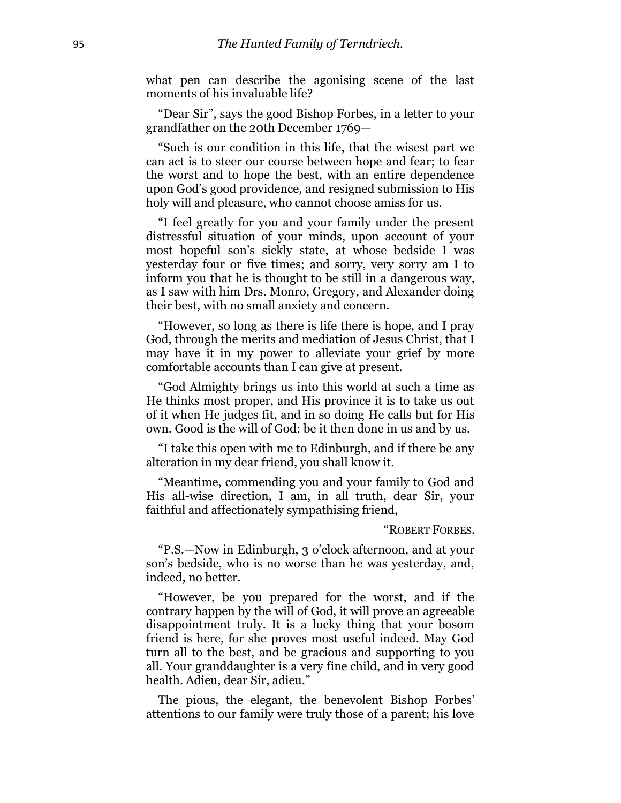what pen can describe the agonising scene of the last moments of his invaluable life?

"Dear Sir", says the good Bishop Forbes, in a letter to your grandfather on the 20th December 1769—

―Such is our condition in this life, that the wisest part we can act is to steer our course between hope and fear; to fear the worst and to hope the best, with an entire dependence upon God's good providence, and resigned submission to His holy will and pleasure, who cannot choose amiss for us.

―I feel greatly for you and your family under the present distressful situation of your minds, upon account of your most hopeful son's sickly state, at whose bedside I was yesterday four or five times; and sorry, very sorry am I to inform you that he is thought to be still in a dangerous way, as I saw with him Drs. Monro, Gregory, and Alexander doing their best, with no small anxiety and concern.

―However, so long as there is life there is hope, and I pray God, through the merits and mediation of Jesus Christ, that I may have it in my power to alleviate your grief by more comfortable accounts than I can give at present.

―God Almighty brings us into this world at such a time as He thinks most proper, and His province it is to take us out of it when He judges fit, and in so doing He calls but for His own. Good is the will of God: be it then done in us and by us.

―I take this open with me to Edinburgh, and if there be any alteration in my dear friend, you shall know it.

―Meantime, commending you and your family to God and His all-wise direction, I am, in all truth, dear Sir, your faithful and affectionately sympathising friend,

#### ―ROBERT FORBES.

―P.S.—Now in Edinburgh, 3 o'clock afternoon, and at your son's bedside, who is no worse than he was yesterday, and, indeed, no better.

―However, be you prepared for the worst, and if the contrary happen by the will of God, it will prove an agreeable disappointment truly. It is a lucky thing that your bosom friend is here, for she proves most useful indeed. May God turn all to the best, and be gracious and supporting to you all. Your granddaughter is a very fine child, and in very good health. Adieu, dear Sir, adieu."

The pious, the elegant, the benevolent Bishop Forbes' attentions to our family were truly those of a parent; his love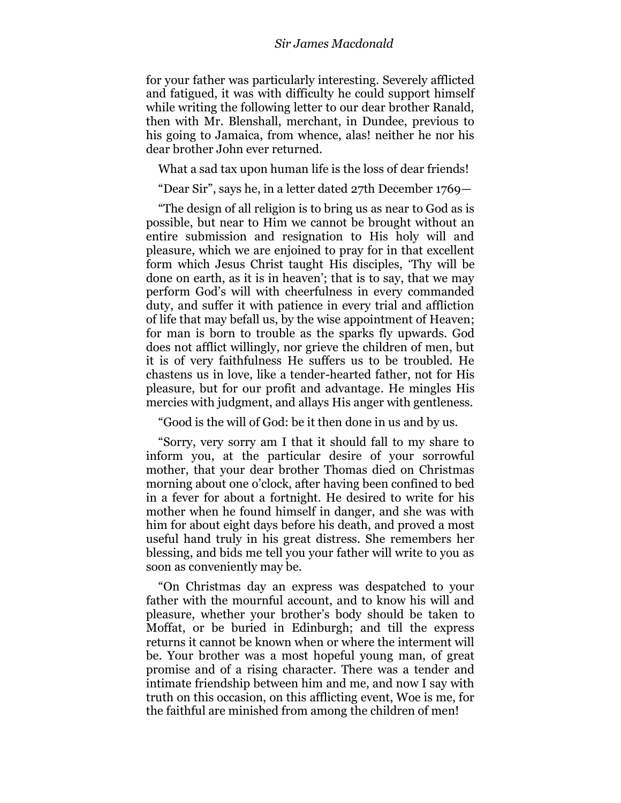### *Sir James Macdonald*

for your father was particularly interesting. Severely afflicted and fatigued, it was with difficulty he could support himself while writing the following letter to our dear brother Ranald, then with Mr. Blenshall, merchant, in Dundee, previous to his going to Jamaica, from whence, alas! neither he nor his dear brother John ever returned.

What a sad tax upon human life is the loss of dear friends!

"Dear Sir", says he, in a letter dated 27th December 1769—

―The design of all religion is to bring us as near to God as is possible, but near to Him we cannot be brought without an entire submission and resignation to His holy will and pleasure, which we are enjoined to pray for in that excellent form which Jesus Christ taught His disciples, 'Thy will be done on earth, as it is in heaven'; that is to say, that we may perform God's will with cheerfulness in every commanded duty, and suffer it with patience in every trial and affliction of life that may befall us, by the wise appointment of Heaven; for man is born to trouble as the sparks fly upwards. God does not afflict willingly, nor grieve the children of men, but it is of very faithfulness He suffers us to be troubled. He chastens us in love, like a tender-hearted father, not for His pleasure, but for our profit and advantage. He mingles His mercies with judgment, and allays His anger with gentleness.

―Good is the will of God: be it then done in us and by us.

―Sorry, very sorry am I that it should fall to my share to inform you, at the particular desire of your sorrowful mother, that your dear brother Thomas died on Christmas morning about one o'clock, after having been confined to bed in a fever for about a fortnight. He desired to write for his mother when he found himself in danger, and she was with him for about eight days before his death, and proved a most useful hand truly in his great distress. She remembers her blessing, and bids me tell you your father will write to you as soon as conveniently may be.

―On Christmas day an express was despatched to your father with the mournful account, and to know his will and pleasure, whether your brother's body should be taken to Moffat, or be buried in Edinburgh; and till the express returns it cannot be known when or where the interment will be. Your brother was a most hopeful young man, of great promise and of a rising character. There was a tender and intimate friendship between him and me, and now I say with truth on this occasion, on this afflicting event, Woe is me, for the faithful are minished from among the children of men!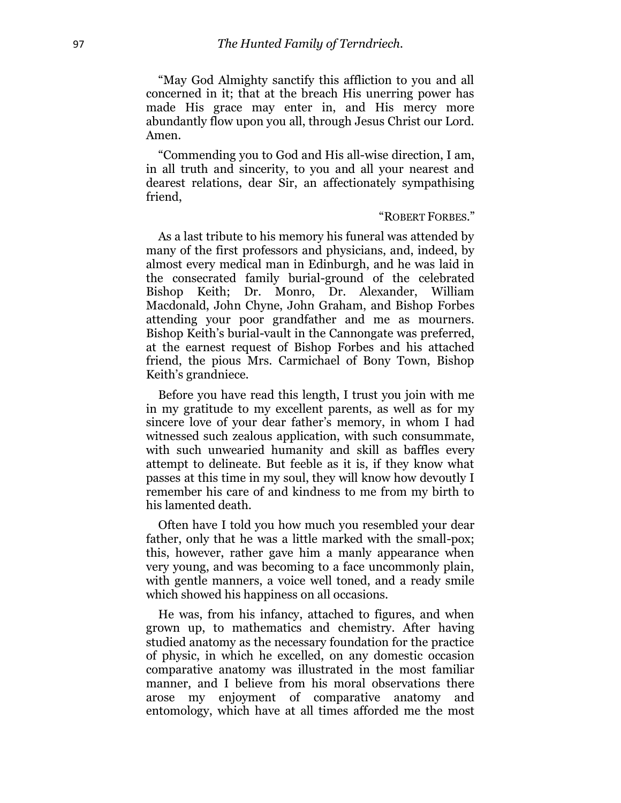―May God Almighty sanctify this affliction to you and all concerned in it; that at the breach His unerring power has made His grace may enter in, and His mercy more abundantly flow upon you all, through Jesus Christ our Lord. Amen.

―Commending you to God and His all-wise direction, I am, in all truth and sincerity, to you and all your nearest and dearest relations, dear Sir, an affectionately sympathising friend,

### "ROBERT FORBES."

As a last tribute to his memory his funeral was attended by many of the first professors and physicians, and, indeed, by almost every medical man in Edinburgh, and he was laid in the consecrated family burial-ground of the celebrated Bishop Keith; Dr. Monro, Dr. Alexander, William Macdonald, John Chyne, John Graham, and Bishop Forbes attending your poor grandfather and me as mourners. Bishop Keith's burial-vault in the Cannongate was preferred, at the earnest request of Bishop Forbes and his attached friend, the pious Mrs. Carmichael of Bony Town, Bishop Keith's grandniece.

Before you have read this length, I trust you join with me in my gratitude to my excellent parents, as well as for my sincere love of your dear father's memory, in whom I had witnessed such zealous application, with such consummate, with such unwearied humanity and skill as baffles every attempt to delineate. But feeble as it is, if they know what passes at this time in my soul, they will know how devoutly I remember his care of and kindness to me from my birth to his lamented death.

Often have I told you how much you resembled your dear father, only that he was a little marked with the small-pox; this, however, rather gave him a manly appearance when very young, and was becoming to a face uncommonly plain, with gentle manners, a voice well toned, and a ready smile which showed his happiness on all occasions.

He was, from his infancy, attached to figures, and when grown up, to mathematics and chemistry. After having studied anatomy as the necessary foundation for the practice of physic, in which he excelled, on any domestic occasion comparative anatomy was illustrated in the most familiar manner, and I believe from his moral observations there arose my enjoyment of comparative anatomy and entomology, which have at all times afforded me the most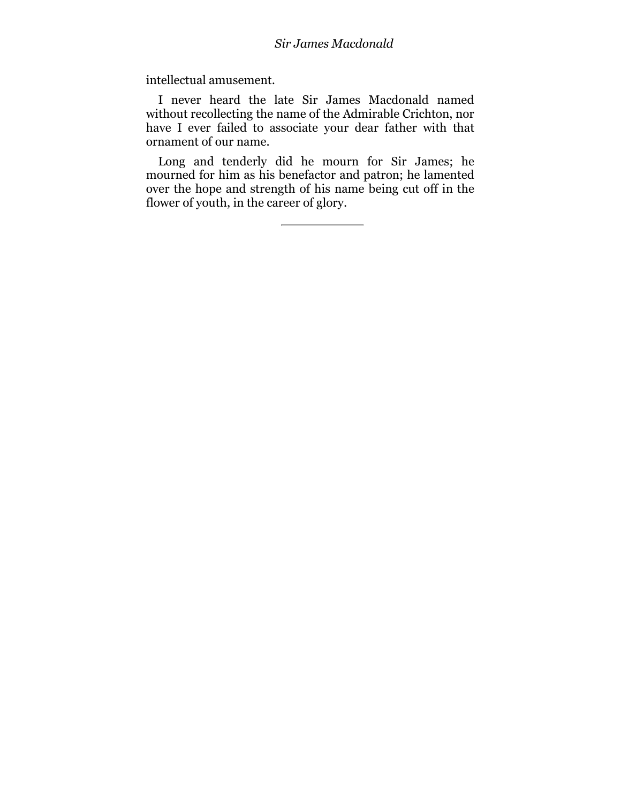intellectual amusement.

I never heard the late Sir James Macdonald named without recollecting the name of the Admirable Crichton, nor have I ever failed to associate your dear father with that ornament of our name.

Long and tenderly did he mourn for Sir James; he mourned for him as his benefactor and patron; he lamented over the hope and strength of his name being cut off in the flower of youth, in the career of glory.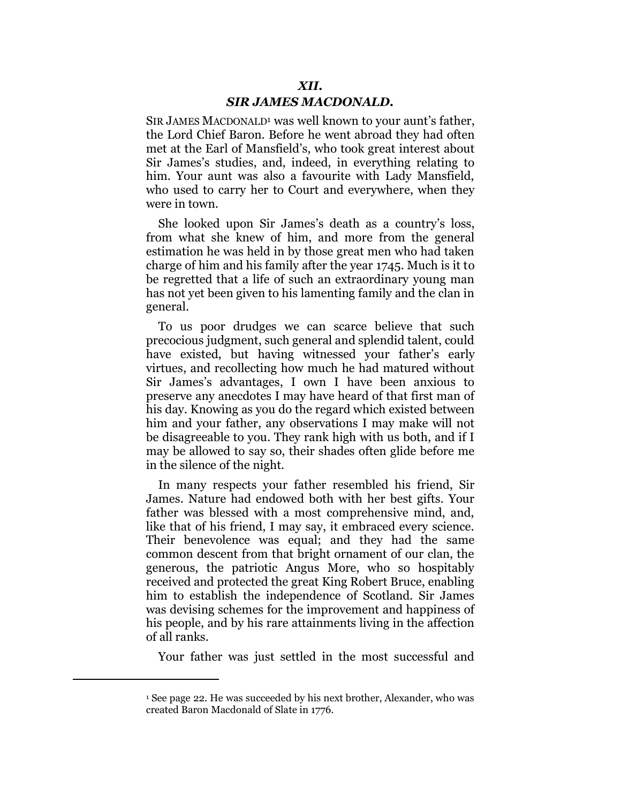# *XII. SIR JAMES MACDONALD.*

SIR JAMES MACDONALD<sup>1</sup> was well known to your aunt's father, the Lord Chief Baron. Before he went abroad they had often met at the Earl of Mansfield's, who took great interest about Sir James's studies, and, indeed, in everything relating to him. Your aunt was also a favourite with Lady Mansfield, who used to carry her to Court and everywhere, when they were in town.

She looked upon Sir James's death as a country's loss, from what she knew of him, and more from the general estimation he was held in by those great men who had taken charge of him and his family after the year 1745. Much is it to be regretted that a life of such an extraordinary young man has not yet been given to his lamenting family and the clan in general.

To us poor drudges we can scarce believe that such precocious judgment, such general and splendid talent, could have existed, but having witnessed your father's early virtues, and recollecting how much he had matured without Sir James's advantages, I own I have been anxious to preserve any anecdotes I may have heard of that first man of his day. Knowing as you do the regard which existed between him and your father, any observations I may make will not be disagreeable to you. They rank high with us both, and if I may be allowed to say so, their shades often glide before me in the silence of the night.

In many respects your father resembled his friend, Sir James. Nature had endowed both with her best gifts. Your father was blessed with a most comprehensive mind, and, like that of his friend, I may say, it embraced every science. Their benevolence was equal; and they had the same common descent from that bright ornament of our clan, the generous, the patriotic Angus More, who so hospitably received and protected the great King Robert Bruce, enabling him to establish the independence of Scotland. Sir James was devising schemes for the improvement and happiness of his people, and by his rare attainments living in the affection of all ranks.

Your father was just settled in the most successful and

l

<sup>1</sup> See page 22. He was succeeded by his next brother, Alexander, who was created Baron Macdonald of Slate in 1776.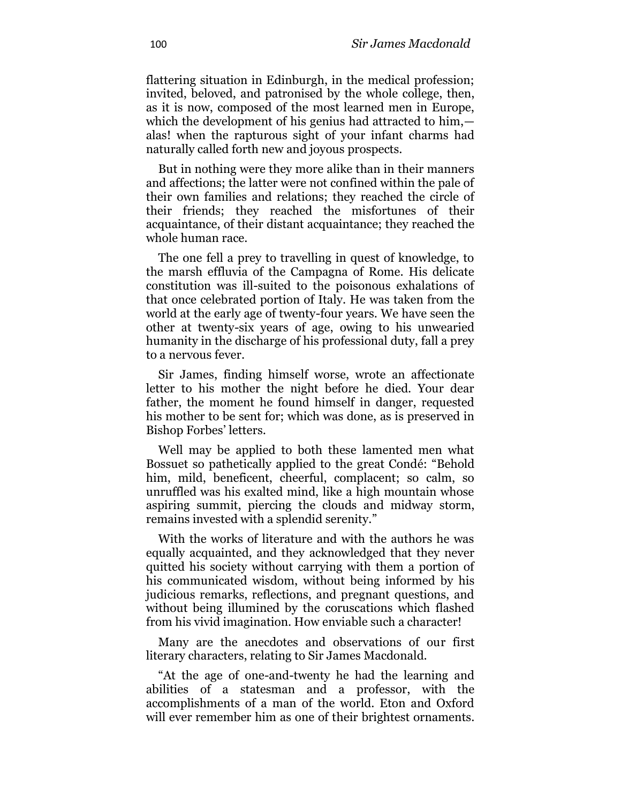flattering situation in Edinburgh, in the medical profession; invited, beloved, and patronised by the whole college, then, as it is now, composed of the most learned men in Europe, which the development of his genius had attracted to him, alas! when the rapturous sight of your infant charms had naturally called forth new and joyous prospects.

But in nothing were they more alike than in their manners and affections; the latter were not confined within the pale of their own families and relations; they reached the circle of their friends; they reached the misfortunes of their acquaintance, of their distant acquaintance; they reached the whole human race.

The one fell a prey to travelling in quest of knowledge, to the marsh effluvia of the Campagna of Rome. His delicate constitution was ill-suited to the poisonous exhalations of that once celebrated portion of Italy. He was taken from the world at the early age of twenty-four years. We have seen the other at twenty-six years of age, owing to his unwearied humanity in the discharge of his professional duty, fall a prey to a nervous fever.

Sir James, finding himself worse, wrote an affectionate letter to his mother the night before he died. Your dear father, the moment he found himself in danger, requested his mother to be sent for; which was done, as is preserved in Bishop Forbes' letters.

Well may be applied to both these lamented men what Bossuet so pathetically applied to the great Condé: "Behold" him, mild, beneficent, cheerful, complacent; so calm, so unruffled was his exalted mind, like a high mountain whose aspiring summit, piercing the clouds and midway storm, remains invested with a splendid serenity."

With the works of literature and with the authors he was equally acquainted, and they acknowledged that they never quitted his society without carrying with them a portion of his communicated wisdom, without being informed by his judicious remarks, reflections, and pregnant questions, and without being illumined by the coruscations which flashed from his vivid imagination. How enviable such a character!

Many are the anecdotes and observations of our first literary characters, relating to Sir James Macdonald.

―At the age of one-and-twenty he had the learning and abilities of a statesman and a professor, with the accomplishments of a man of the world. Eton and Oxford will ever remember him as one of their brightest ornaments.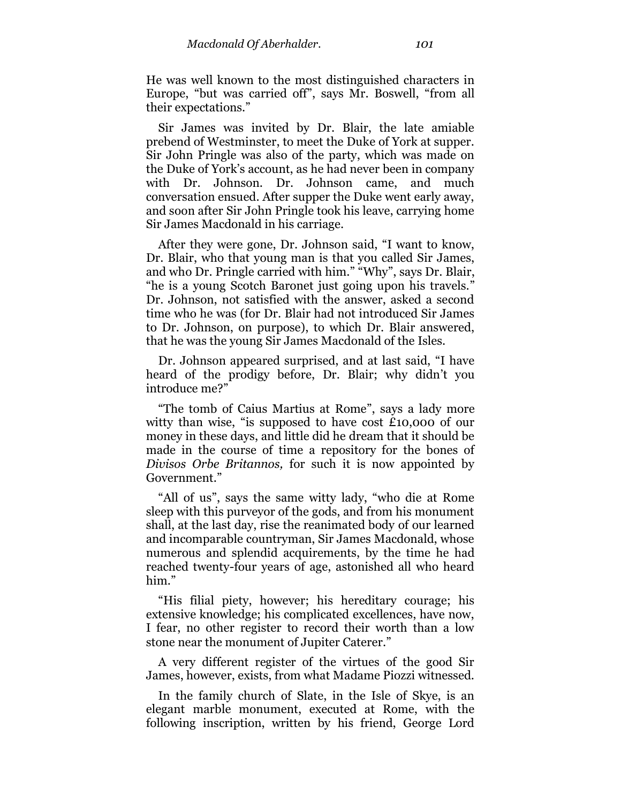He was well known to the most distinguished characters in Europe, "but was carried off", says Mr. Boswell, "from all their expectations."

Sir James was invited by Dr. Blair, the late amiable prebend of Westminster, to meet the Duke of York at supper. Sir John Pringle was also of the party, which was made on the Duke of York's account, as he had never been in company with Dr. Johnson. Dr. Johnson came, and much conversation ensued. After supper the Duke went early away, and soon after Sir John Pringle took his leave, carrying home Sir James Macdonald in his carriage.

After they were gone, Dr. Johnson said, "I want to know, Dr. Blair, who that young man is that you called Sir James, and who Dr. Pringle carried with him." "Why", says Dr. Blair, "he is a young Scotch Baronet just going upon his travels." Dr. Johnson, not satisfied with the answer, asked a second time who he was (for Dr. Blair had not introduced Sir James to Dr. Johnson, on purpose), to which Dr. Blair answered, that he was the young Sir James Macdonald of the Isles.

Dr. Johnson appeared surprised, and at last said, "I have heard of the prodigy before, Dr. Blair; why didn't you introduce me?"

"The tomb of Caius Martius at Rome", says a lady more witty than wise, "is supposed to have cost  $£10,000$  of our money in these days, and little did he dream that it should be made in the course of time a repository for the bones of *Divisos Orbe Britannos,* for such it is now appointed by Government."

"All of us", says the same witty lady, "who die at Rome sleep with this purveyor of the gods, and from his monument shall, at the last day, rise the reanimated body of our learned and incomparable countryman, Sir James Macdonald, whose numerous and splendid acquirements, by the time he had reached twenty-four years of age, astonished all who heard him."

―His filial piety, however; his hereditary courage; his extensive knowledge; his complicated excellences, have now, I fear, no other register to record their worth than a low stone near the monument of Jupiter Caterer."

A very different register of the virtues of the good Sir James, however, exists, from what Madame Piozzi witnessed.

In the family church of Slate, in the Isle of Skye, is an elegant marble monument, executed at Rome, with the following inscription, written by his friend, George Lord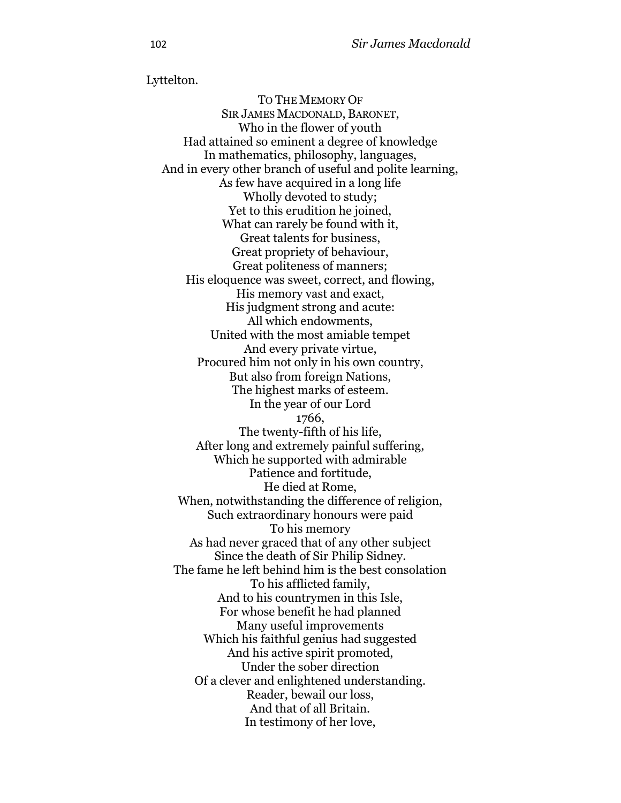Lyttelton. TO THE MEMORY OF SIR JAMES MACDONALD, BARONET, Who in the flower of youth Had attained so eminent a degree of knowledge In mathematics, philosophy, languages, And in every other branch of useful and polite learning, As few have acquired in a long life Wholly devoted to study; Yet to this erudition he joined, What can rarely be found with it, Great talents for business, Great propriety of behaviour, Great politeness of manners; His eloquence was sweet, correct, and flowing, His memory vast and exact, His judgment strong and acute: All which endowments, United with the most amiable tempet And every private virtue, Procured him not only in his own country, But also from foreign Nations, The highest marks of esteem. In the year of our Lord 1766, The twenty-fifth of his life, After long and extremely painful suffering, Which he supported with admirable Patience and fortitude, He died at Rome, When, notwithstanding the difference of religion, Such extraordinary honours were paid To his memory As had never graced that of any other subject Since the death of Sir Philip Sidney. The fame he left behind him is the best consolation To his afflicted family, And to his countrymen in this Isle, For whose benefit he had planned Many useful improvements Which his faithful genius had suggested And his active spirit promoted, Under the sober direction Of a clever and enlightened understanding. Reader, bewail our loss, And that of all Britain. In testimony of her love,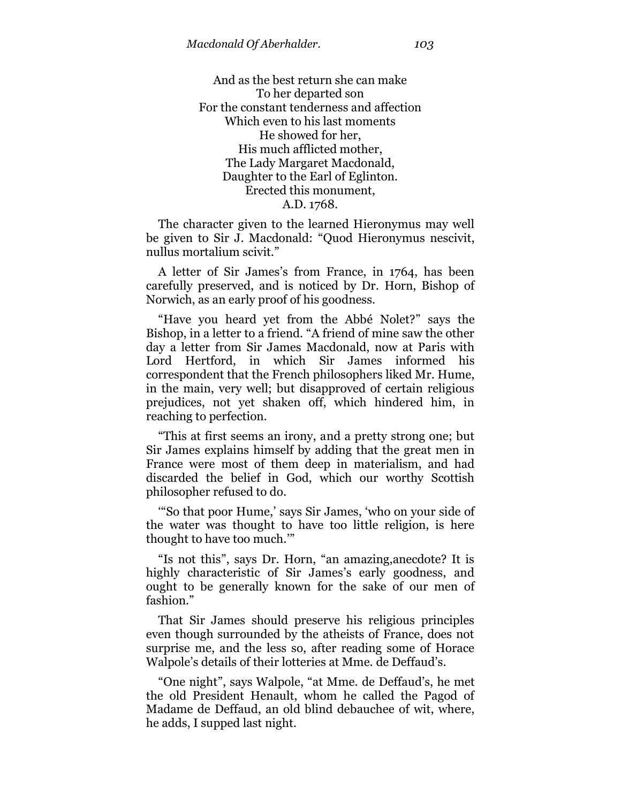And as the best return she can make To her departed son For the constant tenderness and affection Which even to his last moments He showed for her, His much afflicted mother, The Lady Margaret Macdonald, Daughter to the Earl of Eglinton. Erected this monument, A.D. 1768.

The character given to the learned Hieronymus may well be given to Sir J. Macdonald: "Quod Hieronymus nescivit, nullus mortalium scivit."

A letter of Sir James's from France, in 1764, has been carefully preserved, and is noticed by Dr. Horn, Bishop of Norwich, as an early proof of his goodness.

"Have you heard yet from the Abbé Nolet?" says the Bishop, in a letter to a friend. "A friend of mine saw the other day a letter from Sir James Macdonald, now at Paris with Lord Hertford, in which Sir James informed his correspondent that the French philosophers liked Mr. Hume, in the main, very well; but disapproved of certain religious prejudices, not yet shaken off, which hindered him, in reaching to perfection.

―This at first seems an irony, and a pretty strong one; but Sir James explains himself by adding that the great men in France were most of them deep in materialism, and had discarded the belief in God, which our worthy Scottish philosopher refused to do.

"So that poor Hume,' says Sir James, 'who on your side of the water was thought to have too little religion, is here thought to have too much."

"Is not this", says Dr. Horn, "an amazing, anecdote? It is highly characteristic of Sir James's early goodness, and ought to be generally known for the sake of our men of fashion."

That Sir James should preserve his religious principles even though surrounded by the atheists of France, does not surprise me, and the less so, after reading some of Horace Walpole's details of their lotteries at Mme. de Deffaud's.

"One night", says Walpole, "at Mme. de Deffaud's, he met the old President Henault, whom he called the Pagod of Madame de Deffaud, an old blind debauchee of wit, where, he adds, I supped last night.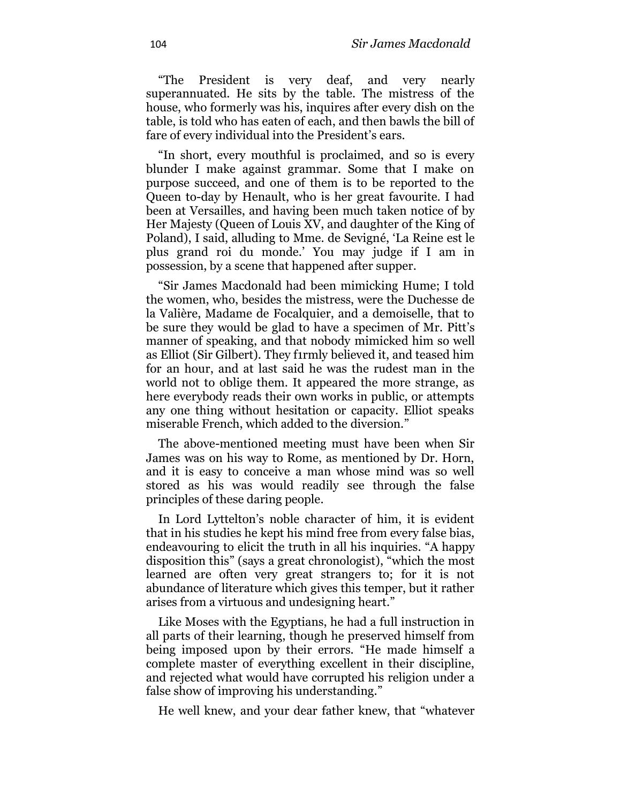―The President is very deaf, and very nearly superannuated. He sits by the table. The mistress of the house, who formerly was his, inquires after every dish on the table, is told who has eaten of each, and then bawls the bill of fare of every individual into the President's ears.

"In short, every mouthful is proclaimed, and so is every blunder I make against grammar. Some that I make on purpose succeed, and one of them is to be reported to the Queen to-day by Henault, who is her great favourite. I had been at Versailles, and having been much taken notice of by Her Majesty (Queen of Louis XV, and daughter of the King of Poland), I said, alluding to Mme. de Sevigné, ‗La Reine est le plus grand roi du monde.' You may judge if I am in possession, by a scene that happened after supper.

―Sir James Macdonald had been mimicking Hume; I told the women, who, besides the mistress, were the Duchesse de la Valière, Madame de Focalquier, and a demoiselle, that to be sure they would be glad to have a specimen of Mr. Pitt's manner of speaking, and that nobody mimicked him so well as Elliot (Sir Gilbert). They f1rmly believed it, and teased him for an hour, and at last said he was the rudest man in the world not to oblige them. It appeared the more strange, as here everybody reads their own works in public, or attempts any one thing without hesitation or capacity. Elliot speaks miserable French, which added to the diversion."

The above-mentioned meeting must have been when Sir James was on his way to Rome, as mentioned by Dr. Horn, and it is easy to conceive a man whose mind was so well stored as his was would readily see through the false principles of these daring people.

In Lord Lyttelton's noble character of him, it is evident that in his studies he kept his mind free from every false bias, endeavouring to elicit the truth in all his inquiries. "A happy disposition this" (says a great chronologist), "which the most learned are often very great strangers to; for it is not abundance of literature which gives this temper, but it rather arises from a virtuous and undesigning heart."

Like Moses with the Egyptians, he had a full instruction in all parts of their learning, though he preserved himself from being imposed upon by their errors. "He made himself a complete master of everything excellent in their discipline, and rejected what would have corrupted his religion under a false show of improving his understanding."

He well knew, and your dear father knew, that "whatever"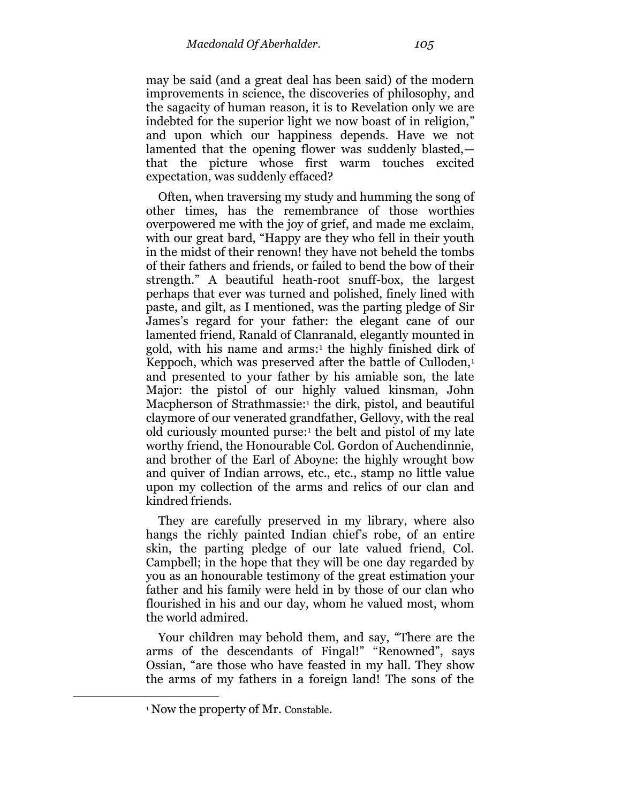may be said (and a great deal has been said) of the modern improvements in science, the discoveries of philosophy, and the sagacity of human reason, it is to Revelation only we are indebted for the superior light we now boast of in religion," and upon which our happiness depends. Have we not lamented that the opening flower was suddenly blasted, that the picture whose first warm touches excited expectation, was suddenly effaced?

<span id="page-104-0"></span>Often, when traversing my study and humming the song of other times, has the remembrance of those worthies overpowered me with the joy of grief, and made me exclaim, with our great bard, "Happy are they who fell in their youth in the midst of their renown! they have not beheld the tombs of their fathers and friends, or failed to bend the bow of their strength." A beautiful heath-root snuff-box, the largest perhaps that ever was turned and polished, finely lined with paste, and gilt, as I mentioned, was the parting pledge of Sir James's regard for your father: the elegant cane of our lamented friend, Ranald of Clanranald, elegantly mounted in gold, with his name and arms: <sup>1</sup> the highly finished dirk of Keppoch, which was preserved after the battle of Culloden,<sup>[1](#page-104-0)</sup> and presented to your father by his amiable son, the late Major: the pistol of our highly valued kinsman, John Macpherson of Strathmassie[:](#page-104-0) <sup>1</sup> the dirk, pistol, and beautiful claymore of our venerated grandfather, Gellovy, with the real old curiously mounted purse: [1](#page-104-0) the belt and pistol of my late worthy friend, the Honourable Col. Gordon of Auchendinnie, and brother of the Earl of Aboyne: the highly wrought bow and quiver of Indian arrows, etc., etc., stamp no little value upon my collection of the arms and relics of our clan and kindred friends.

They are carefully preserved in my library, where also hangs the richly painted Indian chief's robe, of an entire skin, the parting pledge of our late valued friend, Col. Campbell; in the hope that they will be one day regarded by you as an honourable testimony of the great estimation your father and his family were held in by those of our clan who flourished in his and our day, whom he valued most, whom the world admired.

Your children may behold them, and say, "There are the arms of the descendants of Fingal!" "Renowned", says Ossian, "are those who have feasted in my hall. They show the arms of my fathers in a foreign land! The sons of the

l

<sup>&</sup>lt;sup>1</sup> Now the property of Mr. Constable.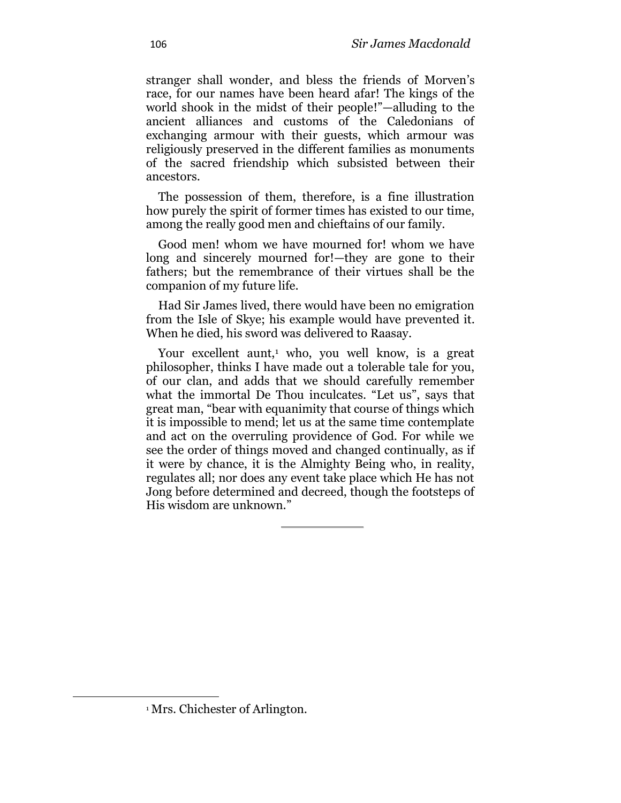stranger shall wonder, and bless the friends of Morven's race, for our names have been heard afar! The kings of the world shook in the midst of their people!"—alluding to the ancient alliances and customs of the Caledonians of exchanging armour with their guests, which armour was religiously preserved in the different families as monuments of the sacred friendship which subsisted between their ancestors.

The possession of them, therefore, is a fine illustration how purely the spirit of former times has existed to our time, among the really good men and chieftains of our family.

Good men! whom we have mourned for! whom we have long and sincerely mourned for!—they are gone to their fathers; but the remembrance of their virtues shall be the companion of my future life.

Had Sir James lived, there would have been no emigration from the Isle of Skye; his example would have prevented it. When he died, his sword was delivered to Raasay.

Your excellent aunt, $1$  who, you well know, is a great philosopher, thinks I have made out a tolerable tale for you, of our clan, and adds that we should carefully remember what the immortal De Thou inculcates. "Let us", says that great man, "bear with equanimity that course of things which it is impossible to mend; let us at the same time contemplate and act on the overruling providence of God. For while we see the order of things moved and changed continually, as if it were by chance, it is the Almighty Being who, in reality, regulates all; nor does any event take place which He has not Jong before determined and decreed, though the footsteps of His wisdom are unknown."

l

<sup>1</sup> Mrs. Chichester of Arlington.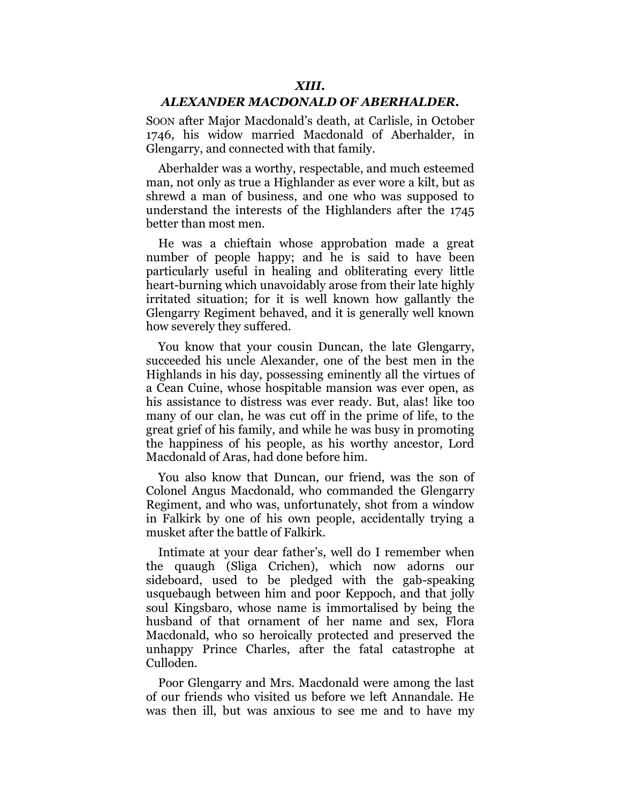## *XIII.*

### *ALEXANDER MACDONALD OF ABERHALDER.*

SOON after Major Macdonald's death, at Carlisle, in October 1746, his widow married Macdonald of Aberhalder, in Glengarry, and connected with that family.

Aberhalder was a worthy, respectable, and much esteemed man, not only as true a Highlander as ever wore a kilt, but as shrewd a man of business, and one who was supposed to understand the interests of the Highlanders after the 1745 better than most men.

He was a chieftain whose approbation made a great number of people happy; and he is said to have been particularly useful in healing and obliterating every little heart-burning which unavoidably arose from their late highly irritated situation; for it is well known how gallantly the Glengarry Regiment behaved, and it is generally well known how severely they suffered.

You know that your cousin Duncan, the late Glengarry, succeeded his uncle Alexander, one of the best men in the Highlands in his day, possessing eminently all the virtues of a Cean Cuine, whose hospitable mansion was ever open, as his assistance to distress was ever ready. But, alas! like too many of our clan, he was cut off in the prime of life, to the great grief of his family, and while he was busy in promoting the happiness of his people, as his worthy ancestor, Lord Macdonald of Aras, had done before him.

You also know that Duncan, our friend, was the son of Colonel Angus Macdonald, who commanded the Glengarry Regiment, and who was, unfortunately, shot from a window in Falkirk by one of his own people, accidentally trying a musket after the battle of Falkirk.

Intimate at your dear father's, well do I remember when the quaugh (Sliga Crichen), which now adorns our sideboard, used to be pledged with the gab-speaking usquebaugh between him and poor Keppoch, and that jolly soul Kingsbaro, whose name is immortalised by being the husband of that ornament of her name and sex, Flora Macdonald, who so heroically protected and preserved the unhappy Prince Charles, after the fatal catastrophe at Culloden.

Poor Glengarry and Mrs. Macdonald were among the last of our friends who visited us before we left Annandale. He was then ill, but was anxious to see me and to have my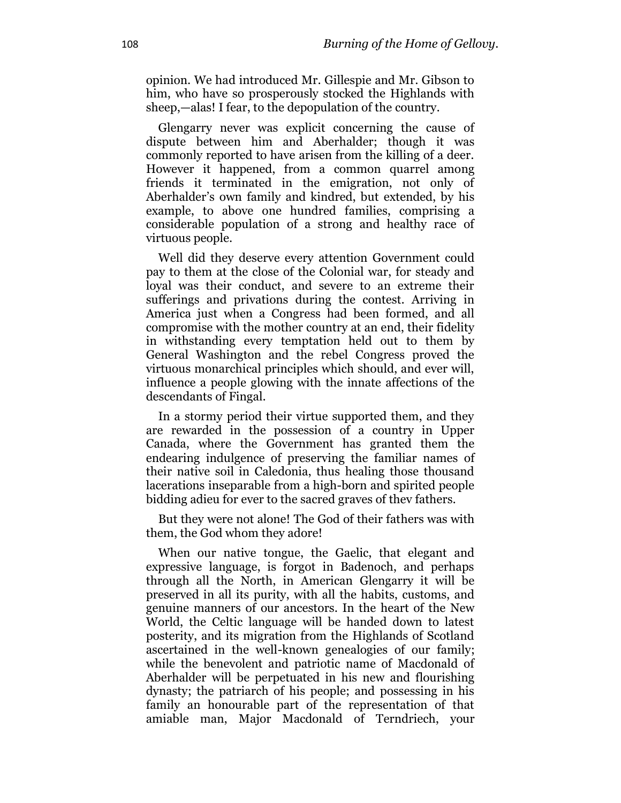opinion. We had introduced Mr. Gillespie and Mr. Gibson to him, who have so prosperously stocked the Highlands with sheep,—alas! I fear, to the depopulation of the country.

Glengarry never was explicit concerning the cause of dispute between him and Aberhalder; though it was commonly reported to have arisen from the killing of a deer. However it happened, from a common quarrel among friends it terminated in the emigration, not only of Aberhalder's own family and kindred, but extended, by his example, to above one hundred families, comprising a considerable population of a strong and healthy race of virtuous people.

Well did they deserve every attention Government could pay to them at the close of the Colonial war, for steady and loyal was their conduct, and severe to an extreme their sufferings and privations during the contest. Arriving in America just when a Congress had been formed, and all compromise with the mother country at an end, their fidelity in withstanding every temptation held out to them by General Washington and the rebel Congress proved the virtuous monarchical principles which should, and ever will, influence a people glowing with the innate affections of the descendants of Fingal.

In a stormy period their virtue supported them, and they are rewarded in the possession of a country in Upper Canada, where the Government has granted them the endearing indulgence of preserving the familiar names of their native soil in Caledonia, thus healing those thousand lacerations inseparable from a high-born and spirited people bidding adieu for ever to the sacred graves of thev fathers.

But they were not alone! The God of their fathers was with them, the God whom they adore!

When our native tongue, the Gaelic, that elegant and expressive language, is forgot in Badenoch, and perhaps through all the North, in American Glengarry it will be preserved in all its purity, with all the habits, customs, and genuine manners of our ancestors. In the heart of the New World, the Celtic language will be handed down to latest posterity, and its migration from the Highlands of Scotland ascertained in the well-known genealogies of our family; while the benevolent and patriotic name of Macdonald of Aberhalder will be perpetuated in his new and flourishing dynasty; the patriarch of his people; and possessing in his family an honourable part of the representation of that amiable man, Major Macdonald of Terndriech, your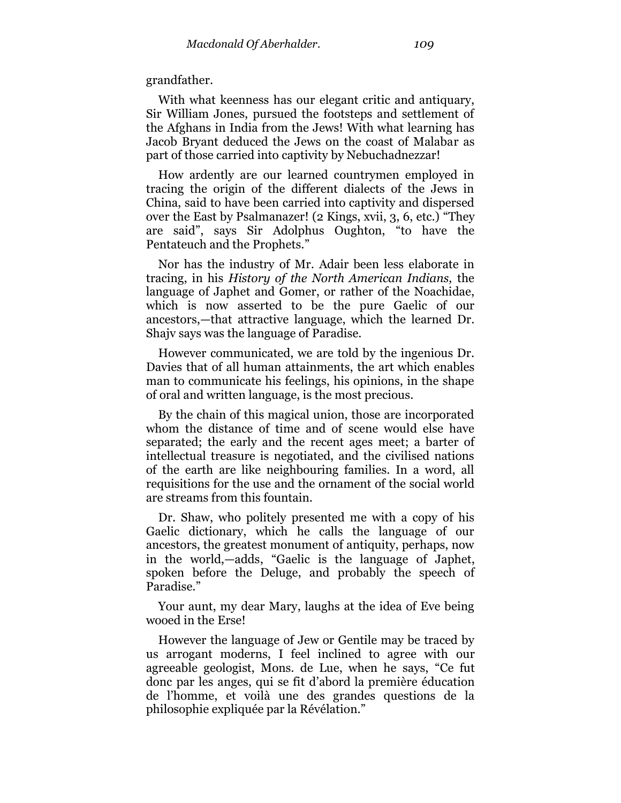## grandfather.

With what keenness has our elegant critic and antiquary, Sir William Jones, pursued the footsteps and settlement of the Afghans in India from the Jews! With what learning has Jacob Bryant deduced the Jews on the coast of Malabar as part of those carried into captivity by Nebuchadnezzar!

How ardently are our learned countrymen employed in tracing the origin of the different dialects of the Jews in China, said to have been carried into captivity and dispersed over the East by Psalmanazer! (2 Kings, xvii, 3, 6, etc.) "They are said", says Sir Adolphus Oughton, "to have the Pentateuch and the Prophets."

Nor has the industry of Mr. Adair been less elaborate in tracing, in his *History of the North American Indians,* the language of Japhet and Gomer, or rather of the Noachidae, which is now asserted to be the pure Gaelic of our ancestors,—that attractive language, which the learned Dr. Shajv says was the language of Paradise.

However communicated, we are told by the ingenious Dr. Davies that of all human attainments, the art which enables man to communicate his feelings, his opinions, in the shape of oral and written language, is the most precious.

By the chain of this magical union, those are incorporated whom the distance of time and of scene would else have separated; the early and the recent ages meet; a barter of intellectual treasure is negotiated, and the civilised nations of the earth are like neighbouring families. In a word, all requisitions for the use and the ornament of the social world are streams from this fountain.

Dr. Shaw, who politely presented me with a copy of his Gaelic dictionary, which he calls the language of our ancestors, the greatest monument of antiquity, perhaps, now in the world,—adds, "Gaelic is the language of Japhet, spoken before the Deluge, and probably the speech of Paradise."

Your aunt, my dear Mary, laughs at the idea of Eve being wooed in the Erse!

However the language of Jew or Gentile may be traced by us arrogant moderns, I feel inclined to agree with our agreeable geologist, Mons. de Lue, when he says, "Ce fut donc par les anges, qui se fit d'abord la première éducation de l'homme, et voilà une des grandes questions de la philosophie expliquée par la Révélation."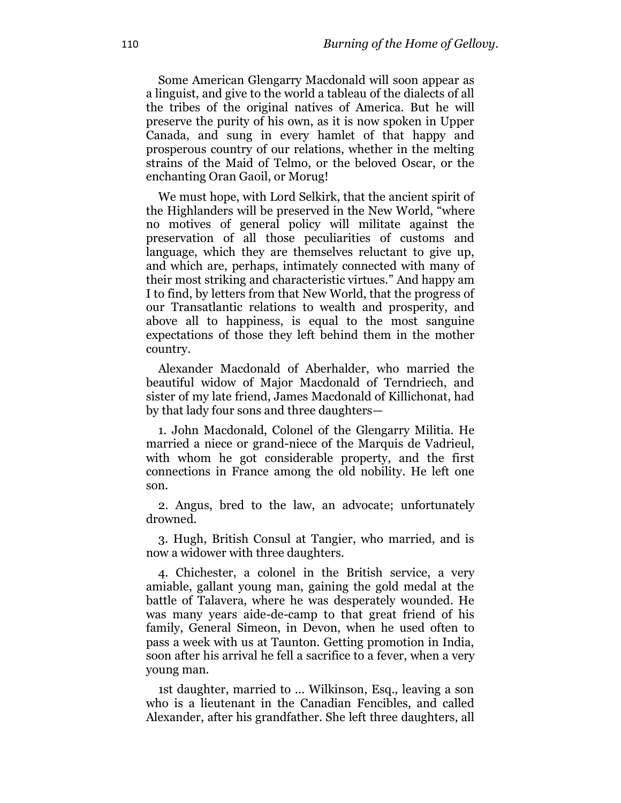Some American Glengarry Macdonald will soon appear as a linguist, and give to the world a tableau of the dialects of all the tribes of the original natives of America. But he will preserve the purity of his own, as it is now spoken in Upper Canada, and sung in every hamlet of that happy and prosperous country of our relations, whether in the melting strains of the Maid of Telmo, or the beloved Oscar, or the enchanting Oran Gaoil, or Morug!

We must hope, with Lord Selkirk, that the ancient spirit of the Highlanders will be preserved in the New World, "where" no motives of general policy will militate against the preservation of all those peculiarities of customs and language, which they are themselves reluctant to give up, and which are, perhaps, intimately connected with many of their most striking and characteristic virtues.‖ And happy am I to find, by letters from that New World, that the progress of our Transatlantic relations to wealth and prosperity, and above all to happiness, is equal to the most sanguine expectations of those they left behind them in the mother country.

Alexander Macdonald of Aberhalder, who married the beautiful widow of Major Macdonald of Terndriech, and sister of my late friend, James Macdonald of Killichonat, had by that lady four sons and three daughters—

1. John Macdonald, Colonel of the Glengarry Militia. He married a niece or grand-niece of the Marquis de Vadrieul, with whom he got considerable property, and the first connections in France among the old nobility. He left one son.

2. Angus, bred to the law, an advocate; unfortunately drowned.

3. Hugh, British Consul at Tangier, who married, and is now a widower with three daughters.

4. Chichester, a colonel in the British service, a very amiable, gallant young man, gaining the gold medal at the battle of Talavera, where he was desperately wounded. He was many years aide-de-camp to that great friend of his family, General Simeon, in Devon, when he used often to pass a week with us at Taunton. Getting promotion in India, soon after his arrival he fell a sacrifice to a fever, when a very young man.

1st daughter, married to ... Wilkinson, Esq., leaving a son who is a lieutenant in the Canadian Fencibles, and called Alexander, after his grandfather. She left three daughters, all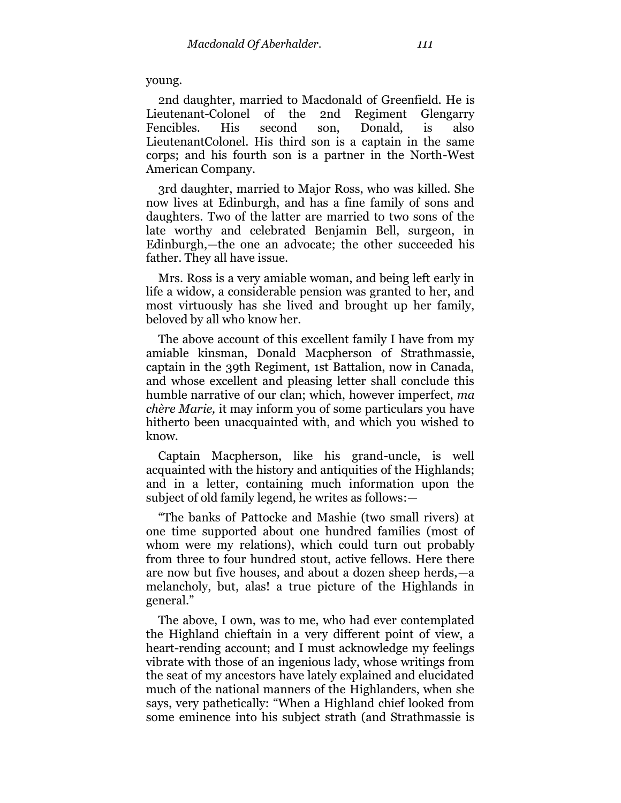## young.

2nd daughter, married to Macdonald of Greenfield. He is Lieutenant-Colonel of the 2nd Regiment Glengarry Fencibles. His second son, Donald, is also LieutenantColonel. His third son is a captain in the same corps; and his fourth son is a partner in the North-West American Company.

3rd daughter, married to Major Ross, who was killed. She now lives at Edinburgh, and has a fine family of sons and daughters. Two of the latter are married to two sons of the late worthy and celebrated Benjamin Bell, surgeon, in Edinburgh,—the one an advocate; the other succeeded his father. They all have issue.

Mrs. Ross is a very amiable woman, and being left early in life a widow, a considerable pension was granted to her, and most virtuously has she lived and brought up her family, beloved by all who know her.

The above account of this excellent family I have from my amiable kinsman, Donald Macpherson of Strathmassie, captain in the 39th Regiment, 1st Battalion, now in Canada, and whose excellent and pleasing letter shall conclude this humble narrative of our clan; which, however imperfect, *ma chère Marie,* it may inform you of some particulars you have hitherto been unacquainted with, and which you wished to know.

Captain Macpherson, like his grand-uncle, is well acquainted with the history and antiquities of the Highlands; and in a letter, containing much information upon the subject of old family legend, he writes as follows:—

―The banks of Pattocke and Mashie (two small rivers) at one time supported about one hundred families (most of whom were my relations), which could turn out probably from three to four hundred stout, active fellows. Here there are now but five houses, and about a dozen sheep herds,—a melancholy, but, alas! a true picture of the Highlands in general.‖

The above, I own, was to me, who had ever contemplated the Highland chieftain in a very different point of view, a heart-rending account; and I must acknowledge my feelings vibrate with those of an ingenious lady, whose writings from the seat of my ancestors have lately explained and elucidated much of the national manners of the Highlanders, when she says, very pathetically: "When a Highland chief looked from some eminence into his subject strath (and Strathmassie is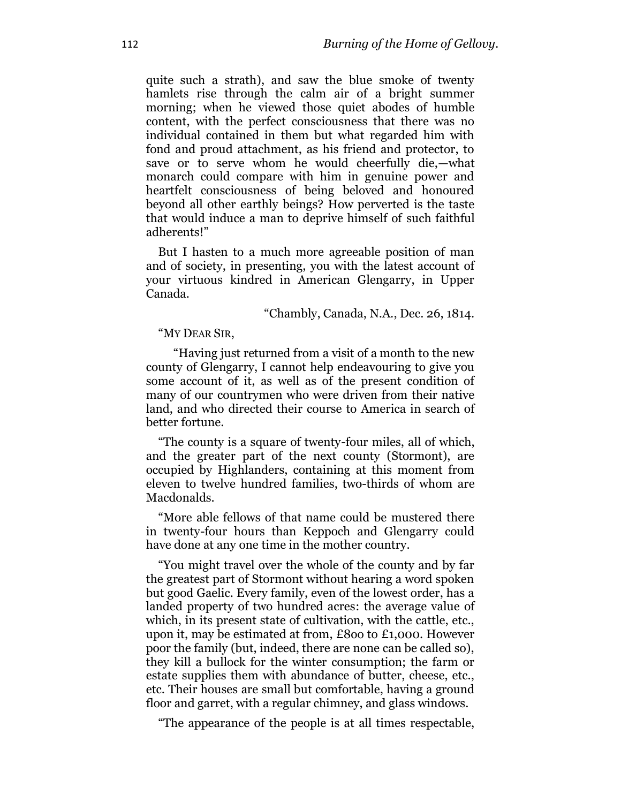quite such a strath), and saw the blue smoke of twenty hamlets rise through the calm air of a bright summer morning; when he viewed those quiet abodes of humble content, with the perfect consciousness that there was no individual contained in them but what regarded him with fond and proud attachment, as his friend and protector, to save or to serve whom he would cheerfully die,—what monarch could compare with him in genuine power and heartfelt consciousness of being beloved and honoured beyond all other earthly beings? How perverted is the taste that would induce a man to deprive himself of such faithful adherents!"

But I hasten to a much more agreeable position of man and of society, in presenting, you with the latest account of your virtuous kindred in American Glengarry, in Upper Canada.

―Chambly, Canada, N.A., Dec. 26, 1814.

―MY DEAR SIR,

―Having just returned from a visit of a month to the new county of Glengarry, I cannot help endeavouring to give you some account of it, as well as of the present condition of many of our countrymen who were driven from their native land, and who directed their course to America in search of better fortune.

―The county is a square of twenty-four miles, all of which, and the greater part of the next county (Stormont), are occupied by Highlanders, containing at this moment from eleven to twelve hundred families, two-thirds of whom are Macdonalds.

―More able fellows of that name could be mustered there in twenty-four hours than Keppoch and Glengarry could have done at any one time in the mother country.

―You might travel over the whole of the county and by far the greatest part of Stormont without hearing a word spoken but good Gaelic. Every family, even of the lowest order, has a landed property of two hundred acres: the average value of which, in its present state of cultivation, with the cattle, etc., upon it, may be estimated at from, £8oo to £1,000. However poor the family (but, indeed, there are none can be called so), they kill a bullock for the winter consumption; the farm or estate supplies them with abundance of butter, cheese, etc., etc. Their houses are small but comfortable, having a ground floor and garret, with a regular chimney, and glass windows.

―The appearance of the people is at all times respectable,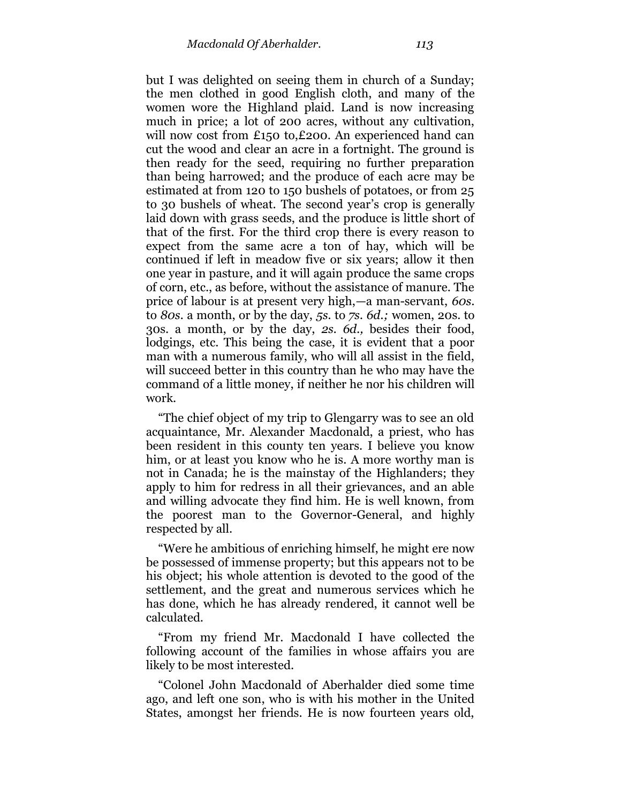but I was delighted on seeing them in church of a Sunday; the men clothed in good English cloth, and many of the women wore the Highland plaid. Land is now increasing much in price; a lot of 200 acres, without any cultivation, will now cost from £150 to,£200. An experienced hand can cut the wood and clear an acre in a fortnight. The ground is then ready for the seed, requiring no further preparation than being harrowed; and the produce of each acre may be estimated at from 120 to 150 bushels of potatoes, or from 25 to 30 bushels of wheat. The second year's crop is generally laid down with grass seeds, and the produce is little short of that of the first. For the third crop there is every reason to expect from the same acre a ton of hay, which will be continued if left in meadow five or six years; allow it then one year in pasture, and it will again produce the same crops of corn, etc., as before, without the assistance of manure. The price of labour is at present very high,—a man-servant, *60s.*  to *80s.* a month, or by the day, *5s.* to *7s. 6d.;* women, 20s. to 30s. a month, or by the day, *2s. 6d.,* besides their food, lodgings, etc. This being the case, it is evident that a poor man with a numerous family, who will all assist in the field, will succeed better in this country than he who may have the command of a little money, if neither he nor his children will work.

―The chief object of my trip to Glengarry was to see an old acquaintance, Mr. Alexander Macdonald, a priest, who has been resident in this county ten years. I believe you know him, or at least you know who he is. A more worthy man is not in Canada; he is the mainstay of the Highlanders; they apply to him for redress in all their grievances, and an able and willing advocate they find him. He is well known, from the poorest man to the Governor-General, and highly respected by all.

―Were he ambitious of enriching himself, he might ere now be possessed of immense property; but this appears not to be his object; his whole attention is devoted to the good of the settlement, and the great and numerous services which he has done, which he has already rendered, it cannot well be calculated.

―From my friend Mr. Macdonald I have collected the following account of the families in whose affairs you are likely to be most interested.

―Colonel John Macdonald of Aberhalder died some time ago, and left one son, who is with his mother in the United States, amongst her friends. He is now fourteen years old,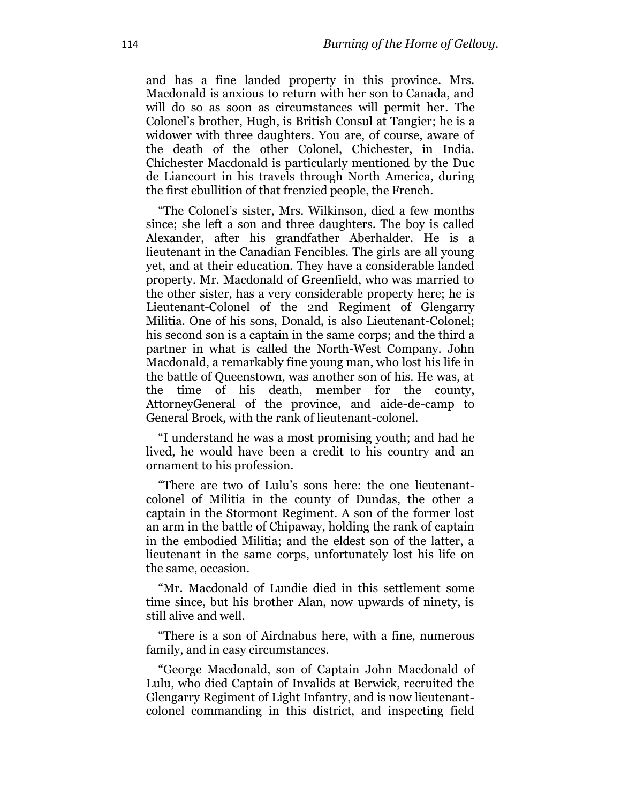and has a fine landed property in this province. Mrs. Macdonald is anxious to return with her son to Canada, and will do so as soon as circumstances will permit her. The Colonel's brother, Hugh, is British Consul at Tangier; he is a widower with three daughters. You are, of course, aware of the death of the other Colonel, Chichester, in India. Chichester Macdonald is particularly mentioned by the Duc de Liancourt in his travels through North America, during the first ebullition of that frenzied people, the French.

―The Colonel's sister, Mrs. Wilkinson, died a few months since; she left a son and three daughters. The boy is called Alexander, after his grandfather Aberhalder. He is a lieutenant in the Canadian Fencibles. The girls are all young yet, and at their education. They have a considerable landed property. Mr. Macdonald of Greenfield, who was married to the other sister, has a very considerable property here; he is Lieutenant-Colonel of the 2nd Regiment of Glengarry Militia. One of his sons, Donald, is also Lieutenant-Colonel; his second son is a captain in the same corps; and the third a partner in what is called the North-West Company. John Macdonald, a remarkably fine young man, who lost his life in the battle of Queenstown, was another son of his. He was, at the time of his death, member for the county, AttorneyGeneral of the province, and aide-de-camp to General Brock, with the rank of lieutenant-colonel.

―I understand he was a most promising youth; and had he lived, he would have been a credit to his country and an ornament to his profession.

―There are two of Lulu's sons here: the one lieutenantcolonel of Militia in the county of Dundas, the other a captain in the Stormont Regiment. A son of the former lost an arm in the battle of Chipaway, holding the rank of captain in the embodied Militia; and the eldest son of the latter, a lieutenant in the same corps, unfortunately lost his life on the same, occasion.

―Mr. Macdonald of Lundie died in this settlement some time since, but his brother Alan, now upwards of ninety, is still alive and well.

―There is a son of Airdnabus here, with a fine, numerous family, and in easy circumstances.

―George Macdonald, son of Captain John Macdonald of Lulu, who died Captain of Invalids at Berwick, recruited the Glengarry Regiment of Light Infantry, and is now lieutenantcolonel commanding in this district, and inspecting field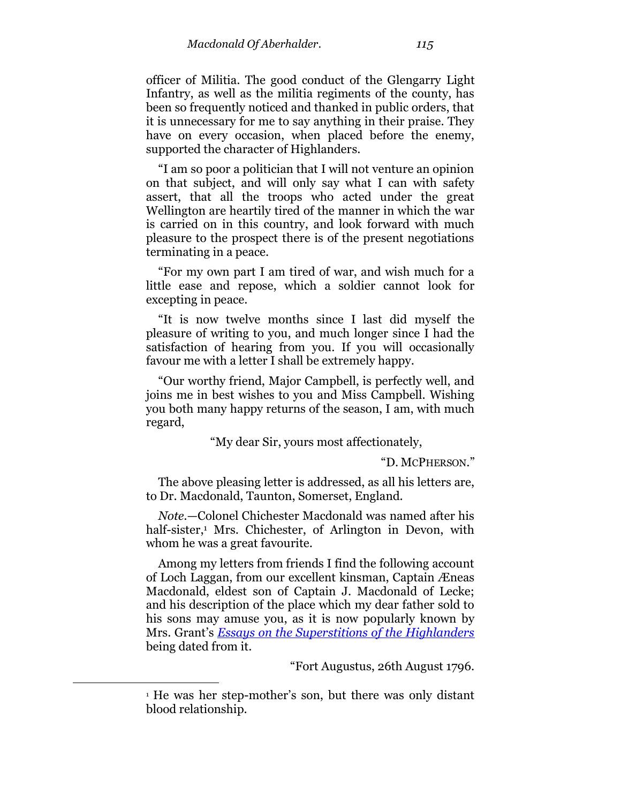officer of Militia. The good conduct of the Glengarry Light Infantry, as well as the militia regiments of the county, has been so frequently noticed and thanked in public orders, that it is unnecessary for me to say anything in their praise. They have on every occasion, when placed before the enemy, supported the character of Highlanders.

―I am so poor a politician that I will not venture an opinion on that subject, and will only say what I can with safety assert, that all the troops who acted under the great Wellington are heartily tired of the manner in which the war is carried on in this country, and look forward with much pleasure to the prospect there is of the present negotiations terminating in a peace.

―For my own part I am tired of war, and wish much for a little ease and repose, which a soldier cannot look for excepting in peace.

―It is now twelve months since I last did myself the pleasure of writing to you, and much longer since I had the satisfaction of hearing from you. If you will occasionally favour me with a letter I shall be extremely happy.

―Our worthy friend, Major Campbell, is perfectly well, and joins me in best wishes to you and Miss Campbell. Wishing you both many happy returns of the season, I am, with much regard,

―My dear Sir, yours most affectionately,

―D. MCPHERSON.‖

The above pleasing letter is addressed, as all his letters are, to Dr. Macdonald, Taunton, Somerset, England.

*Note.*—Colonel Chichester Macdonald was named after his half-sister,<sup>1</sup> Mrs. Chichester, of Arlington in Devon, with whom he was a great favourite.

Among my letters from friends I find the following account of Loch Laggan, from our excellent kinsman, Captain Æneas Macdonald, eldest son of Captain J. Macdonald of Lecke; and his description of the place which my dear father sold to his sons may amuse you, as it is now popularly known by Mrs. Grant's *[Essays on the Superstitions of the Highlanders](http://books.google.com/books?id=JCxIAAAAMAAJ&printsec=frontcover#v=onepage&q&f=false)* being dated from it.

―Fort Augustus, 26th August 1796.

 $\overline{a}$ 

<sup>1</sup> He was her step-mother's son, but there was only distant blood relationship.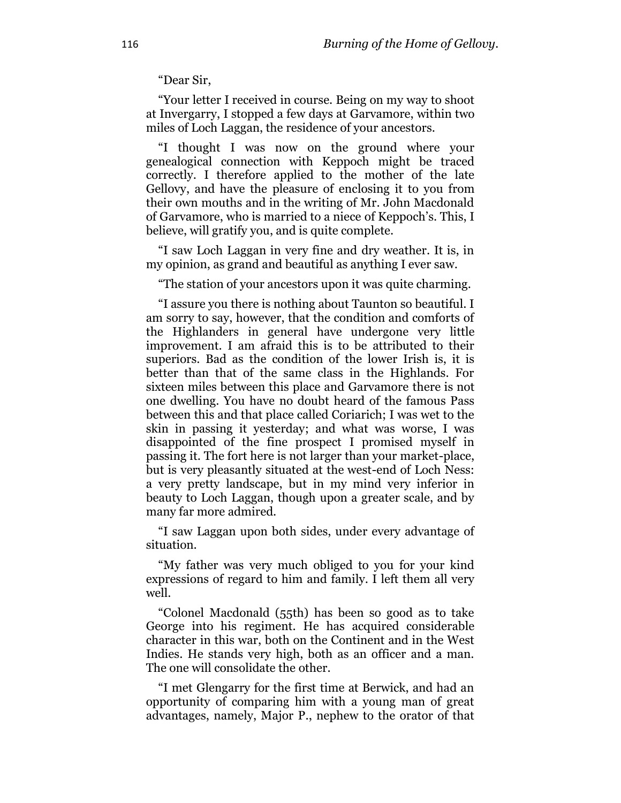―Dear Sir,

―Your letter I received in course. Being on my way to shoot at Invergarry, I stopped a few days at Garvamore, within two miles of Loch Laggan, the residence of your ancestors.

―I thought I was now on the ground where your genealogical connection with Keppoch might be traced correctly. I therefore applied to the mother of the late Gellovy, and have the pleasure of enclosing it to you from their own mouths and in the writing of Mr. John Macdonald of Garvamore, who is married to a niece of Keppoch's. This, I believe, will gratify you, and is quite complete.

―I saw Loch Laggan in very fine and dry weather. It is, in my opinion, as grand and beautiful as anything I ever saw.

―The station of your ancestors upon it was quite charming.

―I assure you there is nothing about Taunton so beautiful. I am sorry to say, however, that the condition and comforts of the Highlanders in general have undergone very little improvement. I am afraid this is to be attributed to their superiors. Bad as the condition of the lower Irish is, it is better than that of the same class in the Highlands. For sixteen miles between this place and Garvamore there is not one dwelling. You have no doubt heard of the famous Pass between this and that place called Coriarich; I was wet to the skin in passing it yesterday; and what was worse, I was disappointed of the fine prospect I promised myself in passing it. The fort here is not larger than your market-place, but is very pleasantly situated at the west-end of Loch Ness: a very pretty landscape, but in my mind very inferior in beauty to Loch Laggan, though upon a greater scale, and by many far more admired.

―I saw Laggan upon both sides, under every advantage of situation.

―My father was very much obliged to you for your kind expressions of regard to him and family. I left them all very well.

―Colonel Macdonald (55th) has been so good as to take George into his regiment. He has acquired considerable character in this war, both on the Continent and in the West Indies. He stands very high, both as an officer and a man. The one will consolidate the other.

―I met Glengarry for the first time at Berwick, and had an opportunity of comparing him with a young man of great advantages, namely, Major P., nephew to the orator of that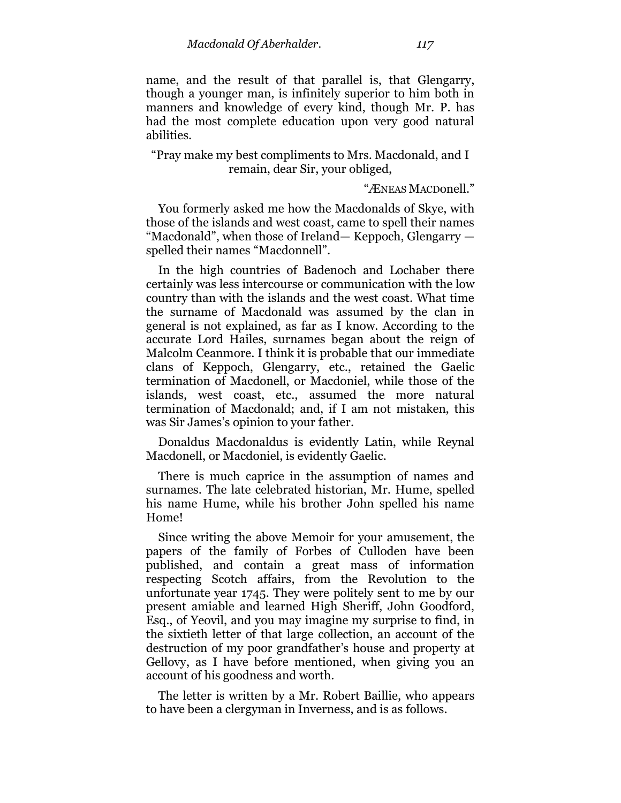name, and the result of that parallel is, that Glengarry, though a younger man, is infinitely superior to him both in manners and knowledge of every kind, though Mr. P. has had the most complete education upon very good natural abilities.

―Pray make my best compliments to Mrs. Macdonald, and I remain, dear Sir, your obliged,

"ÆNEAS MACDonell."

You formerly asked me how the Macdonalds of Skye, with those of the islands and west coast, came to spell their names ―Macdonald‖, when those of Ireland— Keppoch, Glengarry spelled their names "Macdonnell".

In the high countries of Badenoch and Lochaber there certainly was less intercourse or communication with the low country than with the islands and the west coast. What time the surname of Macdonald was assumed by the clan in general is not explained, as far as I know. According to the accurate Lord Hailes, surnames began about the reign of Malcolm Ceanmore. I think it is probable that our immediate clans of Keppoch, Glengarry, etc., retained the Gaelic termination of Macdonell, or Macdoniel, while those of the islands, west coast, etc., assumed the more natural termination of Macdonald; and, if I am not mistaken, this was Sir James's opinion to your father.

Donaldus Macdonaldus is evidently Latin, while Reynal Macdonell, or Macdoniel, is evidently Gaelic.

There is much caprice in the assumption of names and surnames. The late celebrated historian, Mr. Hume, spelled his name Hume, while his brother John spelled his name Home!

Since writing the above Memoir for your amusement, the papers of the family of Forbes of Culloden have been published, and contain a great mass of information respecting Scotch affairs, from the Revolution to the unfortunate year 1745. They were politely sent to me by our present amiable and learned High Sheriff, John Goodford, Esq., of Yeovil, and you may imagine my surprise to find, in the sixtieth letter of that large collection, an account of the destruction of my poor grandfather's house and property at Gellovy, as I have before mentioned, when giving you an account of his goodness and worth.

The letter is written by a Mr. Robert Baillie, who appears to have been a clergyman in Inverness, and is as follows.